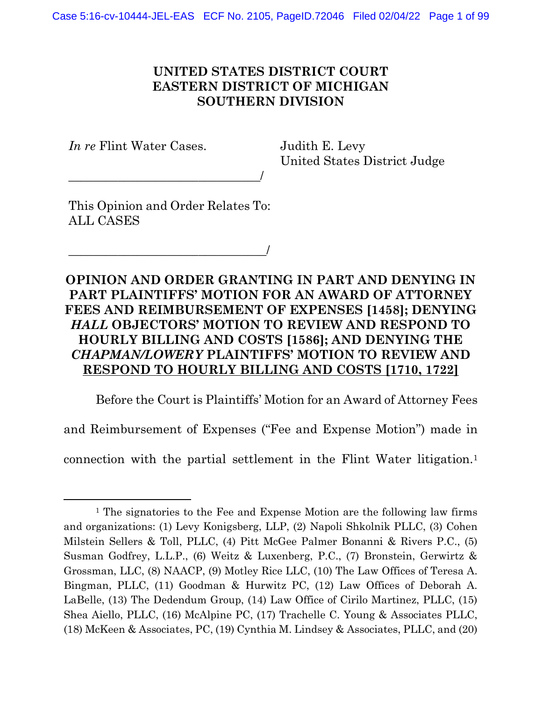## UNITED STATES DISTRICT COURT EASTERN DISTRICT OF MICHIGAN SOUTHERN DIVISION

In re Flint Water Cases.

Judith E. Levy United States District Judge

This Opinion and Order Relates To: ALL CASES

\_\_\_\_\_\_\_\_\_\_\_\_\_\_\_\_\_\_\_\_\_\_\_\_\_\_\_\_\_\_\_\_/

\_\_\_\_\_\_\_\_\_\_\_\_\_\_\_\_\_\_\_\_\_\_\_\_\_\_\_\_\_\_\_/

OPINION AND ORDER GRANTING IN PART AND DENYING IN PART PLAINTIFFS' MOTION FOR AN AWARD OF ATTORNEY FEES AND REIMBURSEMENT OF EXPENSES [1458]; DENYING HALL OBJECTORS' MOTION TO REVIEW AND RESPOND TO HOURLY BILLING AND COSTS [1586]; AND DENYING THE CHAPMAN/LOWERY PLAINTIFFS' MOTION TO REVIEW AND RESPOND TO HOURLY BILLING AND COSTS [1710, 1722]

 Before the Court is Plaintiffs' Motion for an Award of Attorney Fees and Reimbursement of Expenses ("Fee and Expense Motion") made in connection with the partial settlement in the Flint Water litigation.<sup>1</sup>

<sup>&</sup>lt;sup>1</sup> The signatories to the Fee and Expense Motion are the following law firms and organizations: (1) Levy Konigsberg, LLP, (2) Napoli Shkolnik PLLC, (3) Cohen Milstein Sellers & Toll, PLLC, (4) Pitt McGee Palmer Bonanni & Rivers P.C., (5) Susman Godfrey, L.L.P., (6) Weitz & Luxenberg, P.C., (7) Bronstein, Gerwirtz & Grossman, LLC, (8) NAACP, (9) Motley Rice LLC, (10) The Law Offices of Teresa A. Bingman, PLLC, (11) Goodman & Hurwitz PC, (12) Law Offices of Deborah A. LaBelle, (13) The Dedendum Group, (14) Law Office of Cirilo Martinez, PLLC, (15) Shea Aiello, PLLC, (16) McAlpine PC, (17) Trachelle C. Young & Associates PLLC, (18) McKeen & Associates, PC, (19) Cynthia M. Lindsey & Associates, PLLC, and (20)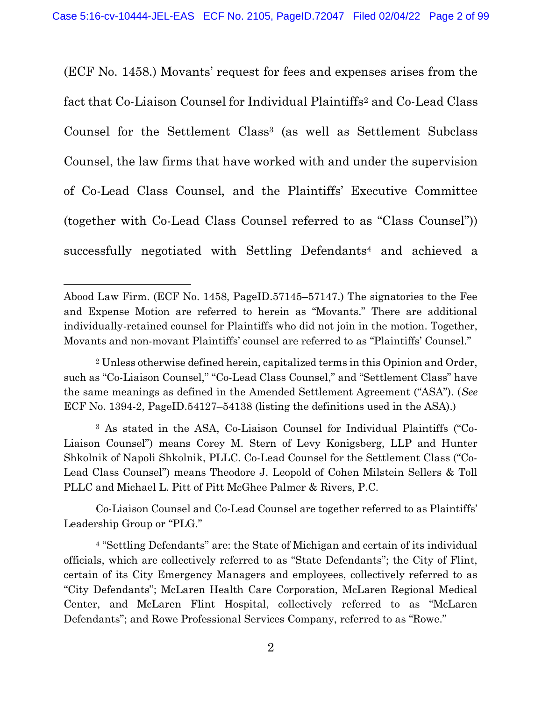(ECF No. 1458.) Movants' request for fees and expenses arises from the fact that Co-Liaison Counsel for Individual Plaintiffs2 and Co-Lead Class Counsel for the Settlement Class<sup>3</sup> (as well as Settlement Subclass Counsel, the law firms that have worked with and under the supervision of Co-Lead Class Counsel, and the Plaintiffs' Executive Committee (together with Co-Lead Class Counsel referred to as "Class Counsel")) successfully negotiated with Settling Defendants<sup>4</sup> and achieved a

3 As stated in the ASA, Co-Liaison Counsel for Individual Plaintiffs ("Co-Liaison Counsel") means Corey M. Stern of Levy Konigsberg, LLP and Hunter Shkolnik of Napoli Shkolnik, PLLC. Co-Lead Counsel for the Settlement Class ("Co-Lead Class Counsel") means Theodore J. Leopold of Cohen Milstein Sellers & Toll PLLC and Michael L. Pitt of Pitt McGhee Palmer & Rivers, P.C.

 Co-Liaison Counsel and Co-Lead Counsel are together referred to as Plaintiffs' Leadership Group or "PLG."

<sup>4</sup> "Settling Defendants" are: the State of Michigan and certain of its individual officials, which are collectively referred to as "State Defendants"; the City of Flint, certain of its City Emergency Managers and employees, collectively referred to as "City Defendants"; McLaren Health Care Corporation, McLaren Regional Medical Center, and McLaren Flint Hospital, collectively referred to as "McLaren Defendants"; and Rowe Professional Services Company, referred to as "Rowe."

Abood Law Firm. (ECF No. 1458, PageID.57145–57147.) The signatories to the Fee and Expense Motion are referred to herein as "Movants." There are additional individually-retained counsel for Plaintiffs who did not join in the motion. Together, Movants and non-movant Plaintiffs' counsel are referred to as "Plaintiffs' Counsel."

<sup>2</sup> Unless otherwise defined herein, capitalized terms in this Opinion and Order, such as "Co-Liaison Counsel," "Co-Lead Class Counsel," and "Settlement Class" have the same meanings as defined in the Amended Settlement Agreement ("ASA"). (See ECF No. 1394-2, PageID.54127–54138 (listing the definitions used in the ASA).)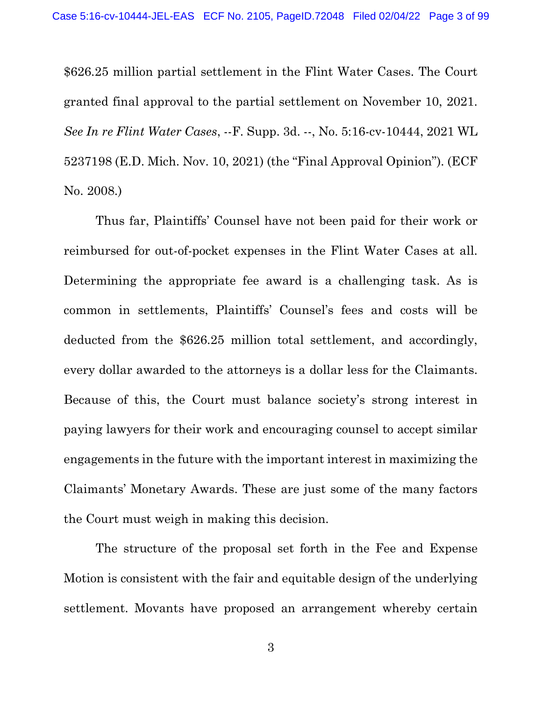\$626.25 million partial settlement in the Flint Water Cases. The Court granted final approval to the partial settlement on November 10, 2021. See In re Flint Water Cases, --F. Supp. 3d. --, No. 5:16-cv-10444, 2021 WL 5237198 (E.D. Mich. Nov. 10, 2021) (the "Final Approval Opinion"). (ECF No. 2008.)

 Thus far, Plaintiffs' Counsel have not been paid for their work or reimbursed for out-of-pocket expenses in the Flint Water Cases at all. Determining the appropriate fee award is a challenging task. As is common in settlements, Plaintiffs' Counsel's fees and costs will be deducted from the \$626.25 million total settlement, and accordingly, every dollar awarded to the attorneys is a dollar less for the Claimants. Because of this, the Court must balance society's strong interest in paying lawyers for their work and encouraging counsel to accept similar engagements in the future with the important interest in maximizing the Claimants' Monetary Awards. These are just some of the many factors the Court must weigh in making this decision.

 The structure of the proposal set forth in the Fee and Expense Motion is consistent with the fair and equitable design of the underlying settlement. Movants have proposed an arrangement whereby certain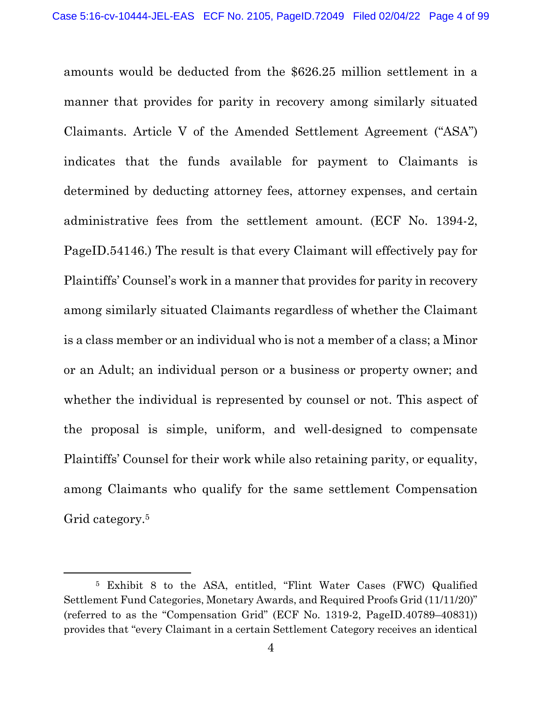amounts would be deducted from the \$626.25 million settlement in a manner that provides for parity in recovery among similarly situated Claimants. Article V of the Amended Settlement Agreement ("ASA") indicates that the funds available for payment to Claimants is determined by deducting attorney fees, attorney expenses, and certain administrative fees from the settlement amount. (ECF No. 1394-2, PageID.54146.) The result is that every Claimant will effectively pay for Plaintiffs' Counsel's work in a manner that provides for parity in recovery among similarly situated Claimants regardless of whether the Claimant is a class member or an individual who is not a member of a class; a Minor or an Adult; an individual person or a business or property owner; and whether the individual is represented by counsel or not. This aspect of the proposal is simple, uniform, and well-designed to compensate Plaintiffs' Counsel for their work while also retaining parity, or equality, among Claimants who qualify for the same settlement Compensation Grid category.<sup>5</sup>

<sup>5</sup> Exhibit 8 to the ASA, entitled, "Flint Water Cases (FWC) Qualified Settlement Fund Categories, Monetary Awards, and Required Proofs Grid (11/11/20)" (referred to as the "Compensation Grid" (ECF No. 1319-2, PageID.40789–40831)) provides that "every Claimant in a certain Settlement Category receives an identical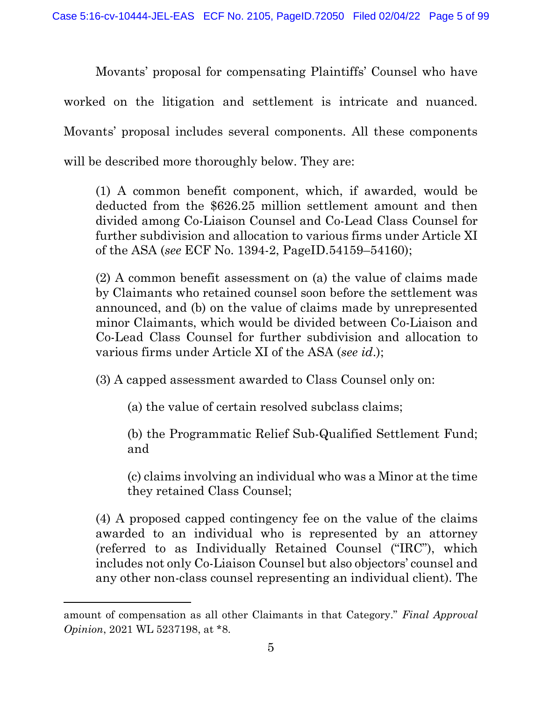Movants' proposal for compensating Plaintiffs' Counsel who have worked on the litigation and settlement is intricate and nuanced. Movants' proposal includes several components. All these components will be described more thoroughly below. They are:

(1) A common benefit component, which, if awarded, would be deducted from the \$626.25 million settlement amount and then divided among Co-Liaison Counsel and Co-Lead Class Counsel for further subdivision and allocation to various firms under Article XI of the ASA (see ECF No. 1394-2, PageID.54159–54160);

(2) A common benefit assessment on (a) the value of claims made by Claimants who retained counsel soon before the settlement was announced, and (b) on the value of claims made by unrepresented minor Claimants, which would be divided between Co-Liaison and Co-Lead Class Counsel for further subdivision and allocation to various firms under Article XI of the ASA (see id.);

(3) A capped assessment awarded to Class Counsel only on:

(a) the value of certain resolved subclass claims;

(b) the Programmatic Relief Sub-Qualified Settlement Fund; and

(c) claims involving an individual who was a Minor at the time they retained Class Counsel;

(4) A proposed capped contingency fee on the value of the claims awarded to an individual who is represented by an attorney (referred to as Individually Retained Counsel ("IRC"), which includes not only Co-Liaison Counsel but also objectors' counsel and any other non-class counsel representing an individual client). The

amount of compensation as all other Claimants in that Category." Final Approval Opinion, 2021 WL 5237198, at \*8.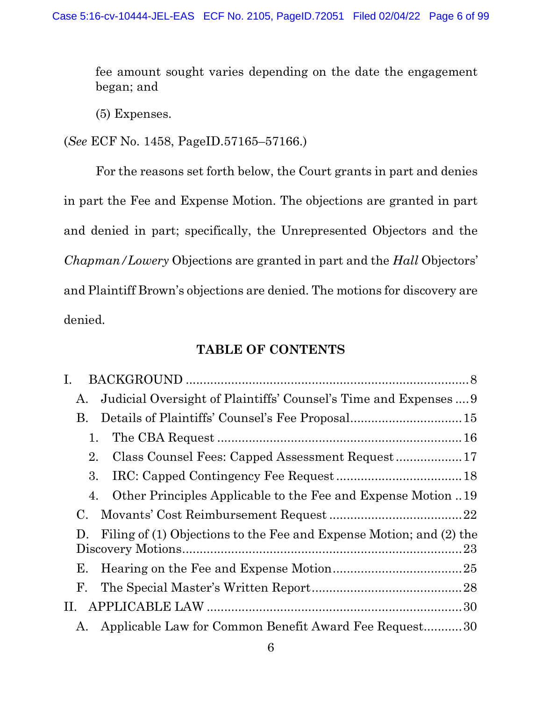fee amount sought varies depending on the date the engagement began; and

(5) Expenses.

(See ECF No. 1458, PageID.57165–57166.)

 For the reasons set forth below, the Court grants in part and denies in part the Fee and Expense Motion. The objections are granted in part and denied in part; specifically, the Unrepresented Objectors and the Chapman/Lowery Objections are granted in part and the Hall Objectors' and Plaintiff Brown's objections are denied. The motions for discovery are denied.

### TABLE OF CONTENTS

| $\mathbf{I}$ .                                                                        |
|---------------------------------------------------------------------------------------|
| Judicial Oversight of Plaintiffs' Counsel's Time and Expenses  9<br>A.                |
| В.                                                                                    |
| 1.                                                                                    |
| 2.                                                                                    |
| 3.                                                                                    |
| Other Principles Applicable to the Fee and Expense Motion 19<br>4.                    |
| $\rm C$ .                                                                             |
| Filing of (1) Objections to the Fee and Expense Motion; and (2) the<br>$\mathbf{D}$ . |
|                                                                                       |
| Е.                                                                                    |
| F.                                                                                    |
|                                                                                       |
| Applicable Law for Common Benefit Award Fee Request30<br>A.                           |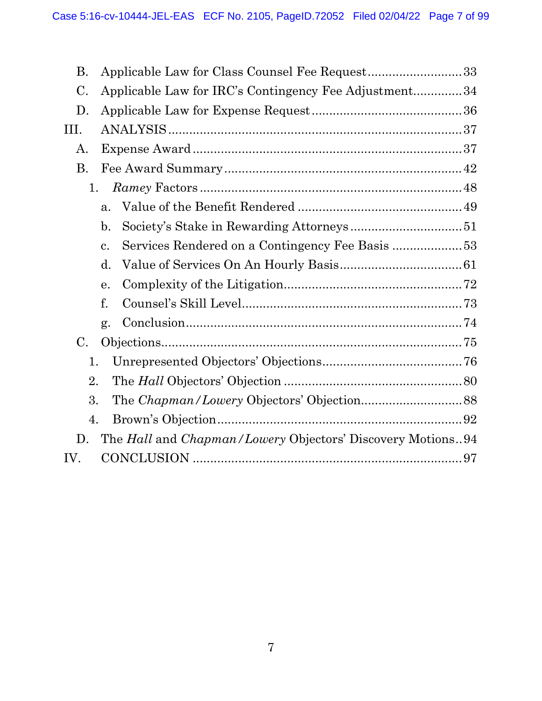| <b>B.</b> | Applicable Law for Class Counsel Fee Request33             |  |
|-----------|------------------------------------------------------------|--|
| C.        | Applicable Law for IRC's Contingency Fee Adjustment34      |  |
| D.        |                                                            |  |
| III.      |                                                            |  |
| Α.        |                                                            |  |
| <b>B.</b> |                                                            |  |
| 1.        |                                                            |  |
|           | $\mathbf{a}$ .                                             |  |
|           | $\mathbf{b}$ .                                             |  |
|           | Services Rendered on a Contingency Fee Basis 53<br>c.      |  |
|           | $\mathbf{d}$ .                                             |  |
|           | e.                                                         |  |
|           | f.                                                         |  |
|           | g.                                                         |  |
| C.        |                                                            |  |
| 1.        |                                                            |  |
| 2.        |                                                            |  |
| 3.        |                                                            |  |
| 4.        |                                                            |  |
| D.        | The Hall and Chapman/Lowery Objectors' Discovery Motions94 |  |
| IV.       |                                                            |  |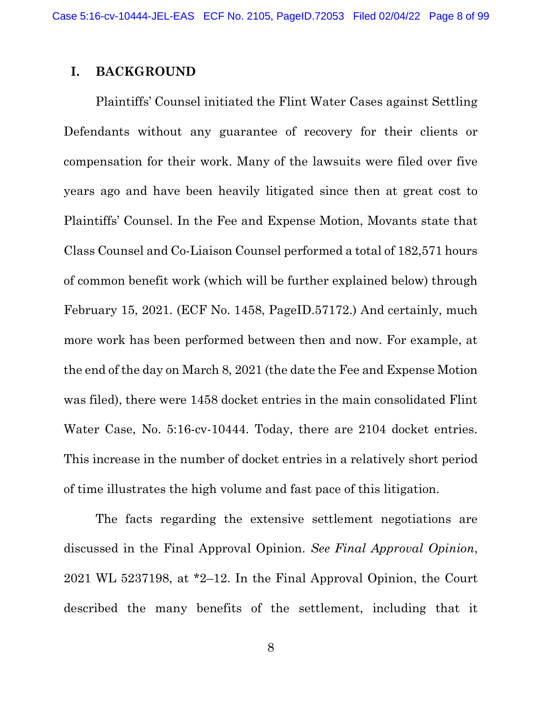### I. BACKGROUND

 Plaintiffs' Counsel initiated the Flint Water Cases against Settling Defendants without any guarantee of recovery for their clients or compensation for their work. Many of the lawsuits were filed over five years ago and have been heavily litigated since then at great cost to Plaintiffs' Counsel. In the Fee and Expense Motion, Movants state that Class Counsel and Co-Liaison Counsel performed a total of 182,571 hours of common benefit work (which will be further explained below) through February 15, 2021. (ECF No. 1458, PageID.57172.) And certainly, much more work has been performed between then and now. For example, at the end of the day on March 8, 2021 (the date the Fee and Expense Motion was filed), there were 1458 docket entries in the main consolidated Flint Water Case, No. 5:16-cv-10444. Today, there are 2104 docket entries. This increase in the number of docket entries in a relatively short period of time illustrates the high volume and fast pace of this litigation.

 The facts regarding the extensive settlement negotiations are discussed in the Final Approval Opinion. See Final Approval Opinion, 2021 WL 5237198, at \*2–12. In the Final Approval Opinion, the Court described the many benefits of the settlement, including that it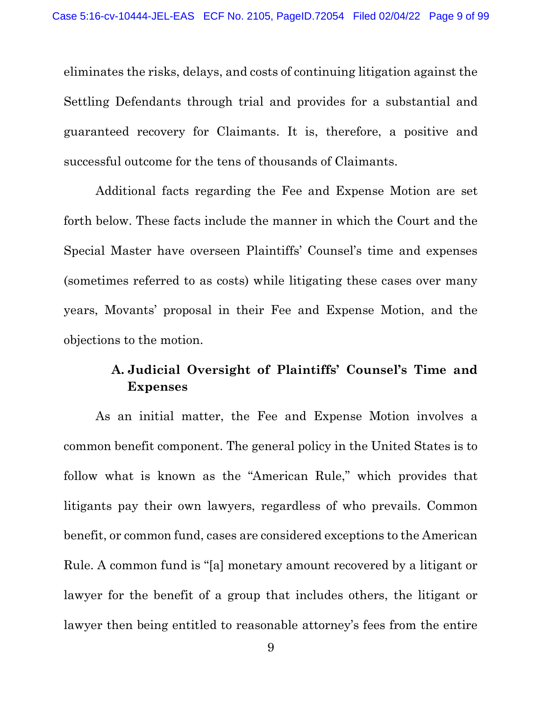eliminates the risks, delays, and costs of continuing litigation against the Settling Defendants through trial and provides for a substantial and guaranteed recovery for Claimants. It is, therefore, a positive and successful outcome for the tens of thousands of Claimants.

 Additional facts regarding the Fee and Expense Motion are set forth below. These facts include the manner in which the Court and the Special Master have overseen Plaintiffs' Counsel's time and expenses (sometimes referred to as costs) while litigating these cases over many years, Movants' proposal in their Fee and Expense Motion, and the objections to the motion.

# A. Judicial Oversight of Plaintiffs' Counsel's Time and Expenses

 As an initial matter, the Fee and Expense Motion involves a common benefit component. The general policy in the United States is to follow what is known as the "American Rule," which provides that litigants pay their own lawyers, regardless of who prevails. Common benefit, or common fund, cases are considered exceptions to the American Rule. A common fund is "[a] monetary amount recovered by a litigant or lawyer for the benefit of a group that includes others, the litigant or lawyer then being entitled to reasonable attorney's fees from the entire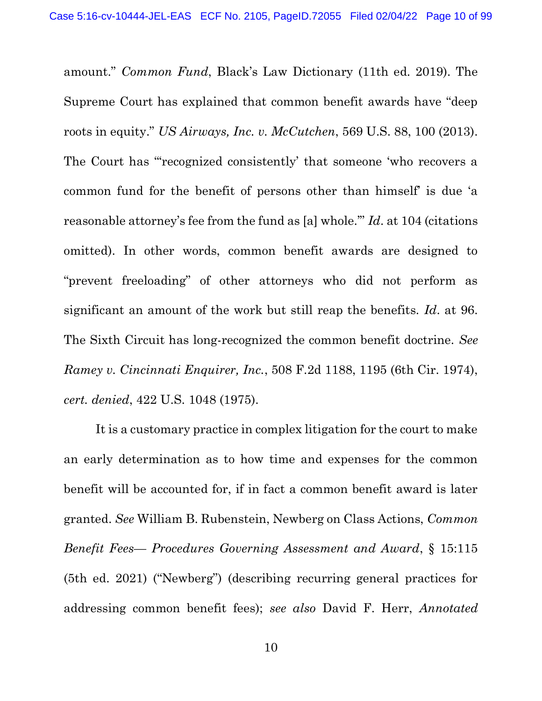amount." Common Fund, Black's Law Dictionary (11th ed. 2019). The Supreme Court has explained that common benefit awards have "deep roots in equity." US Airways, Inc. v. McCutchen, 569 U.S. 88, 100 (2013). The Court has "'recognized consistently' that someone 'who recovers a common fund for the benefit of persons other than himself' is due 'a reasonable attorney's fee from the fund as [a] whole.'" Id. at 104 (citations omitted). In other words, common benefit awards are designed to "prevent freeloading" of other attorneys who did not perform as significant an amount of the work but still reap the benefits. Id. at 96. The Sixth Circuit has long-recognized the common benefit doctrine. See Ramey v. Cincinnati Enquirer, Inc., 508 F.2d 1188, 1195 (6th Cir. 1974), cert. denied, 422 U.S. 1048 (1975).

 It is a customary practice in complex litigation for the court to make an early determination as to how time and expenses for the common benefit will be accounted for, if in fact a common benefit award is later granted. See William B. Rubenstein, Newberg on Class Actions, Common Benefit Fees— Procedures Governing Assessment and Award, § 15:115 (5th ed. 2021) ("Newberg") (describing recurring general practices for addressing common benefit fees); see also David F. Herr, Annotated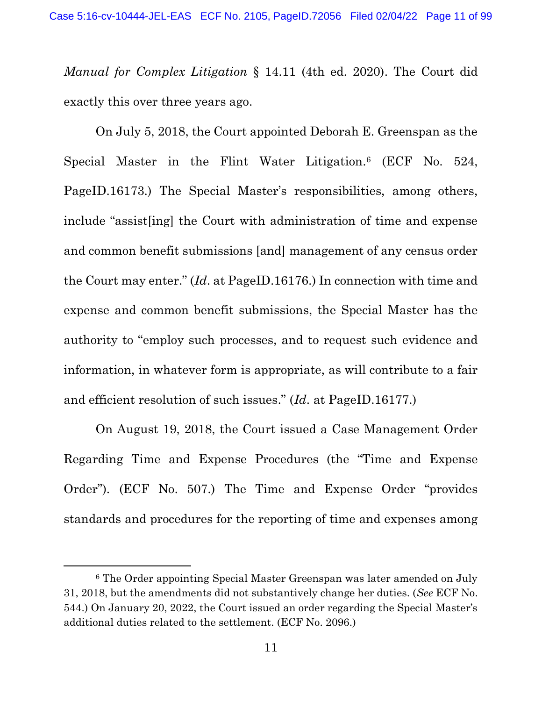Manual for Complex Litigation § 14.11 (4th ed. 2020). The Court did exactly this over three years ago.

 On July 5, 2018, the Court appointed Deborah E. Greenspan as the Special Master in the Flint Water Litigation.<sup>6</sup> (ECF No. 524, PageID.16173.) The Special Master's responsibilities, among others, include "assist[ing] the Court with administration of time and expense and common benefit submissions [and] management of any census order the Court may enter." (Id. at PageID.16176.) In connection with time and expense and common benefit submissions, the Special Master has the authority to "employ such processes, and to request such evidence and information, in whatever form is appropriate, as will contribute to a fair and efficient resolution of such issues." (Id. at PageID.16177.)

 On August 19, 2018, the Court issued a Case Management Order Regarding Time and Expense Procedures (the "Time and Expense Order"). (ECF No. 507.) The Time and Expense Order "provides standards and procedures for the reporting of time and expenses among

<sup>6</sup> The Order appointing Special Master Greenspan was later amended on July 31, 2018, but the amendments did not substantively change her duties. (See ECF No. 544.) On January 20, 2022, the Court issued an order regarding the Special Master's additional duties related to the settlement. (ECF No. 2096.)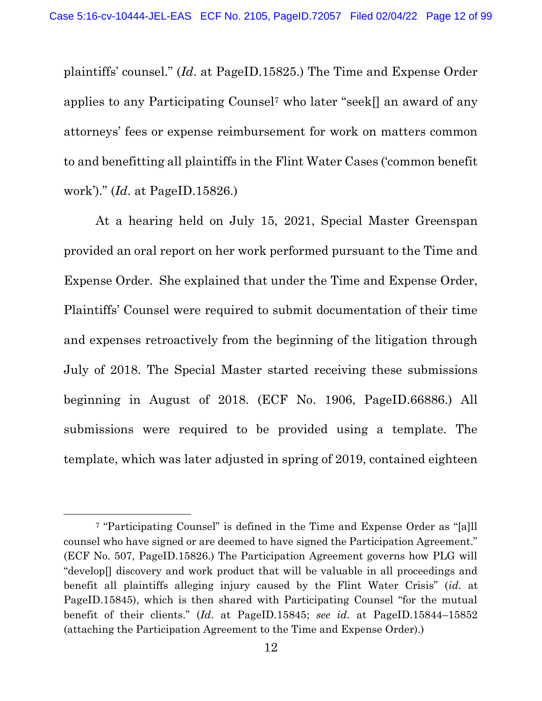plaintiffs' counsel." (Id. at PageID.15825.) The Time and Expense Order applies to any Participating Counsel7 who later "seek[] an award of any attorneys' fees or expense reimbursement for work on matters common to and benefitting all plaintiffs in the Flint Water Cases ('common benefit work')." (Id. at PageID.15826.)

 At a hearing held on July 15, 2021, Special Master Greenspan provided an oral report on her work performed pursuant to the Time and Expense Order. She explained that under the Time and Expense Order, Plaintiffs' Counsel were required to submit documentation of their time and expenses retroactively from the beginning of the litigation through July of 2018. The Special Master started receiving these submissions beginning in August of 2018. (ECF No. 1906, PageID.66886.) All submissions were required to be provided using a template. The template, which was later adjusted in spring of 2019, contained eighteen

<sup>7</sup> "Participating Counsel" is defined in the Time and Expense Order as "[a]ll counsel who have signed or are deemed to have signed the Participation Agreement." (ECF No. 507, PageID.15826.) The Participation Agreement governs how PLG will "develop[] discovery and work product that will be valuable in all proceedings and benefit all plaintiffs alleging injury caused by the Flint Water Crisis" (id. at PageID.15845), which is then shared with Participating Counsel "for the mutual benefit of their clients." (Id. at PageID.15845; see id. at PageID.15844–15852 (attaching the Participation Agreement to the Time and Expense Order).)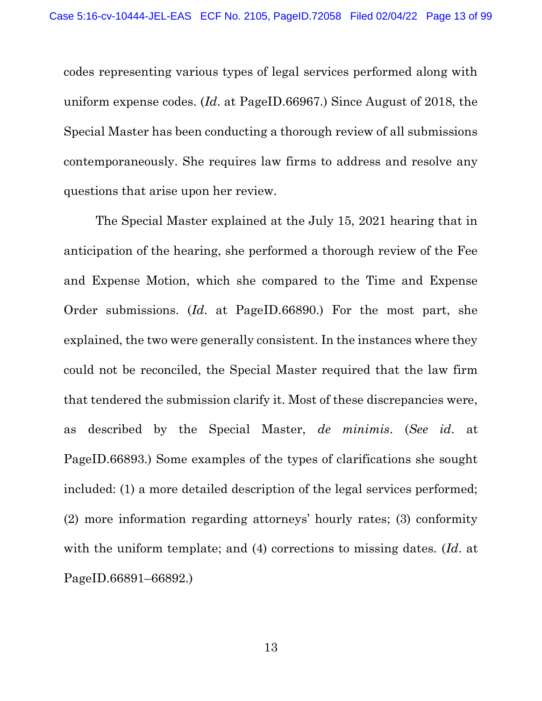codes representing various types of legal services performed along with uniform expense codes. (Id. at PageID.66967.) Since August of 2018, the Special Master has been conducting a thorough review of all submissions contemporaneously. She requires law firms to address and resolve any questions that arise upon her review.

The Special Master explained at the July 15, 2021 hearing that in anticipation of the hearing, she performed a thorough review of the Fee and Expense Motion, which she compared to the Time and Expense Order submissions. (Id. at PageID.66890.) For the most part, she explained, the two were generally consistent. In the instances where they could not be reconciled, the Special Master required that the law firm that tendered the submission clarify it. Most of these discrepancies were, as described by the Special Master, de minimis. (See id. at PageID.66893.) Some examples of the types of clarifications she sought included: (1) a more detailed description of the legal services performed; (2) more information regarding attorneys' hourly rates; (3) conformity with the uniform template; and (4) corrections to missing dates. (Id. at PageID.66891–66892.)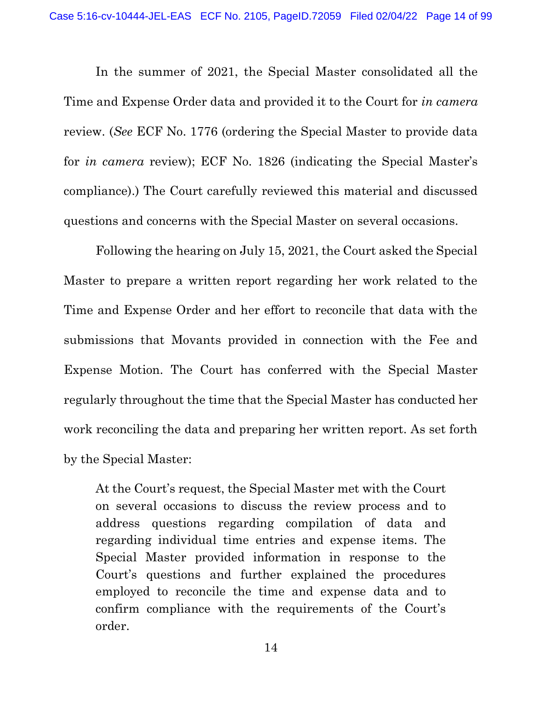In the summer of 2021, the Special Master consolidated all the Time and Expense Order data and provided it to the Court for in camera review. (See ECF No. 1776 (ordering the Special Master to provide data for in camera review); ECF No. 1826 (indicating the Special Master's compliance).) The Court carefully reviewed this material and discussed questions and concerns with the Special Master on several occasions.

Following the hearing on July 15, 2021, the Court asked the Special Master to prepare a written report regarding her work related to the Time and Expense Order and her effort to reconcile that data with the submissions that Movants provided in connection with the Fee and Expense Motion. The Court has conferred with the Special Master regularly throughout the time that the Special Master has conducted her work reconciling the data and preparing her written report. As set forth by the Special Master:

At the Court's request, the Special Master met with the Court on several occasions to discuss the review process and to address questions regarding compilation of data and regarding individual time entries and expense items. The Special Master provided information in response to the Court's questions and further explained the procedures employed to reconcile the time and expense data and to confirm compliance with the requirements of the Court's order.

14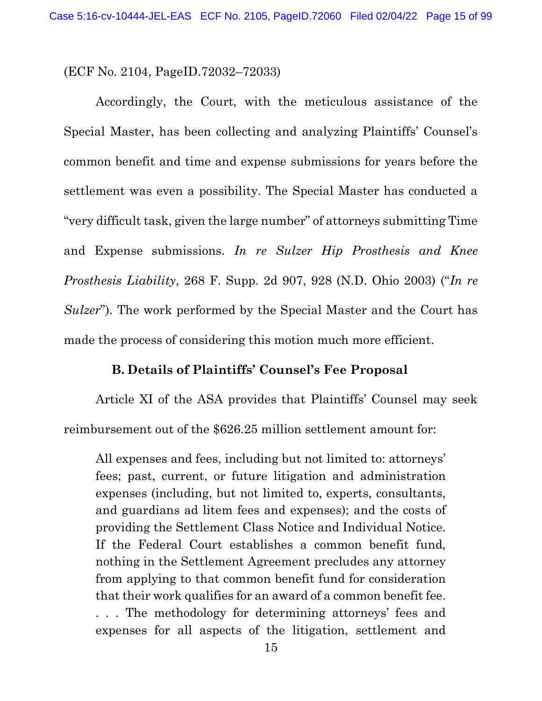(ECF No. 2104, PageID.72032–72033)

 Accordingly, the Court, with the meticulous assistance of the Special Master, has been collecting and analyzing Plaintiffs' Counsel's common benefit and time and expense submissions for years before the settlement was even a possibility. The Special Master has conducted a "very difficult task, given the large number" of attorneys submitting Time and Expense submissions. In re Sulzer Hip Prosthesis and Knee Prosthesis Liability, 268 F. Supp. 2d 907, 928 (N.D. Ohio 2003) ("In re Sulzer"). The work performed by the Special Master and the Court has made the process of considering this motion much more efficient.

### B. Details of Plaintiffs' Counsel's Fee Proposal

 Article XI of the ASA provides that Plaintiffs' Counsel may seek reimbursement out of the \$626.25 million settlement amount for:

All expenses and fees, including but not limited to: attorneys' fees; past, current, or future litigation and administration expenses (including, but not limited to, experts, consultants, and guardians ad litem fees and expenses); and the costs of providing the Settlement Class Notice and Individual Notice. If the Federal Court establishes a common benefit fund, nothing in the Settlement Agreement precludes any attorney from applying to that common benefit fund for consideration that their work qualifies for an award of a common benefit fee. . . . The methodology for determining attorneys' fees and expenses for all aspects of the litigation, settlement and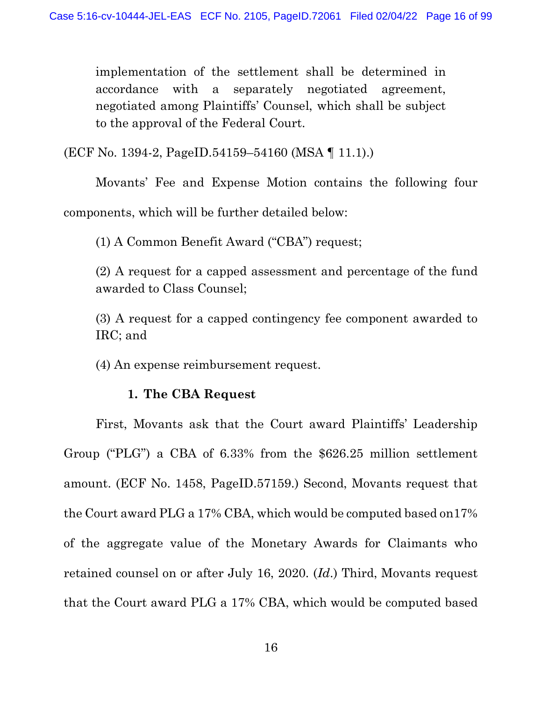implementation of the settlement shall be determined in accordance with a separately negotiated agreement, negotiated among Plaintiffs' Counsel, which shall be subject to the approval of the Federal Court.

(ECF No. 1394-2, PageID.54159–54160 (MSA ¶ 11.1).)

 Movants' Fee and Expense Motion contains the following four components, which will be further detailed below:

(1) A Common Benefit Award ("CBA") request;

(2) A request for a capped assessment and percentage of the fund awarded to Class Counsel;

(3) A request for a capped contingency fee component awarded to IRC; and

(4) An expense reimbursement request.

## 1. The CBA Request

 First, Movants ask that the Court award Plaintiffs' Leadership Group ("PLG") a CBA of 6.33% from the \$626.25 million settlement amount. (ECF No. 1458, PageID.57159.) Second, Movants request that the Court award PLG a 17% CBA, which would be computed based on17% of the aggregate value of the Monetary Awards for Claimants who retained counsel on or after July 16, 2020. (Id.) Third, Movants request that the Court award PLG a 17% CBA, which would be computed based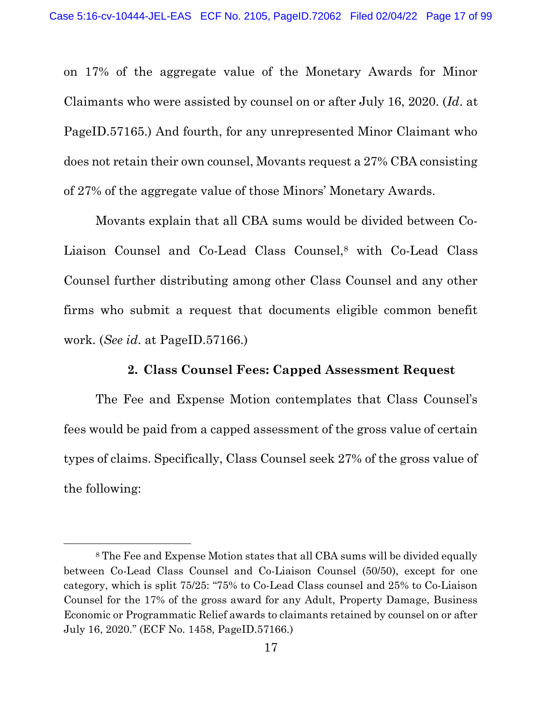on 17% of the aggregate value of the Monetary Awards for Minor Claimants who were assisted by counsel on or after July 16, 2020. (Id. at PageID.57165.) And fourth, for any unrepresented Minor Claimant who does not retain their own counsel, Movants request a 27% CBA consisting of 27% of the aggregate value of those Minors' Monetary Awards.

 Movants explain that all CBA sums would be divided between Co-Liaison Counsel and Co-Lead Class Counsel,8 with Co-Lead Class Counsel further distributing among other Class Counsel and any other firms who submit a request that documents eligible common benefit work. (See id. at PageID.57166.)

### 2. Class Counsel Fees: Capped Assessment Request

 The Fee and Expense Motion contemplates that Class Counsel's fees would be paid from a capped assessment of the gross value of certain types of claims. Specifically, Class Counsel seek 27% of the gross value of the following:

<sup>8</sup> The Fee and Expense Motion states that all CBA sums will be divided equally between Co-Lead Class Counsel and Co-Liaison Counsel (50/50), except for one category, which is split 75/25: "75% to Co-Lead Class counsel and 25% to Co-Liaison Counsel for the 17% of the gross award for any Adult, Property Damage, Business Economic or Programmatic Relief awards to claimants retained by counsel on or after July 16, 2020." (ECF No. 1458, PageID.57166.)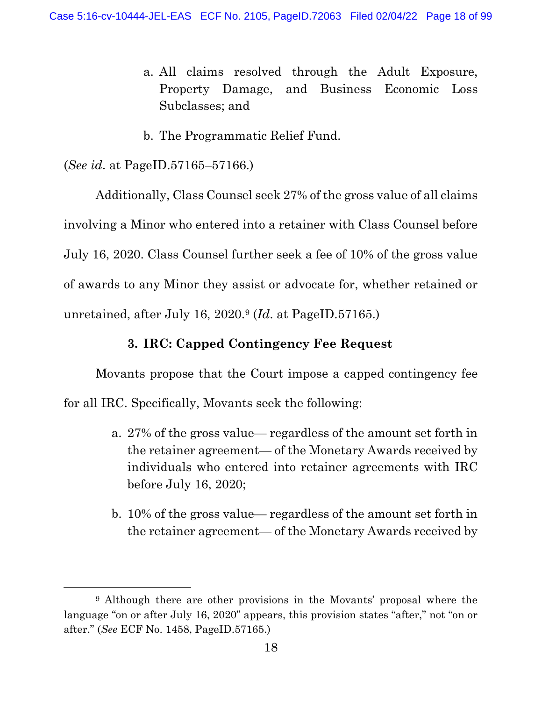- a. All claims resolved through the Adult Exposure, Property Damage, and Business Economic Loss Subclasses; and
- b. The Programmatic Relief Fund.

### (See id. at PageID.57165–57166.)

 Additionally, Class Counsel seek 27% of the gross value of all claims involving a Minor who entered into a retainer with Class Counsel before July 16, 2020. Class Counsel further seek a fee of 10% of the gross value of awards to any Minor they assist or advocate for, whether retained or unretained, after July 16, 2020.9 (Id. at PageID.57165.)

### 3. IRC: Capped Contingency Fee Request

Movants propose that the Court impose a capped contingency fee for all IRC. Specifically, Movants seek the following:

- a. 27% of the gross value— regardless of the amount set forth in the retainer agreement— of the Monetary Awards received by individuals who entered into retainer agreements with IRC before July 16, 2020;
- b. 10% of the gross value— regardless of the amount set forth in the retainer agreement— of the Monetary Awards received by

<sup>9</sup> Although there are other provisions in the Movants' proposal where the language "on or after July 16, 2020" appears, this provision states "after," not "on or after." (See ECF No. 1458, PageID.57165.)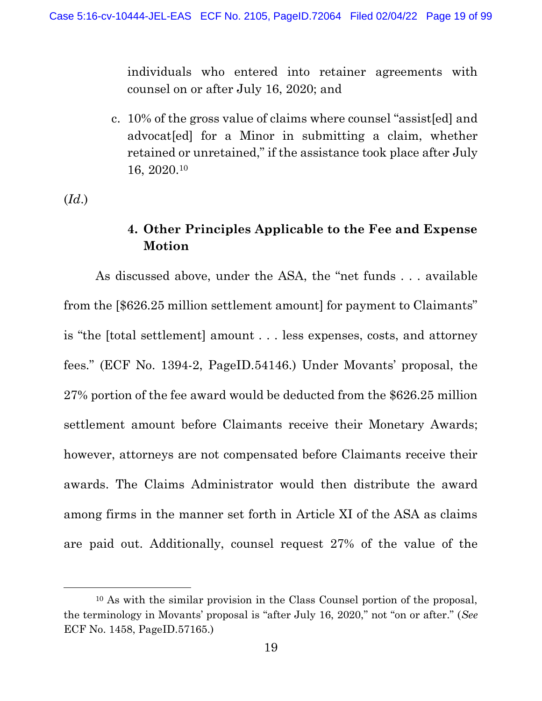individuals who entered into retainer agreements with counsel on or after July 16, 2020; and

c. 10% of the gross value of claims where counsel "assist[ed] and advocat[ed] for a Minor in submitting a claim, whether retained or unretained," if the assistance took place after July 16, 2020.<sup>10</sup>

 $(Id.)$ 

## 4. Other Principles Applicable to the Fee and Expense Motion

 As discussed above, under the ASA, the "net funds . . . available from the [\$626.25 million settlement amount] for payment to Claimants" is "the [total settlement] amount . . . less expenses, costs, and attorney fees." (ECF No. 1394-2, PageID.54146.) Under Movants' proposal, the 27% portion of the fee award would be deducted from the \$626.25 million settlement amount before Claimants receive their Monetary Awards; however, attorneys are not compensated before Claimants receive their awards. The Claims Administrator would then distribute the award among firms in the manner set forth in Article XI of the ASA as claims are paid out. Additionally, counsel request 27% of the value of the

<sup>10</sup> As with the similar provision in the Class Counsel portion of the proposal, the terminology in Movants' proposal is "after July 16, 2020," not "on or after." (See ECF No. 1458, PageID.57165.)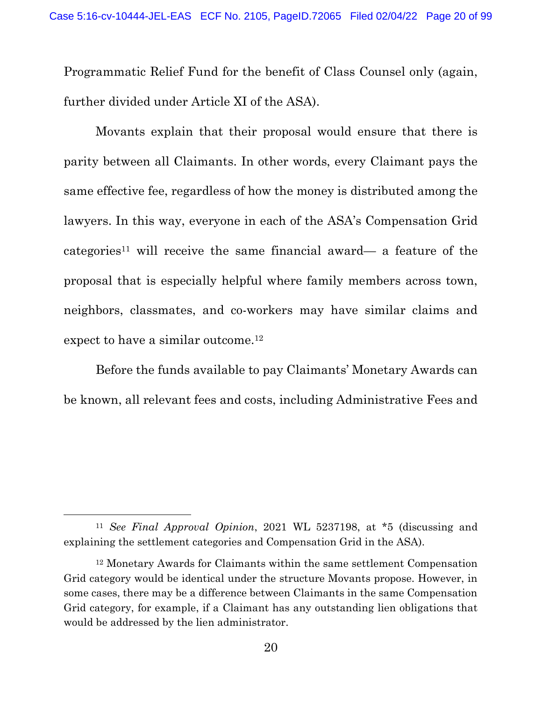Programmatic Relief Fund for the benefit of Class Counsel only (again, further divided under Article XI of the ASA).

 Movants explain that their proposal would ensure that there is parity between all Claimants. In other words, every Claimant pays the same effective fee, regardless of how the money is distributed among the lawyers. In this way, everyone in each of the ASA's Compensation Grid categories<sup>11</sup> will receive the same financial award— a feature of the proposal that is especially helpful where family members across town, neighbors, classmates, and co-workers may have similar claims and expect to have a similar outcome.<sup>12</sup>

 Before the funds available to pay Claimants' Monetary Awards can be known, all relevant fees and costs, including Administrative Fees and

<sup>11</sup> See Final Approval Opinion, 2021 WL 5237198, at \*5 (discussing and explaining the settlement categories and Compensation Grid in the ASA).

<sup>12</sup> Monetary Awards for Claimants within the same settlement Compensation Grid category would be identical under the structure Movants propose. However, in some cases, there may be a difference between Claimants in the same Compensation Grid category, for example, if a Claimant has any outstanding lien obligations that would be addressed by the lien administrator.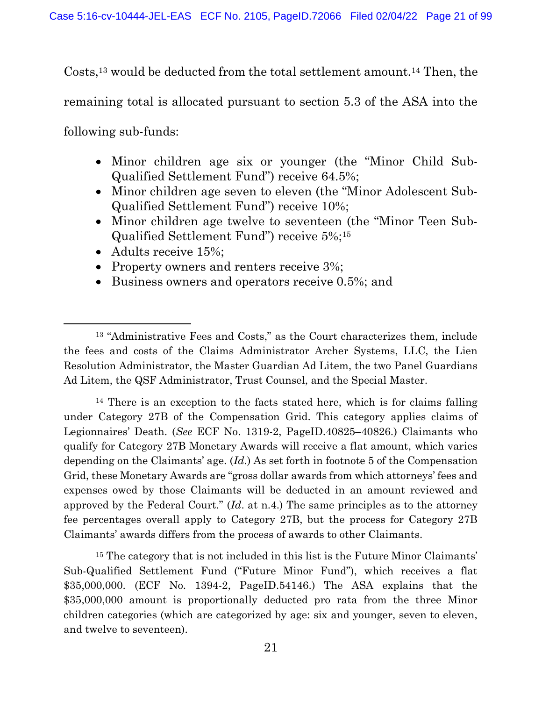Costs,13 would be deducted from the total settlement amount.14 Then, the remaining total is allocated pursuant to section 5.3 of the ASA into the following sub-funds:

- Minor children age six or younger (the "Minor Child Sub-Qualified Settlement Fund") receive 64.5%;
- Minor children age seven to eleven (the "Minor Adolescent Sub-Qualified Settlement Fund") receive 10%;
- Minor children age twelve to seventeen (the "Minor Teen Sub-Qualified Settlement Fund") receive 5%;<sup>15</sup>
- Adults receive 15%;
- Property owners and renters receive  $3\%$ ;
- Business owners and operators receive 0.5%; and

<sup>14</sup> There is an exception to the facts stated here, which is for claims falling under Category 27B of the Compensation Grid. This category applies claims of Legionnaires' Death. (See ECF No. 1319-2, PageID.40825–40826.) Claimants who qualify for Category 27B Monetary Awards will receive a flat amount, which varies depending on the Claimants' age. (Id.) As set forth in footnote 5 of the Compensation Grid, these Monetary Awards are "gross dollar awards from which attorneys' fees and expenses owed by those Claimants will be deducted in an amount reviewed and approved by the Federal Court." (Id. at n.4.) The same principles as to the attorney fee percentages overall apply to Category 27B, but the process for Category 27B Claimants' awards differs from the process of awards to other Claimants.

<sup>15</sup> The category that is not included in this list is the Future Minor Claimants' Sub-Qualified Settlement Fund ("Future Minor Fund"), which receives a flat \$35,000,000. (ECF No. 1394-2, PageID.54146.) The ASA explains that the \$35,000,000 amount is proportionally deducted pro rata from the three Minor children categories (which are categorized by age: six and younger, seven to eleven, and twelve to seventeen).

<sup>13</sup> "Administrative Fees and Costs," as the Court characterizes them, include the fees and costs of the Claims Administrator Archer Systems, LLC, the Lien Resolution Administrator, the Master Guardian Ad Litem, the two Panel Guardians Ad Litem, the QSF Administrator, Trust Counsel, and the Special Master.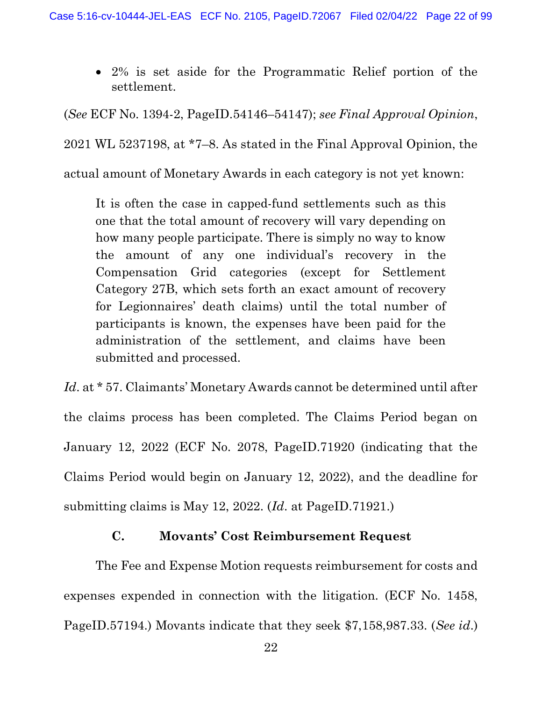2% is set aside for the Programmatic Relief portion of the settlement.

(See ECF No. 1394-2, PageID.54146–54147); see Final Approval Opinion, 2021 WL 5237198, at \*7–8. As stated in the Final Approval Opinion, the actual amount of Monetary Awards in each category is not yet known:

It is often the case in capped-fund settlements such as this one that the total amount of recovery will vary depending on how many people participate. There is simply no way to know the amount of any one individual's recovery in the Compensation Grid categories (except for Settlement Category 27B, which sets forth an exact amount of recovery for Legionnaires' death claims) until the total number of participants is known, the expenses have been paid for the administration of the settlement, and claims have been submitted and processed.

Id. at \* 57. Claimants' Monetary Awards cannot be determined until after the claims process has been completed. The Claims Period began on January 12, 2022 (ECF No. 2078, PageID.71920 (indicating that the Claims Period would begin on January 12, 2022), and the deadline for submitting claims is May 12, 2022. (Id. at PageID.71921.)

## C. Movants' Cost Reimbursement Request

 The Fee and Expense Motion requests reimbursement for costs and expenses expended in connection with the litigation. (ECF No. 1458, PageID.57194.) Movants indicate that they seek \$7,158,987.33. (See id.)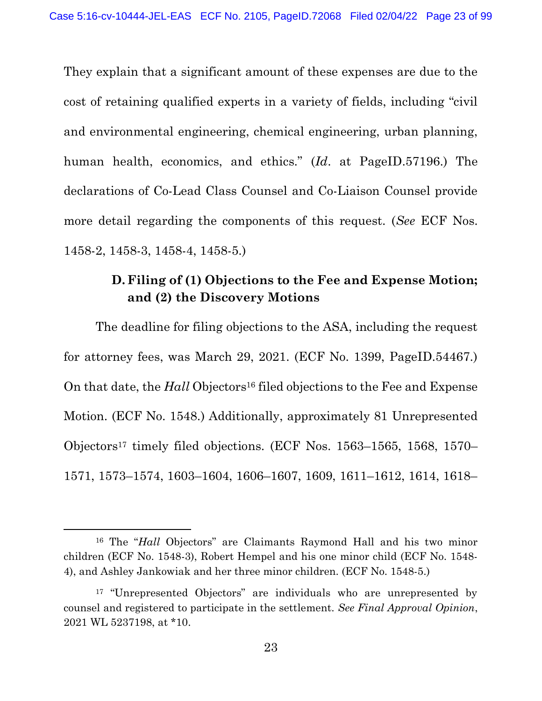They explain that a significant amount of these expenses are due to the cost of retaining qualified experts in a variety of fields, including "civil and environmental engineering, chemical engineering, urban planning, human health, economics, and ethics." (Id. at PageID.57196.) The declarations of Co-Lead Class Counsel and Co-Liaison Counsel provide more detail regarding the components of this request. (See ECF Nos. 1458-2, 1458-3, 1458-4, 1458-5.)

# D. Filing of (1) Objections to the Fee and Expense Motion; and (2) the Discovery Motions

The deadline for filing objections to the ASA, including the request for attorney fees, was March 29, 2021. (ECF No. 1399, PageID.54467.) On that date, the *Hall* Objectors<sup>16</sup> filed objections to the Fee and Expense Motion. (ECF No. 1548.) Additionally, approximately 81 Unrepresented Objectors17 timely filed objections. (ECF Nos. 1563–1565, 1568, 1570– 1571, 1573–1574, 1603–1604, 1606–1607, 1609, 1611–1612, 1614, 1618–

<sup>16</sup> The "Hall Objectors" are Claimants Raymond Hall and his two minor children (ECF No. 1548-3), Robert Hempel and his one minor child (ECF No. 1548- 4), and Ashley Jankowiak and her three minor children. (ECF No. 1548-5.)

<sup>&</sup>lt;sup>17</sup> "Unrepresented Objectors" are individuals who are unrepresented by counsel and registered to participate in the settlement. See Final Approval Opinion, 2021 WL 5237198, at \*10.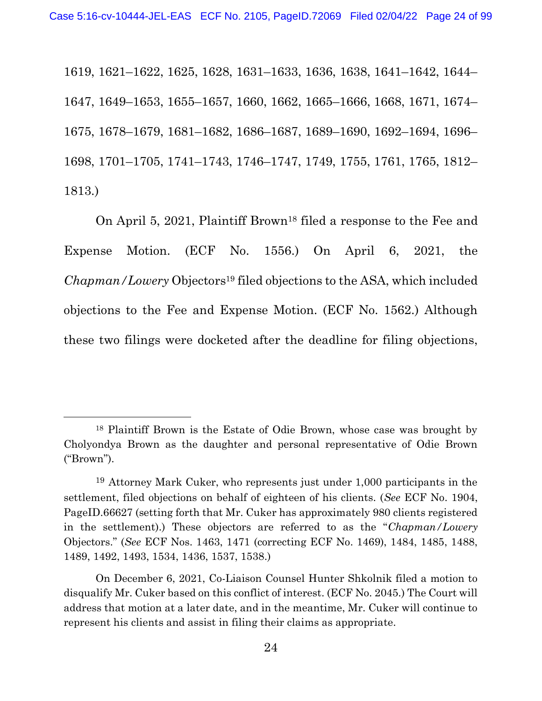1619, 1621–1622, 1625, 1628, 1631–1633, 1636, 1638, 1641–1642, 1644– 1647, 1649–1653, 1655–1657, 1660, 1662, 1665–1666, 1668, 1671, 1674– 1675, 1678–1679, 1681–1682, 1686–1687, 1689–1690, 1692–1694, 1696– 1698, 1701–1705, 1741–1743, 1746–1747, 1749, 1755, 1761, 1765, 1812– 1813.)

On April 5, 2021, Plaintiff Brown<sup>18</sup> filed a response to the Fee and Expense Motion. (ECF No. 1556.) On April 6, 2021, the Chapman/Lowery Objectors19 filed objections to the ASA, which included objections to the Fee and Expense Motion. (ECF No. 1562.) Although these two filings were docketed after the deadline for filing objections,

<sup>18</sup> Plaintiff Brown is the Estate of Odie Brown, whose case was brought by Cholyondya Brown as the daughter and personal representative of Odie Brown ("Brown").

<sup>19</sup> Attorney Mark Cuker, who represents just under 1,000 participants in the settlement, filed objections on behalf of eighteen of his clients. (See ECF No. 1904, PageID.66627 (setting forth that Mr. Cuker has approximately 980 clients registered in the settlement).) These objectors are referred to as the "Chapman/Lowery Objectors." (See ECF Nos. 1463, 1471 (correcting ECF No. 1469), 1484, 1485, 1488, 1489, 1492, 1493, 1534, 1436, 1537, 1538.)

On December 6, 2021, Co-Liaison Counsel Hunter Shkolnik filed a motion to disqualify Mr. Cuker based on this conflict of interest. (ECF No. 2045.) The Court will address that motion at a later date, and in the meantime, Mr. Cuker will continue to represent his clients and assist in filing their claims as appropriate.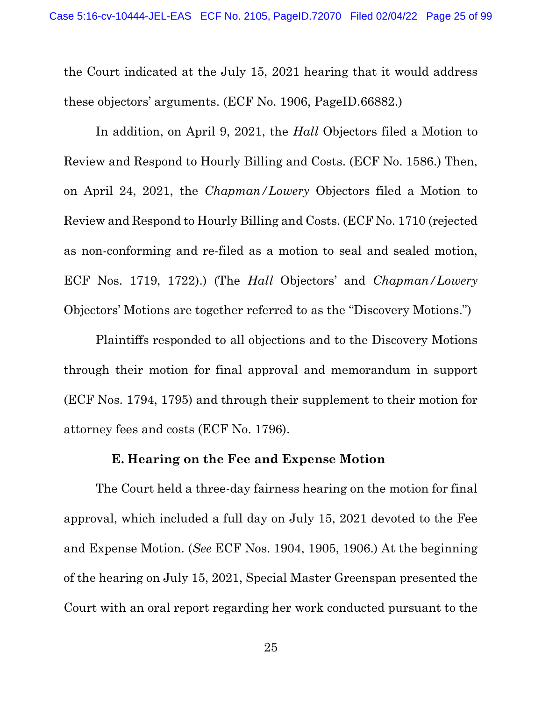the Court indicated at the July 15, 2021 hearing that it would address these objectors' arguments. (ECF No. 1906, PageID.66882.)

In addition, on April 9, 2021, the *Hall* Objectors filed a Motion to Review and Respond to Hourly Billing and Costs. (ECF No. 1586.) Then, on April 24, 2021, the Chapman/Lowery Objectors filed a Motion to Review and Respond to Hourly Billing and Costs. (ECF No. 1710 (rejected as non-conforming and re-filed as a motion to seal and sealed motion, ECF Nos. 1719, 1722).) (The Hall Objectors' and Chapman/Lowery Objectors' Motions are together referred to as the "Discovery Motions.")

Plaintiffs responded to all objections and to the Discovery Motions through their motion for final approval and memorandum in support (ECF Nos. 1794, 1795) and through their supplement to their motion for attorney fees and costs (ECF No. 1796).

#### E. Hearing on the Fee and Expense Motion

The Court held a three-day fairness hearing on the motion for final approval, which included a full day on July 15, 2021 devoted to the Fee and Expense Motion. (See ECF Nos. 1904, 1905, 1906.) At the beginning of the hearing on July 15, 2021, Special Master Greenspan presented the Court with an oral report regarding her work conducted pursuant to the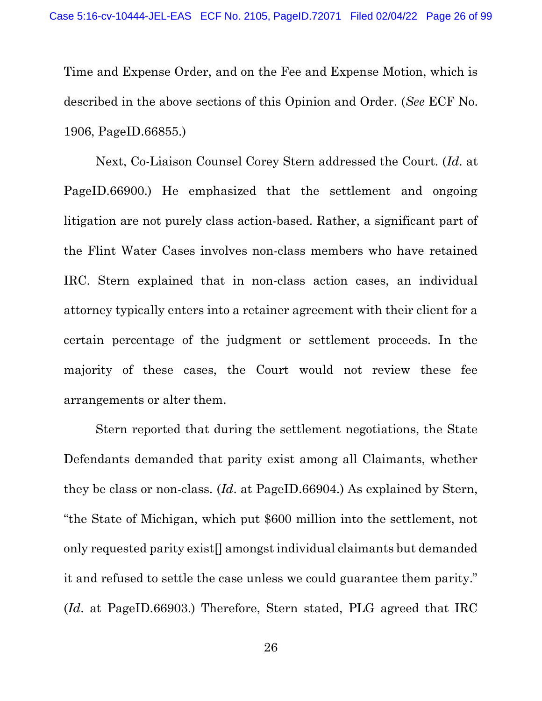Time and Expense Order, and on the Fee and Expense Motion, which is described in the above sections of this Opinion and Order. (See ECF No. 1906, PageID.66855.)

Next, Co-Liaison Counsel Corey Stern addressed the Court. (Id. at PageID.66900.) He emphasized that the settlement and ongoing litigation are not purely class action-based. Rather, a significant part of the Flint Water Cases involves non-class members who have retained IRC. Stern explained that in non-class action cases, an individual attorney typically enters into a retainer agreement with their client for a certain percentage of the judgment or settlement proceeds. In the majority of these cases, the Court would not review these fee arrangements or alter them.

Stern reported that during the settlement negotiations, the State Defendants demanded that parity exist among all Claimants, whether they be class or non-class. (Id. at PageID.66904.) As explained by Stern, "the State of Michigan, which put \$600 million into the settlement, not only requested parity exist[] amongst individual claimants but demanded it and refused to settle the case unless we could guarantee them parity." (Id. at PageID.66903.) Therefore, Stern stated, PLG agreed that IRC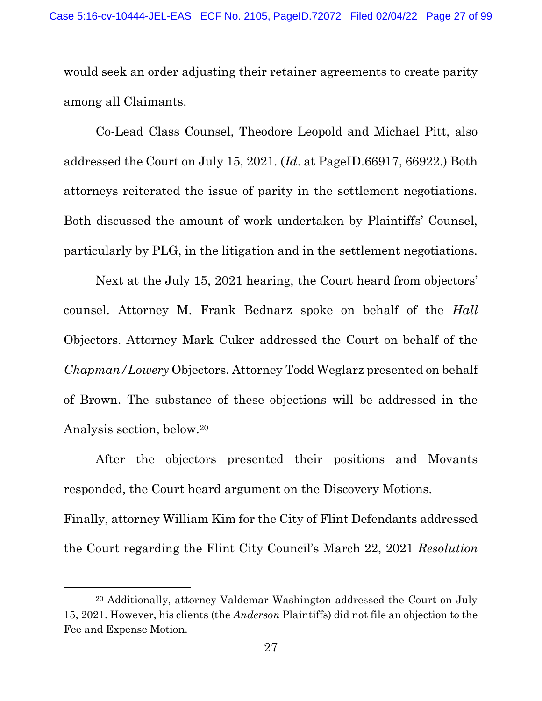would seek an order adjusting their retainer agreements to create parity among all Claimants.

Co-Lead Class Counsel, Theodore Leopold and Michael Pitt, also addressed the Court on July 15, 2021. (Id. at PageID.66917, 66922.) Both attorneys reiterated the issue of parity in the settlement negotiations. Both discussed the amount of work undertaken by Plaintiffs' Counsel, particularly by PLG, in the litigation and in the settlement negotiations.

Next at the July 15, 2021 hearing, the Court heard from objectors' counsel. Attorney M. Frank Bednarz spoke on behalf of the Hall Objectors. Attorney Mark Cuker addressed the Court on behalf of the Chapman/Lowery Objectors. Attorney Todd Weglarz presented on behalf of Brown. The substance of these objections will be addressed in the Analysis section, below.<sup>20</sup>

After the objectors presented their positions and Movants responded, the Court heard argument on the Discovery Motions. Finally, attorney William Kim for the City of Flint Defendants addressed

the Court regarding the Flint City Council's March 22, 2021 Resolution

<sup>20</sup> Additionally, attorney Valdemar Washington addressed the Court on July 15, 2021. However, his clients (the Anderson Plaintiffs) did not file an objection to the Fee and Expense Motion.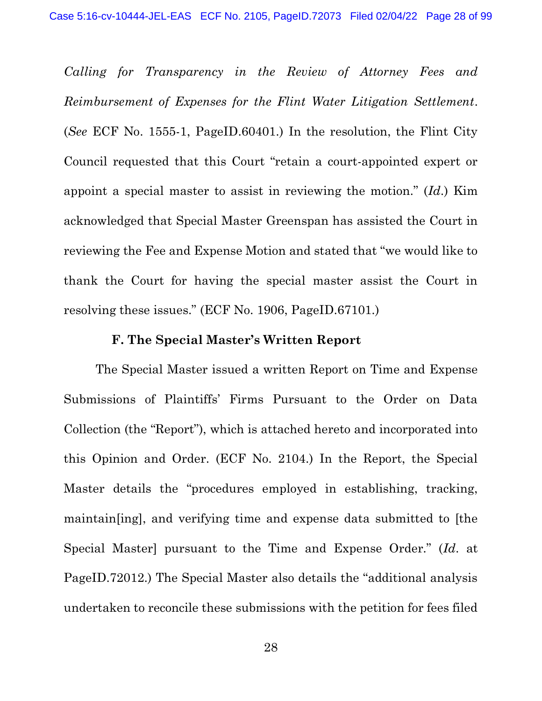Calling for Transparency in the Review of Attorney Fees and Reimbursement of Expenses for the Flint Water Litigation Settlement. (See ECF No. 1555-1, PageID.60401.) In the resolution, the Flint City Council requested that this Court "retain a court-appointed expert or appoint a special master to assist in reviewing the motion."  $(Id.)$  Kim acknowledged that Special Master Greenspan has assisted the Court in reviewing the Fee and Expense Motion and stated that "we would like to thank the Court for having the special master assist the Court in resolving these issues." (ECF No. 1906, PageID.67101.)

#### F. The Special Master's Written Report

The Special Master issued a written Report on Time and Expense Submissions of Plaintiffs' Firms Pursuant to the Order on Data Collection (the "Report"), which is attached hereto and incorporated into this Opinion and Order. (ECF No. 2104.) In the Report, the Special Master details the "procedures employed in establishing, tracking, maintain[ing], and verifying time and expense data submitted to [the Special Master] pursuant to the Time and Expense Order." (Id. at PageID.72012.) The Special Master also details the "additional analysis undertaken to reconcile these submissions with the petition for fees filed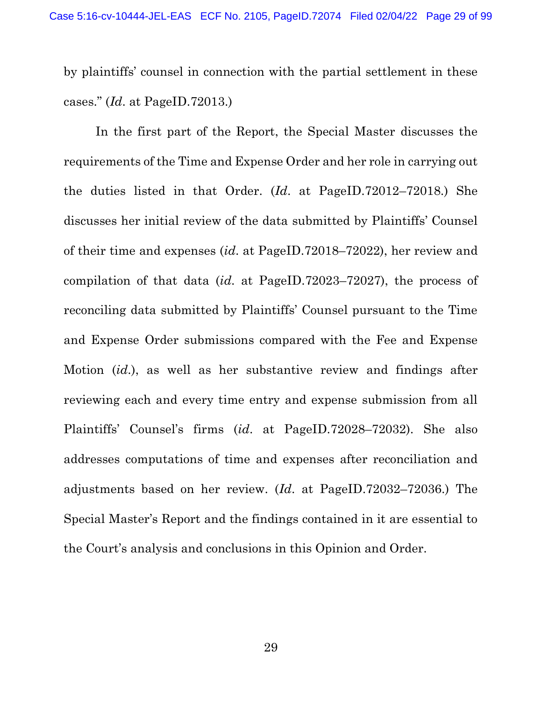by plaintiffs' counsel in connection with the partial settlement in these cases." (Id. at PageID.72013.)

In the first part of the Report, the Special Master discusses the requirements of the Time and Expense Order and her role in carrying out the duties listed in that Order. (Id. at PageID.72012–72018.) She discusses her initial review of the data submitted by Plaintiffs' Counsel of their time and expenses (id. at PageID.72018–72022), her review and compilation of that data (id. at PageID.72023–72027), the process of reconciling data submitted by Plaintiffs' Counsel pursuant to the Time and Expense Order submissions compared with the Fee and Expense Motion (id.), as well as her substantive review and findings after reviewing each and every time entry and expense submission from all Plaintiffs' Counsel's firms (id. at PageID.72028–72032). She also addresses computations of time and expenses after reconciliation and adjustments based on her review. (Id. at PageID.72032–72036.) The Special Master's Report and the findings contained in it are essential to the Court's analysis and conclusions in this Opinion and Order.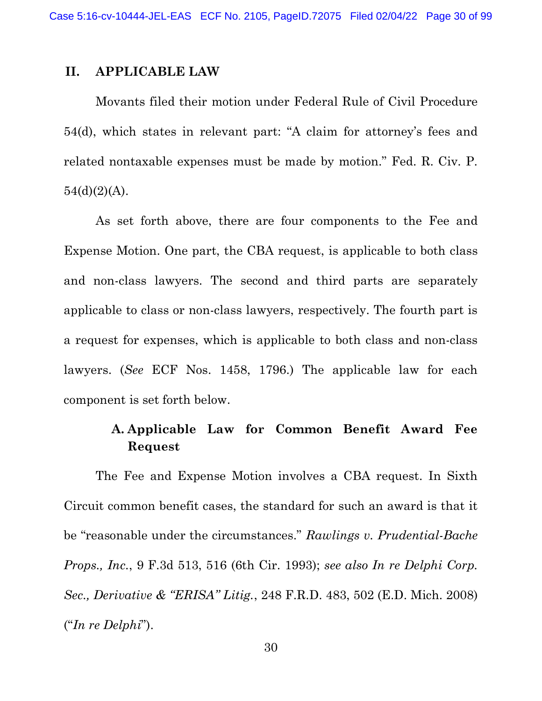### II. APPLICABLE LAW

 Movants filed their motion under Federal Rule of Civil Procedure 54(d), which states in relevant part: "A claim for attorney's fees and related nontaxable expenses must be made by motion." Fed. R. Civ. P.  $54(d)(2)(A)$ .

 As set forth above, there are four components to the Fee and Expense Motion. One part, the CBA request, is applicable to both class and non-class lawyers. The second and third parts are separately applicable to class or non-class lawyers, respectively. The fourth part is a request for expenses, which is applicable to both class and non-class lawyers. (See ECF Nos. 1458, 1796.) The applicable law for each component is set forth below.

# A. Applicable Law for Common Benefit Award Fee Request

 The Fee and Expense Motion involves a CBA request. In Sixth Circuit common benefit cases, the standard for such an award is that it be "reasonable under the circumstances." Rawlings v. Prudential-Bache Props., Inc., 9 F.3d 513, 516 (6th Cir. 1993); see also In re Delphi Corp. Sec., Derivative & "ERISA" Litig., 248 F.R.D. 483, 502 (E.D. Mich. 2008) ("In re Delphi").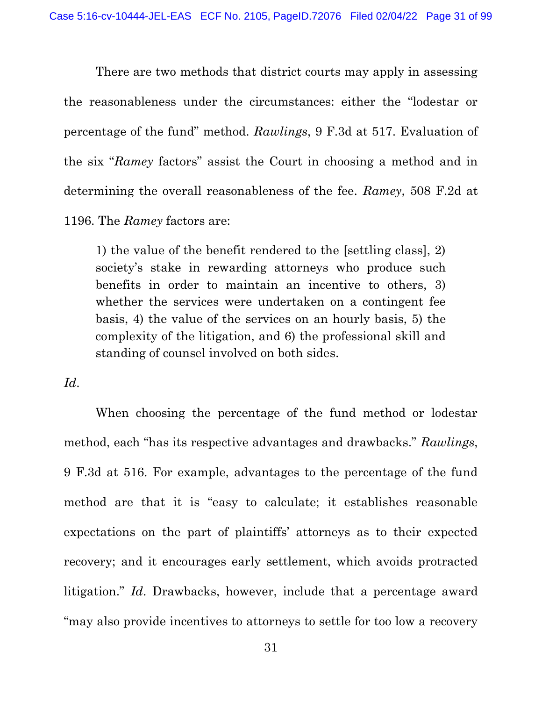There are two methods that district courts may apply in assessing the reasonableness under the circumstances: either the "lodestar or percentage of the fund" method. Rawlings, 9 F.3d at 517. Evaluation of the six "Ramey factors" assist the Court in choosing a method and in determining the overall reasonableness of the fee. Ramey, 508 F.2d at 1196. The Ramey factors are:

1) the value of the benefit rendered to the [settling class], 2) society's stake in rewarding attorneys who produce such benefits in order to maintain an incentive to others, 3) whether the services were undertaken on a contingent fee basis, 4) the value of the services on an hourly basis, 5) the complexity of the litigation, and 6) the professional skill and standing of counsel involved on both sides.

Id.

 When choosing the percentage of the fund method or lodestar method, each "has its respective advantages and drawbacks." Rawlings, 9 F.3d at 516. For example, advantages to the percentage of the fund method are that it is "easy to calculate; it establishes reasonable expectations on the part of plaintiffs' attorneys as to their expected recovery; and it encourages early settlement, which avoids protracted litigation." Id. Drawbacks, however, include that a percentage award "may also provide incentives to attorneys to settle for too low a recovery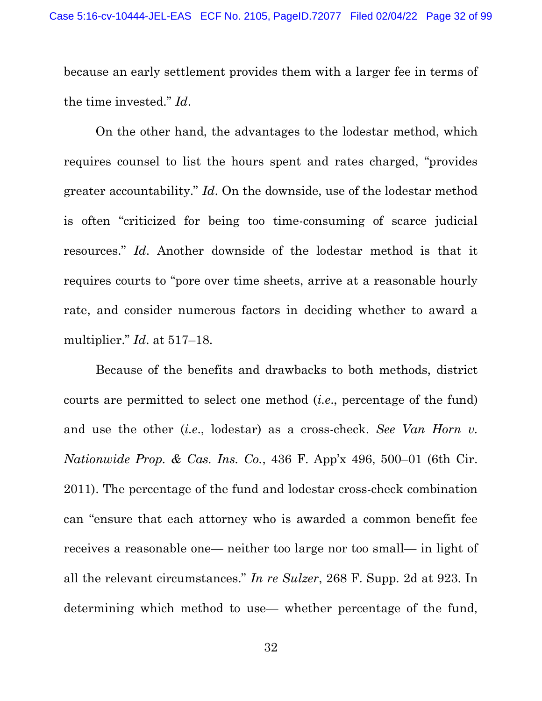because an early settlement provides them with a larger fee in terms of the time invested." Id.

 On the other hand, the advantages to the lodestar method, which requires counsel to list the hours spent and rates charged, "provides greater accountability." Id. On the downside, use of the lodestar method is often "criticized for being too time-consuming of scarce judicial resources." Id. Another downside of the lodestar method is that it requires courts to "pore over time sheets, arrive at a reasonable hourly rate, and consider numerous factors in deciding whether to award a multiplier." *Id.* at 517–18.

 Because of the benefits and drawbacks to both methods, district courts are permitted to select one method (i.e., percentage of the fund) and use the other *(i.e., lodestar)* as a cross-check. See Van Horn v. Nationwide Prop. & Cas. Ins. Co., 436 F. App'x 496, 500–01 (6th Cir. 2011). The percentage of the fund and lodestar cross-check combination can "ensure that each attorney who is awarded a common benefit fee receives a reasonable one— neither too large nor too small— in light of all the relevant circumstances." In re Sulzer, 268 F. Supp. 2d at 923. In determining which method to use— whether percentage of the fund,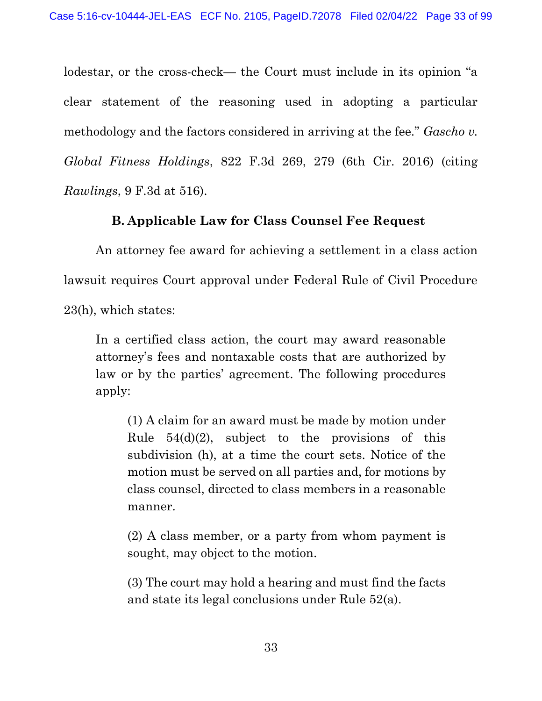lodestar, or the cross-check— the Court must include in its opinion "a clear statement of the reasoning used in adopting a particular methodology and the factors considered in arriving at the fee." Gascho v. Global Fitness Holdings, 822 F.3d 269, 279 (6th Cir. 2016) (citing Rawlings, 9 F.3d at 516).

## B. Applicable Law for Class Counsel Fee Request

 An attorney fee award for achieving a settlement in a class action lawsuit requires Court approval under Federal Rule of Civil Procedure 23(h), which states:

In a certified class action, the court may award reasonable attorney's fees and nontaxable costs that are authorized by law or by the parties' agreement. The following procedures apply:

(1) A claim for an award must be made by motion under Rule  $54(d)(2)$ , subject to the provisions of this subdivision (h), at a time the court sets. Notice of the motion must be served on all parties and, for motions by class counsel, directed to class members in a reasonable manner.

(2) A class member, or a party from whom payment is sought, may object to the motion.

(3) The court may hold a hearing and must find the facts and state its legal conclusions under Rule 52(a).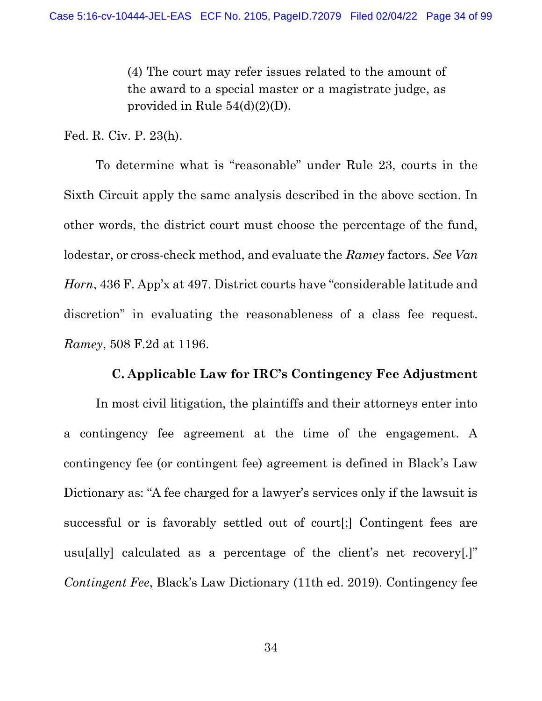(4) The court may refer issues related to the amount of the award to a special master or a magistrate judge, as provided in Rule 54(d)(2)(D).

Fed. R. Civ. P. 23(h).

 To determine what is "reasonable" under Rule 23, courts in the Sixth Circuit apply the same analysis described in the above section. In other words, the district court must choose the percentage of the fund, lodestar, or cross-check method, and evaluate the Ramey factors. See Van Horn, 436 F. App'x at 497. District courts have "considerable latitude and discretion" in evaluating the reasonableness of a class fee request. Ramey, 508 F.2d at 1196.

#### C. Applicable Law for IRC's Contingency Fee Adjustment

 In most civil litigation, the plaintiffs and their attorneys enter into a contingency fee agreement at the time of the engagement. A contingency fee (or contingent fee) agreement is defined in Black's Law Dictionary as: "A fee charged for a lawyer's services only if the lawsuit is successful or is favorably settled out of court[;] Contingent fees are usu[ally] calculated as a percentage of the client's net recovery[.]" Contingent Fee, Black's Law Dictionary (11th ed. 2019). Contingency fee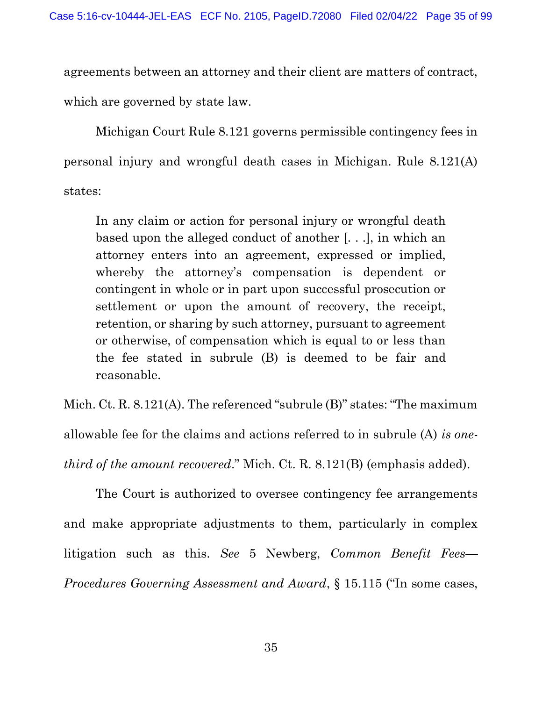agreements between an attorney and their client are matters of contract, which are governed by state law.

 Michigan Court Rule 8.121 governs permissible contingency fees in personal injury and wrongful death cases in Michigan. Rule 8.121(A) states:

In any claim or action for personal injury or wrongful death based upon the alleged conduct of another [. . .], in which an attorney enters into an agreement, expressed or implied, whereby the attorney's compensation is dependent or contingent in whole or in part upon successful prosecution or settlement or upon the amount of recovery, the receipt, retention, or sharing by such attorney, pursuant to agreement or otherwise, of compensation which is equal to or less than the fee stated in subrule (B) is deemed to be fair and reasonable.

Mich. Ct. R. 8.121(A). The referenced "subrule (B)" states: "The maximum allowable fee for the claims and actions referred to in subrule (A) is onethird of the amount recovered." Mich. Ct. R. 8.121(B) (emphasis added).

 The Court is authorized to oversee contingency fee arrangements and make appropriate adjustments to them, particularly in complex litigation such as this. See 5 Newberg, Common Benefit Fees— Procedures Governing Assessment and Award, § 15.115 ("In some cases,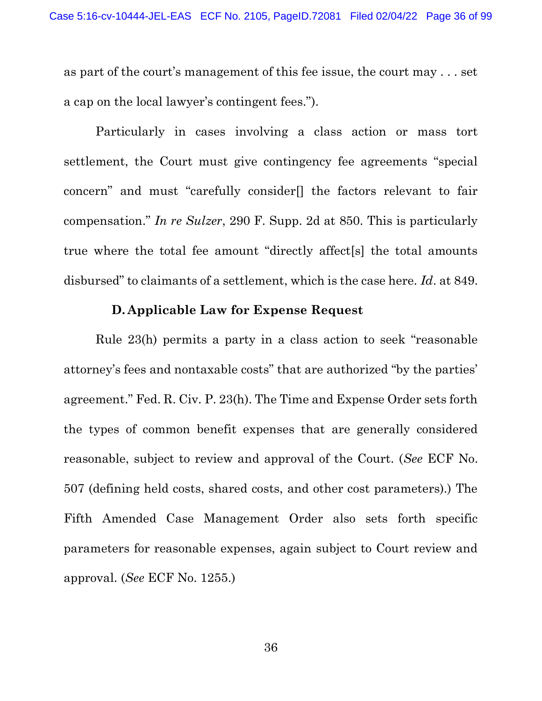as part of the court's management of this fee issue, the court may . . . set a cap on the local lawyer's contingent fees.").

 Particularly in cases involving a class action or mass tort settlement, the Court must give contingency fee agreements "special concern" and must "carefully consider[] the factors relevant to fair compensation." In re Sulzer, 290 F. Supp. 2d at 850. This is particularly true where the total fee amount "directly affect[s] the total amounts disbursed" to claimants of a settlement, which is the case here. Id. at 849.

#### D. Applicable Law for Expense Request

 Rule 23(h) permits a party in a class action to seek "reasonable attorney's fees and nontaxable costs" that are authorized "by the parties' agreement." Fed. R. Civ. P. 23(h). The Time and Expense Order sets forth the types of common benefit expenses that are generally considered reasonable, subject to review and approval of the Court. (See ECF No. 507 (defining held costs, shared costs, and other cost parameters).) The Fifth Amended Case Management Order also sets forth specific parameters for reasonable expenses, again subject to Court review and approval. (See ECF No. 1255.)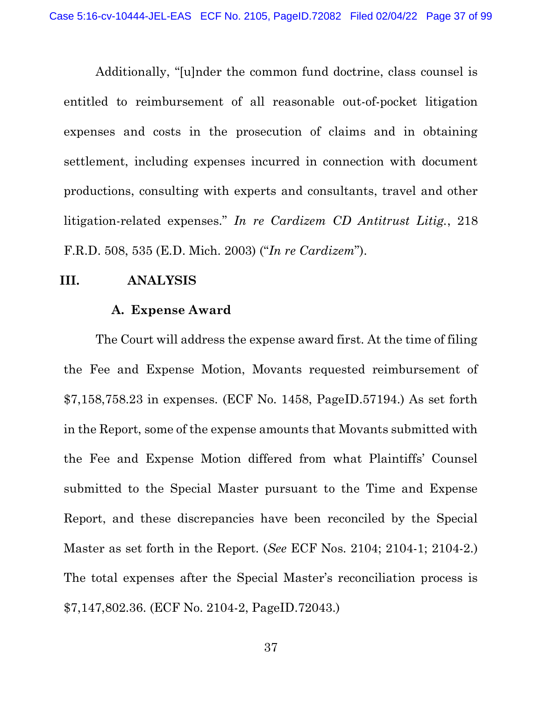Additionally, "[u]nder the common fund doctrine, class counsel is entitled to reimbursement of all reasonable out-of-pocket litigation expenses and costs in the prosecution of claims and in obtaining settlement, including expenses incurred in connection with document productions, consulting with experts and consultants, travel and other litigation-related expenses." In re Cardizem CD Antitrust Litig., 218 F.R.D. 508, 535 (E.D. Mich. 2003) ("In re Cardizem").

#### III. ANALYSIS

#### A. Expense Award

 The Court will address the expense award first. At the time of filing the Fee and Expense Motion, Movants requested reimbursement of \$7,158,758.23 in expenses. (ECF No. 1458, PageID.57194.) As set forth in the Report, some of the expense amounts that Movants submitted with the Fee and Expense Motion differed from what Plaintiffs' Counsel submitted to the Special Master pursuant to the Time and Expense Report, and these discrepancies have been reconciled by the Special Master as set forth in the Report. (See ECF Nos. 2104; 2104-1; 2104-2.) The total expenses after the Special Master's reconciliation process is \$7,147,802.36. (ECF No. 2104-2, PageID.72043.)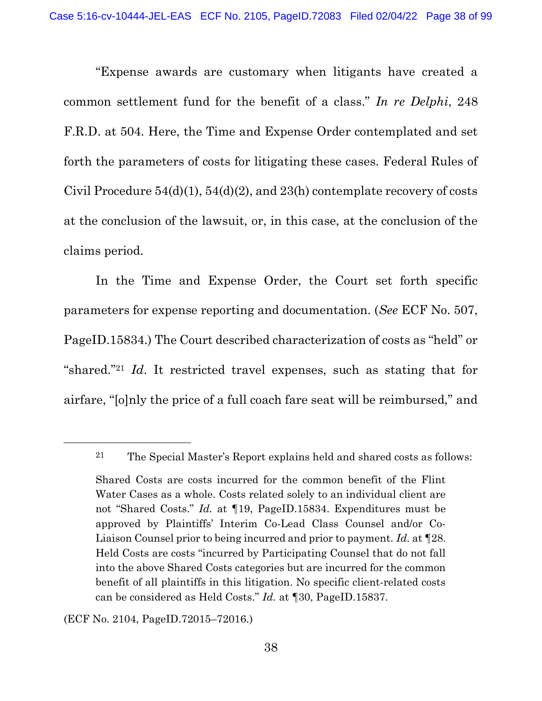"Expense awards are customary when litigants have created a common settlement fund for the benefit of a class." In re Delphi, 248 F.R.D. at 504. Here, the Time and Expense Order contemplated and set forth the parameters of costs for litigating these cases. Federal Rules of Civil Procedure  $54(d)(1)$ ,  $54(d)(2)$ , and  $23(h)$  contemplate recovery of costs at the conclusion of the lawsuit, or, in this case, at the conclusion of the claims period.

 In the Time and Expense Order, the Court set forth specific parameters for expense reporting and documentation. (See ECF No. 507, PageID.15834.) The Court described characterization of costs as "held" or "shared."<sup>21</sup> Id. It restricted travel expenses, such as stating that for airfare, "[o]nly the price of a full coach fare seat will be reimbursed," and

<sup>21</sup> The Special Master's Report explains held and shared costs as follows:

Shared Costs are costs incurred for the common benefit of the Flint Water Cases as a whole. Costs related solely to an individual client are not "Shared Costs." Id. at [19, PageID.15834. Expenditures must be approved by Plaintiffs' Interim Co-Lead Class Counsel and/or Co-Liaison Counsel prior to being incurred and prior to payment. Id. at  $\P$ 28. Held Costs are costs "incurred by Participating Counsel that do not fall into the above Shared Costs categories but are incurred for the common benefit of all plaintiffs in this litigation. No specific client-related costs can be considered as Held Costs." Id. at ¶30, PageID.15837.

<sup>(</sup>ECF No. 2104, PageID.72015–72016.)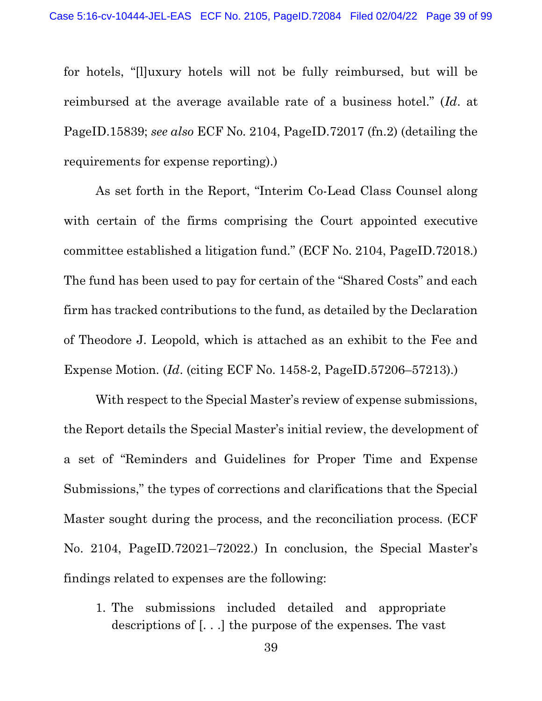for hotels, "[l]uxury hotels will not be fully reimbursed, but will be reimbursed at the average available rate of a business hotel." (Id. at PageID.15839; see also ECF No. 2104, PageID.72017 (fn.2) (detailing the requirements for expense reporting).)

 As set forth in the Report, "Interim Co-Lead Class Counsel along with certain of the firms comprising the Court appointed executive committee established a litigation fund." (ECF No. 2104, PageID.72018.) The fund has been used to pay for certain of the "Shared Costs" and each firm has tracked contributions to the fund, as detailed by the Declaration of Theodore J. Leopold, which is attached as an exhibit to the Fee and Expense Motion. (Id. (citing ECF No. 1458-2, PageID.57206–57213).)

 With respect to the Special Master's review of expense submissions, the Report details the Special Master's initial review, the development of a set of "Reminders and Guidelines for Proper Time and Expense Submissions," the types of corrections and clarifications that the Special Master sought during the process, and the reconciliation process. (ECF No. 2104, PageID.72021–72022.) In conclusion, the Special Master's findings related to expenses are the following:

1. The submissions included detailed and appropriate descriptions of [. . .] the purpose of the expenses. The vast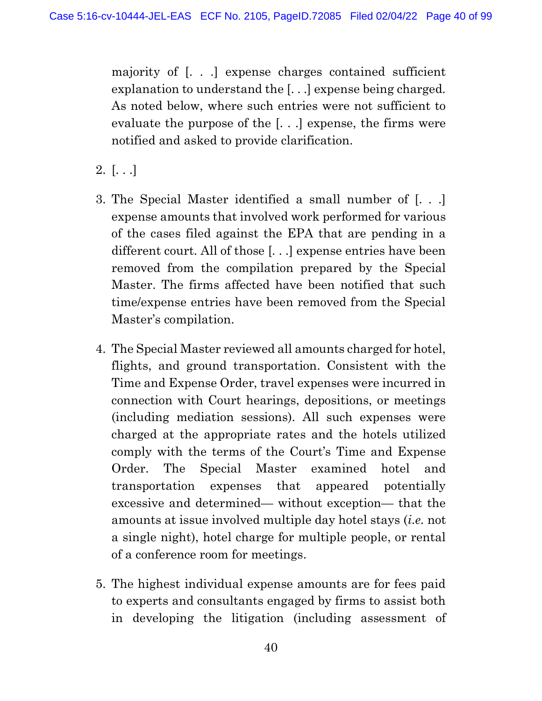majority of [. . .] expense charges contained sufficient explanation to understand the [. . .] expense being charged. As noted below, where such entries were not sufficient to evaluate the purpose of the [. . .] expense, the firms were notified and asked to provide clarification.

- $2.$   $[...]$
- 3. The Special Master identified a small number of [. . .] expense amounts that involved work performed for various of the cases filed against the EPA that are pending in a different court. All of those [. . .] expense entries have been removed from the compilation prepared by the Special Master. The firms affected have been notified that such time/expense entries have been removed from the Special Master's compilation.
- 4. The Special Master reviewed all amounts charged for hotel, flights, and ground transportation. Consistent with the Time and Expense Order, travel expenses were incurred in connection with Court hearings, depositions, or meetings (including mediation sessions). All such expenses were charged at the appropriate rates and the hotels utilized comply with the terms of the Court's Time and Expense Order. The Special Master examined hotel and transportation expenses that appeared potentially excessive and determined— without exception— that the amounts at issue involved multiple day hotel stays (i.e. not a single night), hotel charge for multiple people, or rental of a conference room for meetings.
- 5. The highest individual expense amounts are for fees paid to experts and consultants engaged by firms to assist both in developing the litigation (including assessment of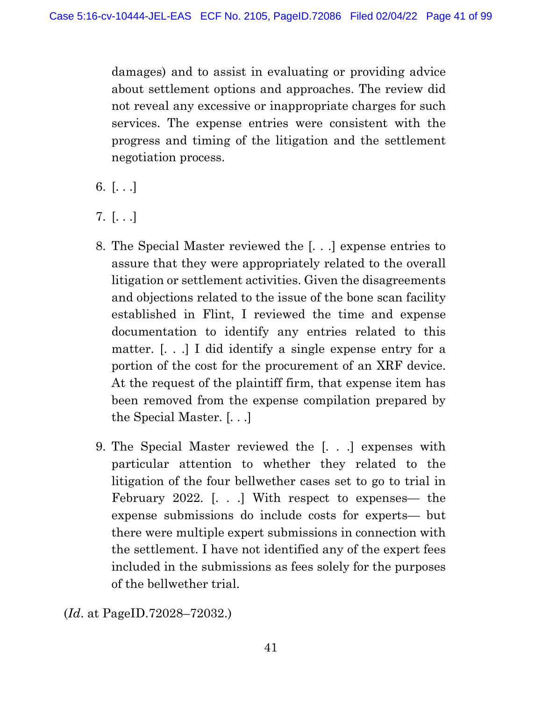damages) and to assist in evaluating or providing advice about settlement options and approaches. The review did not reveal any excessive or inappropriate charges for such services. The expense entries were consistent with the progress and timing of the litigation and the settlement negotiation process.

- 6.  $[...]$
- 7. [. . .]
- 8. The Special Master reviewed the [. . .] expense entries to assure that they were appropriately related to the overall litigation or settlement activities. Given the disagreements and objections related to the issue of the bone scan facility established in Flint, I reviewed the time and expense documentation to identify any entries related to this matter. [. . .] I did identify a single expense entry for a portion of the cost for the procurement of an XRF device. At the request of the plaintiff firm, that expense item has been removed from the expense compilation prepared by the Special Master. [. . .]
- 9. The Special Master reviewed the [. . .] expenses with particular attention to whether they related to the litigation of the four bellwether cases set to go to trial in February 2022. [. . .] With respect to expenses— the expense submissions do include costs for experts— but there were multiple expert submissions in connection with the settlement. I have not identified any of the expert fees included in the submissions as fees solely for the purposes of the bellwether trial.

(Id. at PageID.72028–72032.)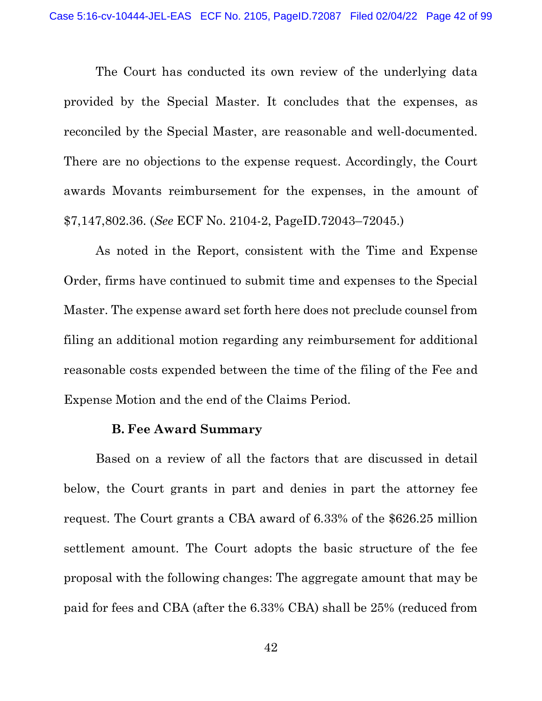The Court has conducted its own review of the underlying data provided by the Special Master. It concludes that the expenses, as reconciled by the Special Master, are reasonable and well-documented. There are no objections to the expense request. Accordingly, the Court awards Movants reimbursement for the expenses, in the amount of \$7,147,802.36. (See ECF No. 2104-2, PageID.72043–72045.)

 As noted in the Report, consistent with the Time and Expense Order, firms have continued to submit time and expenses to the Special Master. The expense award set forth here does not preclude counsel from filing an additional motion regarding any reimbursement for additional reasonable costs expended between the time of the filing of the Fee and Expense Motion and the end of the Claims Period.

## B. Fee Award Summary

 Based on a review of all the factors that are discussed in detail below, the Court grants in part and denies in part the attorney fee request. The Court grants a CBA award of 6.33% of the \$626.25 million settlement amount. The Court adopts the basic structure of the fee proposal with the following changes: The aggregate amount that may be paid for fees and CBA (after the 6.33% CBA) shall be 25% (reduced from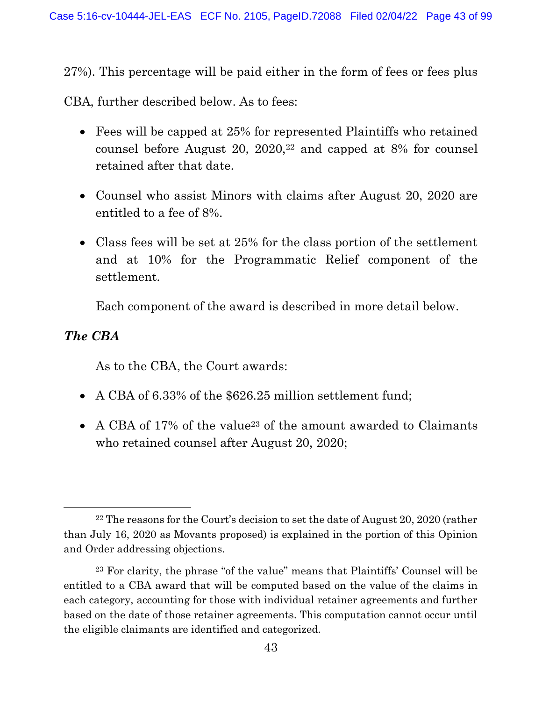27%). This percentage will be paid either in the form of fees or fees plus

CBA, further described below. As to fees:

- Fees will be capped at 25% for represented Plaintiffs who retained counsel before August 20, 2020,22 and capped at 8% for counsel retained after that date.
- Counsel who assist Minors with claims after August 20, 2020 are entitled to a fee of 8%.
- Class fees will be set at 25% for the class portion of the settlement and at 10% for the Programmatic Relief component of the settlement.

Each component of the award is described in more detail below.

## The CBA

As to the CBA, the Court awards:

- A CBA of 6.33% of the \$626.25 million settlement fund;
- A CBA of 17% of the value<sup>23</sup> of the amount awarded to Claimants who retained counsel after August 20, 2020;

<sup>&</sup>lt;sup>22</sup> The reasons for the Court's decision to set the date of August 20, 2020 (rather than July 16, 2020 as Movants proposed) is explained in the portion of this Opinion and Order addressing objections.

<sup>23</sup> For clarity, the phrase "of the value" means that Plaintiffs' Counsel will be entitled to a CBA award that will be computed based on the value of the claims in each category, accounting for those with individual retainer agreements and further based on the date of those retainer agreements. This computation cannot occur until the eligible claimants are identified and categorized.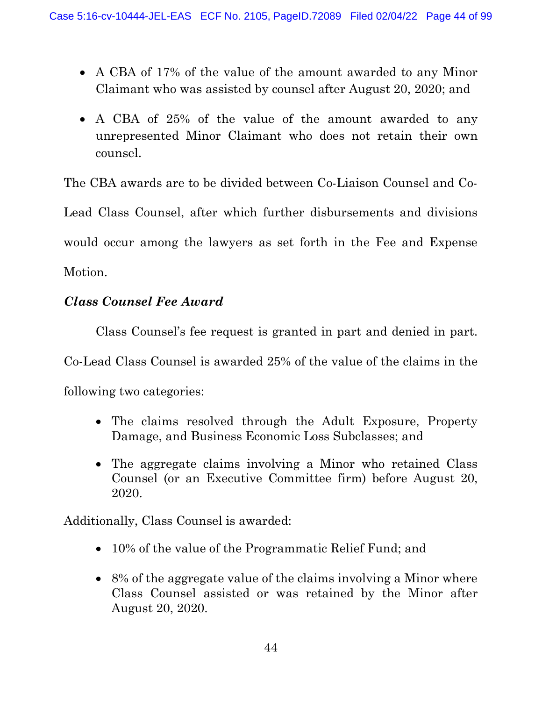- A CBA of 17% of the value of the amount awarded to any Minor Claimant who was assisted by counsel after August 20, 2020; and
- A CBA of 25% of the value of the amount awarded to any unrepresented Minor Claimant who does not retain their own counsel.

The CBA awards are to be divided between Co-Liaison Counsel and Co-

Lead Class Counsel, after which further disbursements and divisions would occur among the lawyers as set forth in the Fee and Expense Motion.

# Class Counsel Fee Award

 Class Counsel's fee request is granted in part and denied in part. Co-Lead Class Counsel is awarded 25% of the value of the claims in the following two categories:

- The claims resolved through the Adult Exposure, Property Damage, and Business Economic Loss Subclasses; and
- The aggregate claims involving a Minor who retained Class Counsel (or an Executive Committee firm) before August 20, 2020.

Additionally, Class Counsel is awarded:

- 10% of the value of the Programmatic Relief Fund; and
- 8% of the aggregate value of the claims involving a Minor where Class Counsel assisted or was retained by the Minor after August 20, 2020.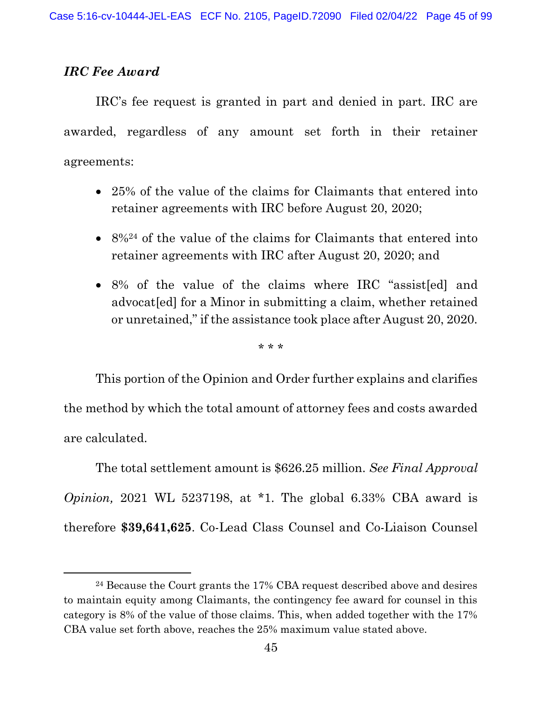## IRC Fee Award

 IRC's fee request is granted in part and denied in part. IRC are awarded, regardless of any amount set forth in their retainer agreements:

- 25% of the value of the claims for Claimants that entered into retainer agreements with IRC before August 20, 2020;
- 8%<sup>24</sup> of the value of the claims for Claimants that entered into retainer agreements with IRC after August 20, 2020; and
- 8% of the value of the claims where IRC "assist[ed] and advocat [ed] for a Minor in submitting a claim, whether retained or unretained," if the assistance took place after August 20, 2020.

\* \* \*

 This portion of the Opinion and Order further explains and clarifies the method by which the total amount of attorney fees and costs awarded are calculated.

The total settlement amount is \$626.25 million. See Final Approval *Opinion*, 2021 WL 5237198, at  $*1$ . The global 6.33% CBA award is therefore \$39,641,625. Co-Lead Class Counsel and Co-Liaison Counsel

<sup>24</sup> Because the Court grants the 17% CBA request described above and desires to maintain equity among Claimants, the contingency fee award for counsel in this category is 8% of the value of those claims. This, when added together with the 17% CBA value set forth above, reaches the 25% maximum value stated above.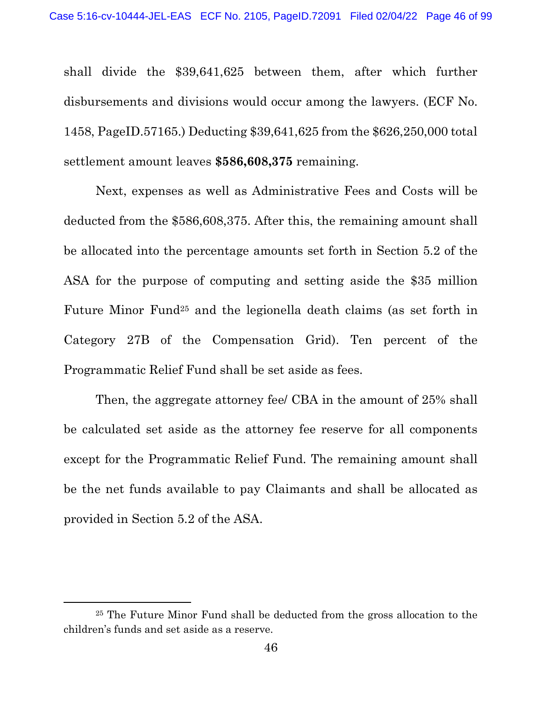shall divide the \$39,641,625 between them, after which further disbursements and divisions would occur among the lawyers. (ECF No. 1458, PageID.57165.) Deducting \$39,641,625 from the \$626,250,000 total settlement amount leaves \$586,608,375 remaining.

 Next, expenses as well as Administrative Fees and Costs will be deducted from the \$586,608,375. After this, the remaining amount shall be allocated into the percentage amounts set forth in Section 5.2 of the ASA for the purpose of computing and setting aside the \$35 million Future Minor Fund25 and the legionella death claims (as set forth in Category 27B of the Compensation Grid). Ten percent of the Programmatic Relief Fund shall be set aside as fees.

 Then, the aggregate attorney fee/ CBA in the amount of 25% shall be calculated set aside as the attorney fee reserve for all components except for the Programmatic Relief Fund. The remaining amount shall be the net funds available to pay Claimants and shall be allocated as provided in Section 5.2 of the ASA.

<sup>25</sup> The Future Minor Fund shall be deducted from the gross allocation to the children's funds and set aside as a reserve.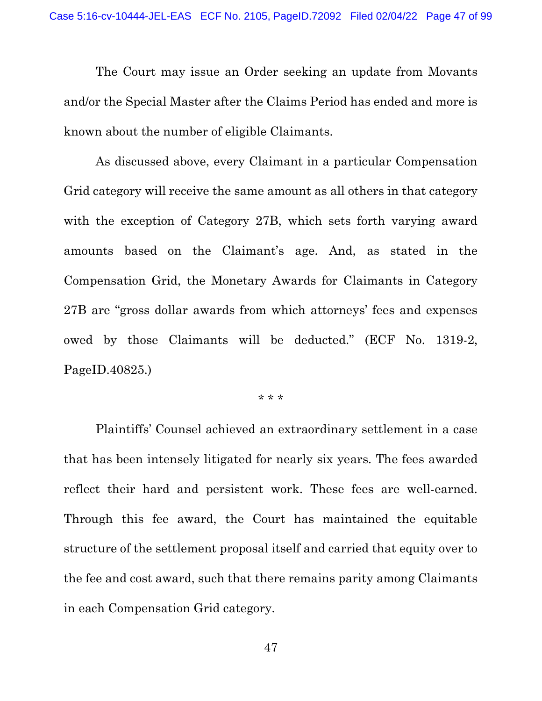The Court may issue an Order seeking an update from Movants and/or the Special Master after the Claims Period has ended and more is known about the number of eligible Claimants.

 As discussed above, every Claimant in a particular Compensation Grid category will receive the same amount as all others in that category with the exception of Category 27B, which sets forth varying award amounts based on the Claimant's age. And, as stated in the Compensation Grid, the Monetary Awards for Claimants in Category 27B are "gross dollar awards from which attorneys' fees and expenses owed by those Claimants will be deducted." (ECF No. 1319-2, PageID.40825.)

\* \* \*

 Plaintiffs' Counsel achieved an extraordinary settlement in a case that has been intensely litigated for nearly six years. The fees awarded reflect their hard and persistent work. These fees are well-earned. Through this fee award, the Court has maintained the equitable structure of the settlement proposal itself and carried that equity over to the fee and cost award, such that there remains parity among Claimants in each Compensation Grid category.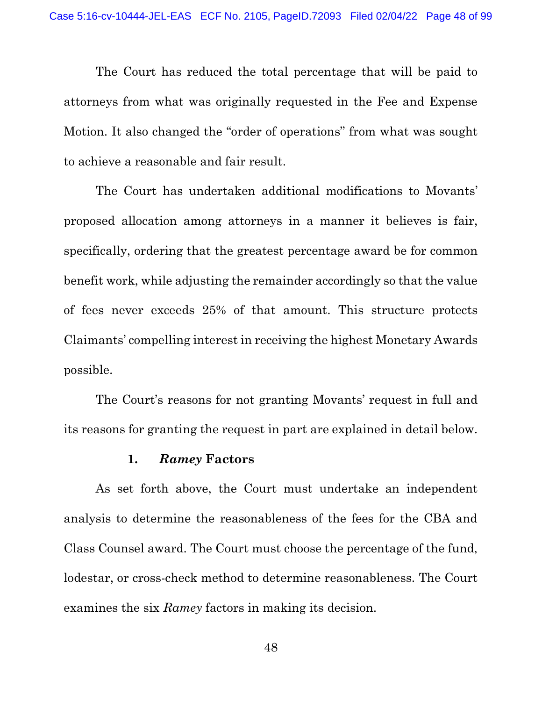The Court has reduced the total percentage that will be paid to attorneys from what was originally requested in the Fee and Expense Motion. It also changed the "order of operations" from what was sought to achieve a reasonable and fair result.

 The Court has undertaken additional modifications to Movants' proposed allocation among attorneys in a manner it believes is fair, specifically, ordering that the greatest percentage award be for common benefit work, while adjusting the remainder accordingly so that the value of fees never exceeds 25% of that amount. This structure protects Claimants' compelling interest in receiving the highest Monetary Awards possible.

 The Court's reasons for not granting Movants' request in full and its reasons for granting the request in part are explained in detail below.

## 1. Ramey Factors

 As set forth above, the Court must undertake an independent analysis to determine the reasonableness of the fees for the CBA and Class Counsel award. The Court must choose the percentage of the fund, lodestar, or cross-check method to determine reasonableness. The Court examines the six Ramey factors in making its decision.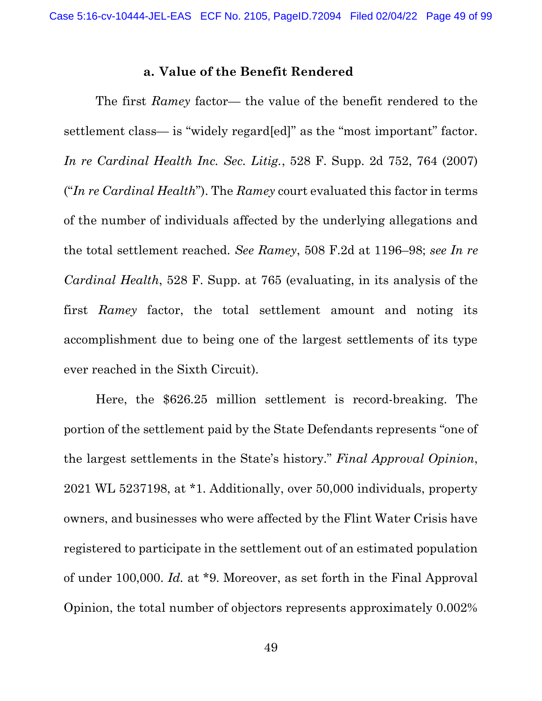#### a. Value of the Benefit Rendered

 The first Ramey factor— the value of the benefit rendered to the settlement class— is "widely regard[ed]" as the "most important" factor. In re Cardinal Health Inc. Sec. Litig., 528 F. Supp. 2d 752, 764 (2007) ("In re Cardinal Health"). The Ramey court evaluated this factor in terms of the number of individuals affected by the underlying allegations and the total settlement reached. See Ramey, 508 F.2d at 1196–98; see In re Cardinal Health, 528 F. Supp. at 765 (evaluating, in its analysis of the first Ramey factor, the total settlement amount and noting its accomplishment due to being one of the largest settlements of its type ever reached in the Sixth Circuit).

 Here, the \$626.25 million settlement is record-breaking. The portion of the settlement paid by the State Defendants represents "one of the largest settlements in the State's history." Final Approval Opinion, 2021 WL 5237198, at \*1. Additionally, over 50,000 individuals, property owners, and businesses who were affected by the Flint Water Crisis have registered to participate in the settlement out of an estimated population of under 100,000. Id. at \*9. Moreover, as set forth in the Final Approval Opinion, the total number of objectors represents approximately 0.002%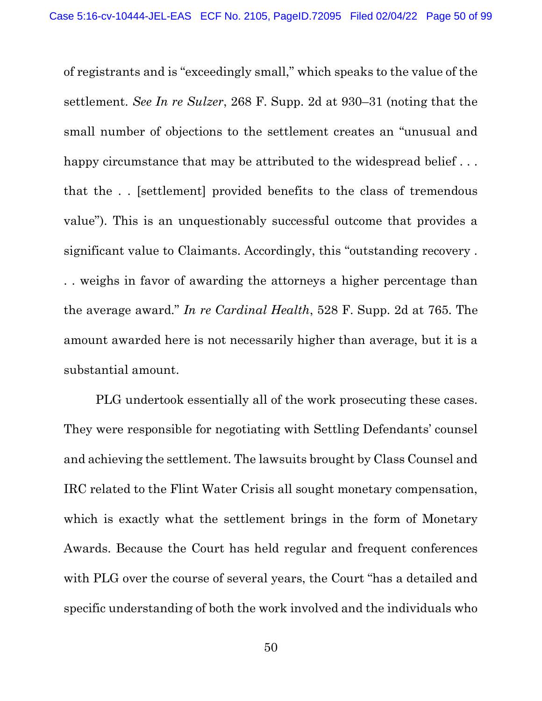of registrants and is "exceedingly small," which speaks to the value of the settlement. See In re Sulzer, 268 F. Supp. 2d at 930–31 (noting that the small number of objections to the settlement creates an "unusual and happy circumstance that may be attributed to the widespread belief ... that the . . [settlement] provided benefits to the class of tremendous value"). This is an unquestionably successful outcome that provides a significant value to Claimants. Accordingly, this "outstanding recovery . . . weighs in favor of awarding the attorneys a higher percentage than the average award." In re Cardinal Health, 528 F. Supp. 2d at 765. The amount awarded here is not necessarily higher than average, but it is a substantial amount.

 PLG undertook essentially all of the work prosecuting these cases. They were responsible for negotiating with Settling Defendants' counsel and achieving the settlement. The lawsuits brought by Class Counsel and IRC related to the Flint Water Crisis all sought monetary compensation, which is exactly what the settlement brings in the form of Monetary Awards. Because the Court has held regular and frequent conferences with PLG over the course of several years, the Court "has a detailed and specific understanding of both the work involved and the individuals who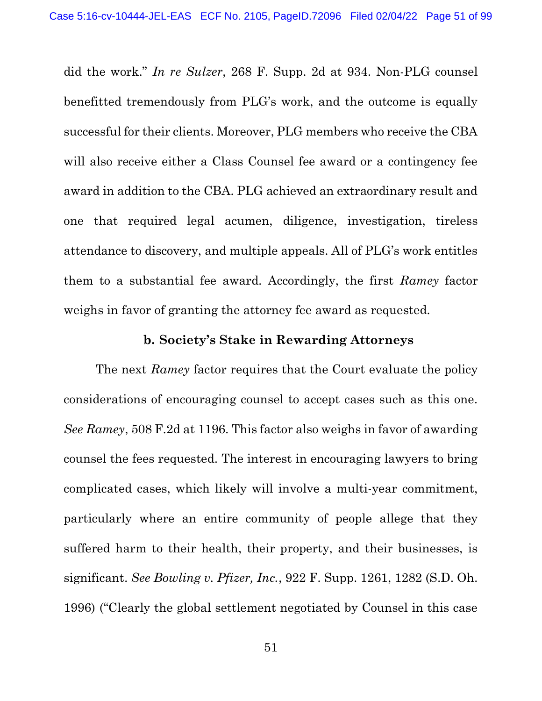did the work." In re Sulzer, 268 F. Supp. 2d at 934. Non-PLG counsel benefitted tremendously from PLG's work, and the outcome is equally successful for their clients. Moreover, PLG members who receive the CBA will also receive either a Class Counsel fee award or a contingency fee award in addition to the CBA. PLG achieved an extraordinary result and one that required legal acumen, diligence, investigation, tireless attendance to discovery, and multiple appeals. All of PLG's work entitles them to a substantial fee award. Accordingly, the first Ramey factor weighs in favor of granting the attorney fee award as requested.

### b. Society's Stake in Rewarding Attorneys

The next Ramey factor requires that the Court evaluate the policy considerations of encouraging counsel to accept cases such as this one. See Ramey, 508 F.2d at 1196. This factor also weighs in favor of awarding counsel the fees requested. The interest in encouraging lawyers to bring complicated cases, which likely will involve a multi-year commitment, particularly where an entire community of people allege that they suffered harm to their health, their property, and their businesses, is significant. See Bowling v. Pfizer, Inc., 922 F. Supp. 1261, 1282 (S.D. Oh. 1996) ("Clearly the global settlement negotiated by Counsel in this case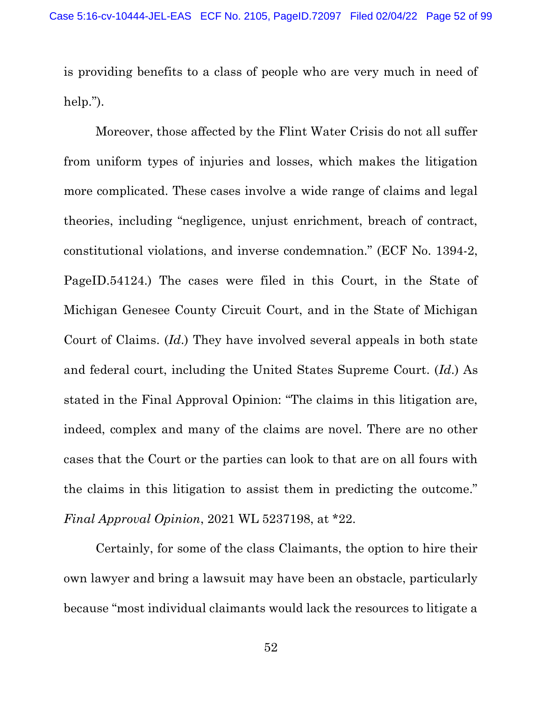is providing benefits to a class of people who are very much in need of help.").

 Moreover, those affected by the Flint Water Crisis do not all suffer from uniform types of injuries and losses, which makes the litigation more complicated. These cases involve a wide range of claims and legal theories, including "negligence, unjust enrichment, breach of contract, constitutional violations, and inverse condemnation." (ECF No. 1394-2, PageID.54124.) The cases were filed in this Court, in the State of Michigan Genesee County Circuit Court, and in the State of Michigan Court of Claims. (Id.) They have involved several appeals in both state and federal court, including the United States Supreme Court. (Id.) As stated in the Final Approval Opinion: "The claims in this litigation are, indeed, complex and many of the claims are novel. There are no other cases that the Court or the parties can look to that are on all fours with the claims in this litigation to assist them in predicting the outcome." Final Approval Opinion, 2021 WL 5237198, at \*22.

 Certainly, for some of the class Claimants, the option to hire their own lawyer and bring a lawsuit may have been an obstacle, particularly because "most individual claimants would lack the resources to litigate a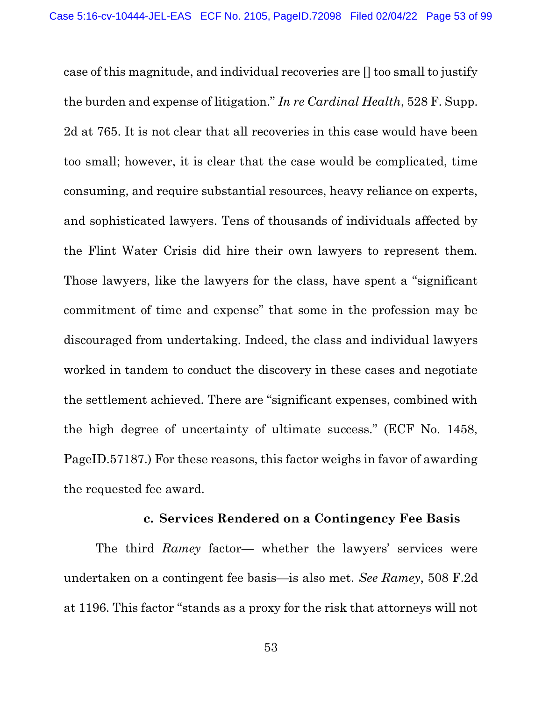case of this magnitude, and individual recoveries are [] too small to justify the burden and expense of litigation." In re Cardinal Health, 528 F. Supp. 2d at 765. It is not clear that all recoveries in this case would have been too small; however, it is clear that the case would be complicated, time consuming, and require substantial resources, heavy reliance on experts, and sophisticated lawyers. Tens of thousands of individuals affected by the Flint Water Crisis did hire their own lawyers to represent them. Those lawyers, like the lawyers for the class, have spent a "significant commitment of time and expense" that some in the profession may be discouraged from undertaking. Indeed, the class and individual lawyers worked in tandem to conduct the discovery in these cases and negotiate the settlement achieved. There are "significant expenses, combined with the high degree of uncertainty of ultimate success." (ECF No. 1458, PageID.57187.) For these reasons, this factor weighs in favor of awarding the requested fee award.

## c. Services Rendered on a Contingency Fee Basis

 The third Ramey factor— whether the lawyers' services were undertaken on a contingent fee basis—is also met. See Ramey, 508 F.2d at 1196. This factor "stands as a proxy for the risk that attorneys will not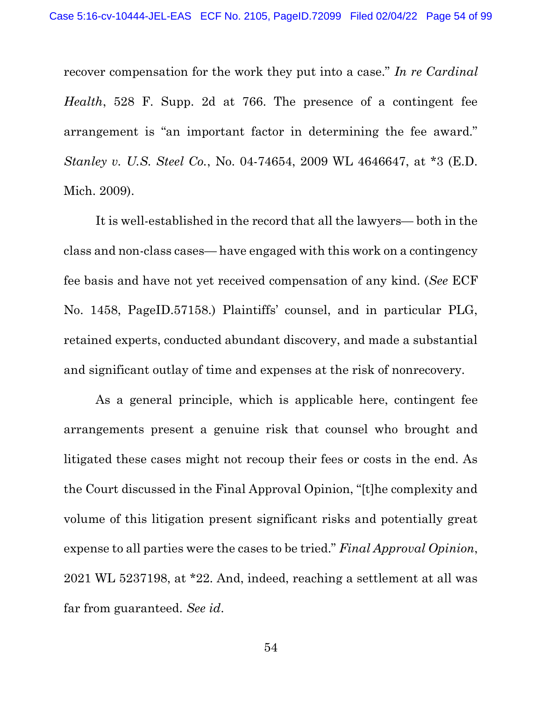recover compensation for the work they put into a case." In re Cardinal Health, 528 F. Supp. 2d at 766. The presence of a contingent fee arrangement is "an important factor in determining the fee award." Stanley v. U.S. Steel Co., No. 04-74654, 2009 WL 4646647, at \*3 (E.D. Mich. 2009).

 It is well-established in the record that all the lawyers— both in the class and non-class cases— have engaged with this work on a contingency fee basis and have not yet received compensation of any kind. (See ECF No. 1458, PageID.57158.) Plaintiffs' counsel, and in particular PLG, retained experts, conducted abundant discovery, and made a substantial and significant outlay of time and expenses at the risk of nonrecovery.

 As a general principle, which is applicable here, contingent fee arrangements present a genuine risk that counsel who brought and litigated these cases might not recoup their fees or costs in the end. As the Court discussed in the Final Approval Opinion, "[t]he complexity and volume of this litigation present significant risks and potentially great expense to all parties were the cases to be tried." Final Approval Opinion, 2021 WL 5237198, at \*22. And, indeed, reaching a settlement at all was far from guaranteed. See id.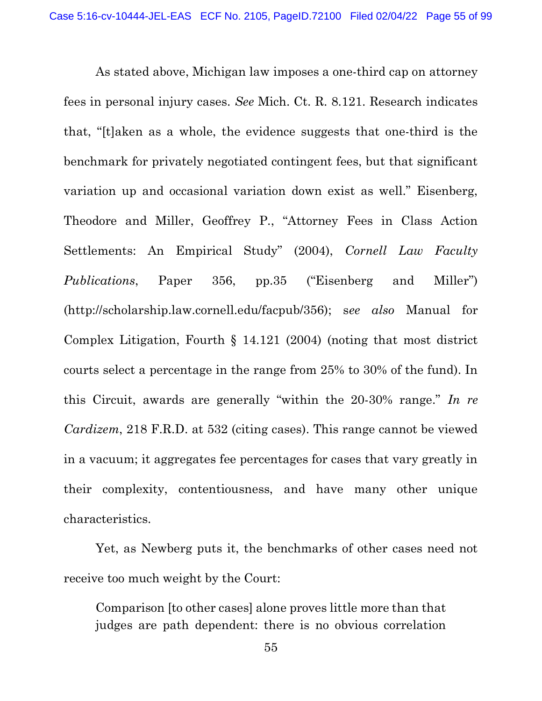As stated above, Michigan law imposes a one-third cap on attorney fees in personal injury cases. See Mich. Ct. R. 8.121. Research indicates that, "[t]aken as a whole, the evidence suggests that one-third is the benchmark for privately negotiated contingent fees, but that significant variation up and occasional variation down exist as well." Eisenberg, Theodore and Miller, Geoffrey P., "Attorney Fees in Class Action Settlements: An Empirical Study" (2004), Cornell Law Faculty Publications, Paper 356, pp.35 ("Eisenberg and Miller") (http://scholarship.law.cornell.edu/facpub/356); see also Manual for Complex Litigation, Fourth § 14.121 (2004) (noting that most district courts select a percentage in the range from 25% to 30% of the fund). In this Circuit, awards are generally "within the 20-30% range." In re Cardizem, 218 F.R.D. at 532 (citing cases). This range cannot be viewed in a vacuum; it aggregates fee percentages for cases that vary greatly in their complexity, contentiousness, and have many other unique characteristics.

 Yet, as Newberg puts it, the benchmarks of other cases need not receive too much weight by the Court:

Comparison [to other cases] alone proves little more than that judges are path dependent: there is no obvious correlation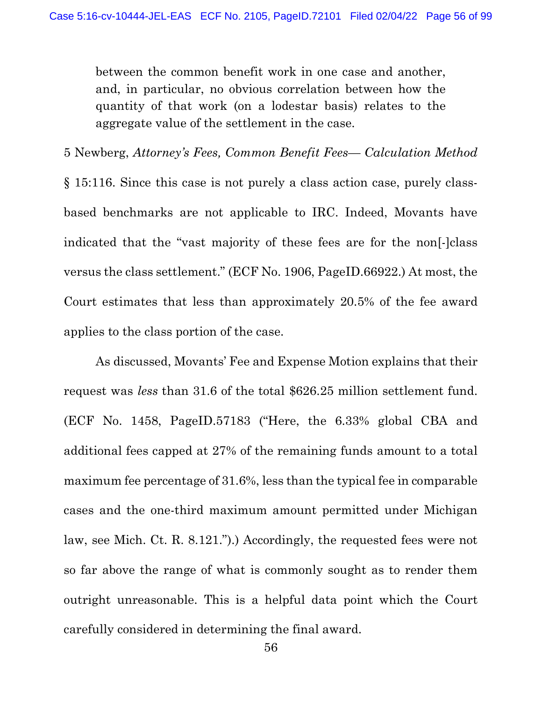between the common benefit work in one case and another, and, in particular, no obvious correlation between how the quantity of that work (on a lodestar basis) relates to the aggregate value of the settlement in the case.

5 Newberg, Attorney's Fees, Common Benefit Fees— Calculation Method § 15:116. Since this case is not purely a class action case, purely classbased benchmarks are not applicable to IRC. Indeed, Movants have indicated that the "vast majority of these fees are for the non[-]class versus the class settlement." (ECF No. 1906, PageID.66922.) At most, the Court estimates that less than approximately 20.5% of the fee award applies to the class portion of the case.

 As discussed, Movants' Fee and Expense Motion explains that their request was less than 31.6 of the total \$626.25 million settlement fund. (ECF No. 1458, PageID.57183 ("Here, the 6.33% global CBA and additional fees capped at 27% of the remaining funds amount to a total maximum fee percentage of 31.6%, less than the typical fee in comparable cases and the one-third maximum amount permitted under Michigan law, see Mich. Ct. R. 8.121.").) Accordingly, the requested fees were not so far above the range of what is commonly sought as to render them outright unreasonable. This is a helpful data point which the Court carefully considered in determining the final award.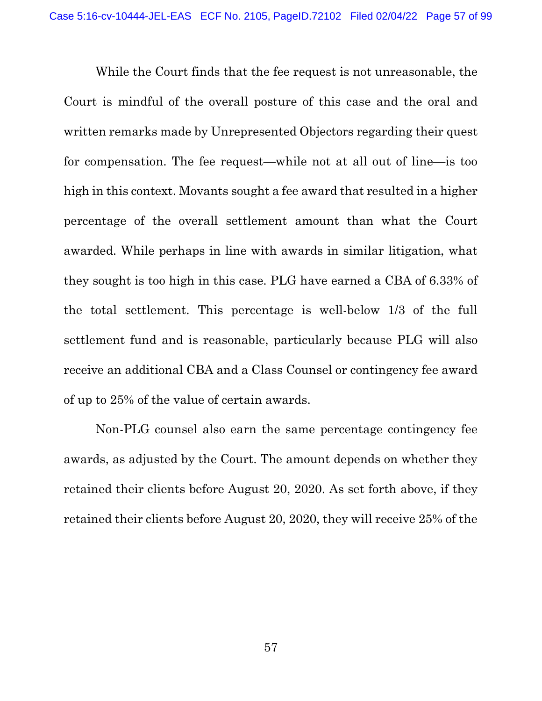While the Court finds that the fee request is not unreasonable, the Court is mindful of the overall posture of this case and the oral and written remarks made by Unrepresented Objectors regarding their quest for compensation. The fee request—while not at all out of line—is too high in this context. Movants sought a fee award that resulted in a higher percentage of the overall settlement amount than what the Court awarded. While perhaps in line with awards in similar litigation, what they sought is too high in this case. PLG have earned a CBA of 6.33% of the total settlement. This percentage is well-below 1/3 of the full settlement fund and is reasonable, particularly because PLG will also receive an additional CBA and a Class Counsel or contingency fee award of up to 25% of the value of certain awards.

 Non-PLG counsel also earn the same percentage contingency fee awards, as adjusted by the Court. The amount depends on whether they retained their clients before August 20, 2020. As set forth above, if they retained their clients before August 20, 2020, they will receive 25% of the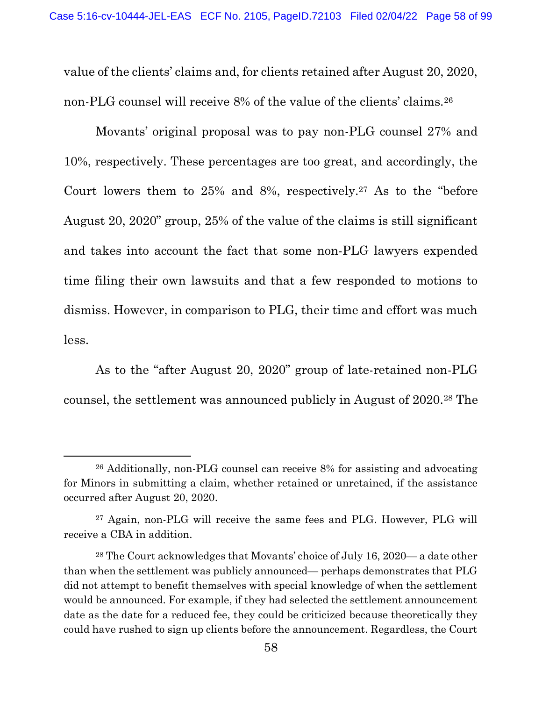value of the clients' claims and, for clients retained after August 20, 2020, non-PLG counsel will receive 8% of the value of the clients' claims.<sup>26</sup>

 Movants' original proposal was to pay non-PLG counsel 27% and 10%, respectively. These percentages are too great, and accordingly, the Court lowers them to 25% and 8%, respectively.27 As to the "before August 20, 2020" group, 25% of the value of the claims is still significant and takes into account the fact that some non-PLG lawyers expended time filing their own lawsuits and that a few responded to motions to dismiss. However, in comparison to PLG, their time and effort was much less.

 As to the "after August 20, 2020" group of late-retained non-PLG counsel, the settlement was announced publicly in August of 2020.28 The

<sup>26</sup> Additionally, non-PLG counsel can receive 8% for assisting and advocating for Minors in submitting a claim, whether retained or unretained, if the assistance occurred after August 20, 2020.

<sup>27</sup> Again, non-PLG will receive the same fees and PLG. However, PLG will receive a CBA in addition.

<sup>28</sup> The Court acknowledges that Movants' choice of July 16, 2020— a date other than when the settlement was publicly announced— perhaps demonstrates that PLG did not attempt to benefit themselves with special knowledge of when the settlement would be announced. For example, if they had selected the settlement announcement date as the date for a reduced fee, they could be criticized because theoretically they could have rushed to sign up clients before the announcement. Regardless, the Court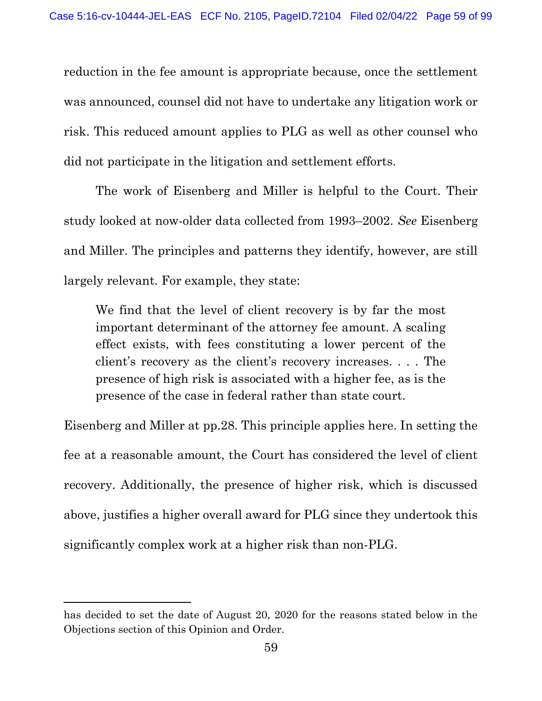reduction in the fee amount is appropriate because, once the settlement was announced, counsel did not have to undertake any litigation work or risk. This reduced amount applies to PLG as well as other counsel who did not participate in the litigation and settlement efforts.

 The work of Eisenberg and Miller is helpful to the Court. Their study looked at now-older data collected from 1993–2002. See Eisenberg and Miller. The principles and patterns they identify, however, are still largely relevant. For example, they state:

We find that the level of client recovery is by far the most important determinant of the attorney fee amount. A scaling effect exists, with fees constituting a lower percent of the client's recovery as the client's recovery increases. . . . The presence of high risk is associated with a higher fee, as is the presence of the case in federal rather than state court.

Eisenberg and Miller at pp.28. This principle applies here. In setting the fee at a reasonable amount, the Court has considered the level of client recovery. Additionally, the presence of higher risk, which is discussed above, justifies a higher overall award for PLG since they undertook this significantly complex work at a higher risk than non-PLG.

has decided to set the date of August 20, 2020 for the reasons stated below in the Objections section of this Opinion and Order.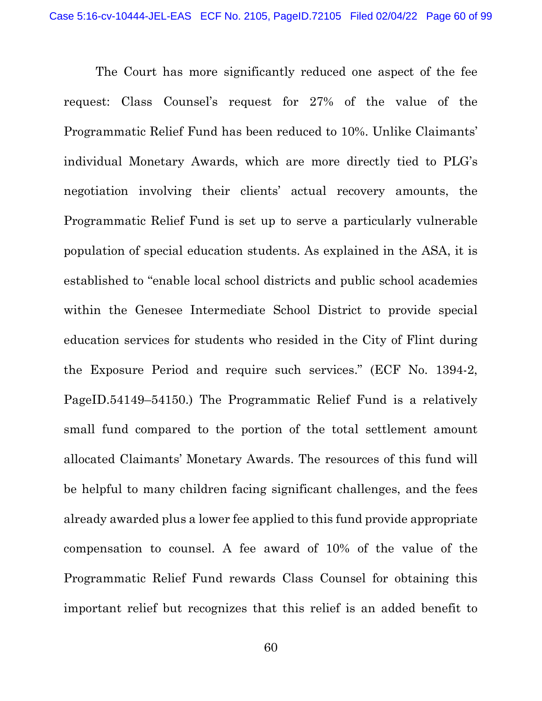The Court has more significantly reduced one aspect of the fee request: Class Counsel's request for 27% of the value of the Programmatic Relief Fund has been reduced to 10%. Unlike Claimants' individual Monetary Awards, which are more directly tied to PLG's negotiation involving their clients' actual recovery amounts, the Programmatic Relief Fund is set up to serve a particularly vulnerable population of special education students. As explained in the ASA, it is established to "enable local school districts and public school academies within the Genesee Intermediate School District to provide special education services for students who resided in the City of Flint during the Exposure Period and require such services." (ECF No. 1394-2, PageID.54149–54150.) The Programmatic Relief Fund is a relatively small fund compared to the portion of the total settlement amount allocated Claimants' Monetary Awards. The resources of this fund will be helpful to many children facing significant challenges, and the fees already awarded plus a lower fee applied to this fund provide appropriate compensation to counsel. A fee award of 10% of the value of the Programmatic Relief Fund rewards Class Counsel for obtaining this important relief but recognizes that this relief is an added benefit to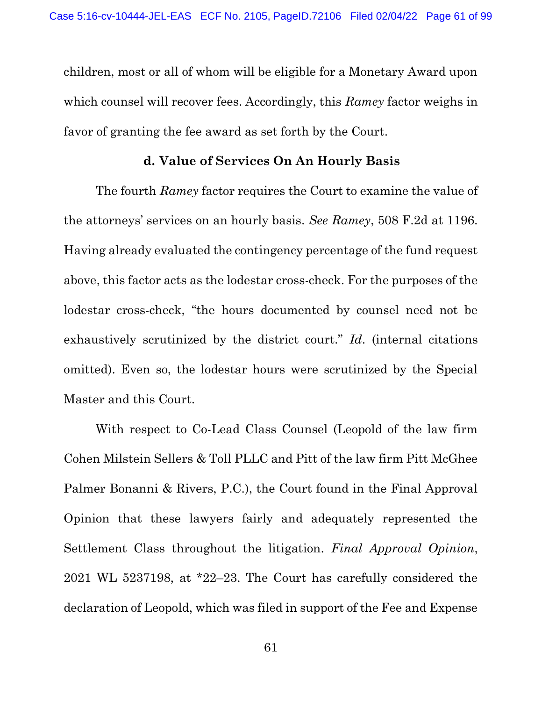children, most or all of whom will be eligible for a Monetary Award upon which counsel will recover fees. Accordingly, this Ramey factor weighs in favor of granting the fee award as set forth by the Court.

## d. Value of Services On An Hourly Basis

 The fourth Ramey factor requires the Court to examine the value of the attorneys' services on an hourly basis. See Ramey, 508 F.2d at 1196. Having already evaluated the contingency percentage of the fund request above, this factor acts as the lodestar cross-check. For the purposes of the lodestar cross-check, "the hours documented by counsel need not be exhaustively scrutinized by the district court." Id. (internal citations omitted). Even so, the lodestar hours were scrutinized by the Special Master and this Court.

 With respect to Co-Lead Class Counsel (Leopold of the law firm Cohen Milstein Sellers & Toll PLLC and Pitt of the law firm Pitt McGhee Palmer Bonanni & Rivers, P.C.), the Court found in the Final Approval Opinion that these lawyers fairly and adequately represented the Settlement Class throughout the litigation. Final Approval Opinion, 2021 WL 5237198, at \*22–23. The Court has carefully considered the declaration of Leopold, which was filed in support of the Fee and Expense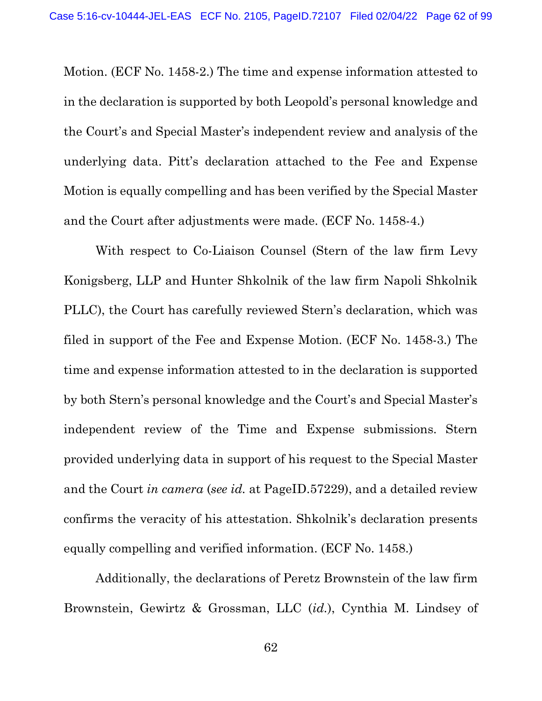Motion. (ECF No. 1458-2.) The time and expense information attested to in the declaration is supported by both Leopold's personal knowledge and the Court's and Special Master's independent review and analysis of the underlying data. Pitt's declaration attached to the Fee and Expense Motion is equally compelling and has been verified by the Special Master and the Court after adjustments were made. (ECF No. 1458-4.)

 With respect to Co-Liaison Counsel (Stern of the law firm Levy Konigsberg, LLP and Hunter Shkolnik of the law firm Napoli Shkolnik PLLC), the Court has carefully reviewed Stern's declaration, which was filed in support of the Fee and Expense Motion. (ECF No. 1458-3.) The time and expense information attested to in the declaration is supported by both Stern's personal knowledge and the Court's and Special Master's independent review of the Time and Expense submissions. Stern provided underlying data in support of his request to the Special Master and the Court in camera (see id. at PageID.57229), and a detailed review confirms the veracity of his attestation. Shkolnik's declaration presents equally compelling and verified information. (ECF No. 1458.)

 Additionally, the declarations of Peretz Brownstein of the law firm Brownstein, Gewirtz & Grossman, LLC (id.), Cynthia M. Lindsey of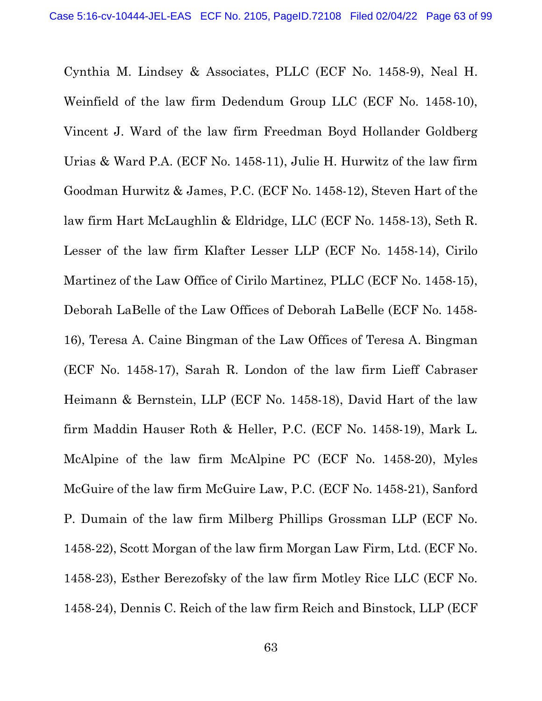Cynthia M. Lindsey & Associates, PLLC (ECF No. 1458-9), Neal H. Weinfield of the law firm Dedendum Group LLC (ECF No. 1458-10), Vincent J. Ward of the law firm Freedman Boyd Hollander Goldberg Urias & Ward P.A. (ECF No. 1458-11), Julie H. Hurwitz of the law firm Goodman Hurwitz & James, P.C. (ECF No. 1458-12), Steven Hart of the law firm Hart McLaughlin & Eldridge, LLC (ECF No. 1458-13), Seth R. Lesser of the law firm Klafter Lesser LLP (ECF No. 1458-14), Cirilo Martinez of the Law Office of Cirilo Martinez, PLLC (ECF No. 1458-15), Deborah LaBelle of the Law Offices of Deborah LaBelle (ECF No. 1458- 16), Teresa A. Caine Bingman of the Law Offices of Teresa A. Bingman (ECF No. 1458-17), Sarah R. London of the law firm Lieff Cabraser Heimann & Bernstein, LLP (ECF No. 1458-18), David Hart of the law firm Maddin Hauser Roth & Heller, P.C. (ECF No. 1458-19), Mark L. McAlpine of the law firm McAlpine PC (ECF No. 1458-20), Myles McGuire of the law firm McGuire Law, P.C. (ECF No. 1458-21), Sanford P. Dumain of the law firm Milberg Phillips Grossman LLP (ECF No. 1458-22), Scott Morgan of the law firm Morgan Law Firm, Ltd. (ECF No. 1458-23), Esther Berezofsky of the law firm Motley Rice LLC (ECF No. 1458-24), Dennis C. Reich of the law firm Reich and Binstock, LLP (ECF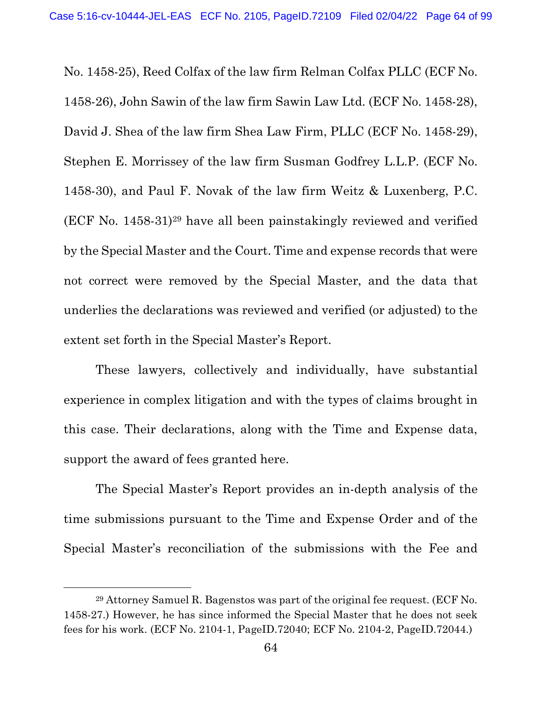No. 1458-25), Reed Colfax of the law firm Relman Colfax PLLC (ECF No. 1458-26), John Sawin of the law firm Sawin Law Ltd. (ECF No. 1458-28), David J. Shea of the law firm Shea Law Firm, PLLC (ECF No. 1458-29), Stephen E. Morrissey of the law firm Susman Godfrey L.L.P. (ECF No. 1458-30), and Paul F. Novak of the law firm Weitz & Luxenberg, P.C. (ECF No. 1458-31)29 have all been painstakingly reviewed and verified by the Special Master and the Court. Time and expense records that were not correct were removed by the Special Master, and the data that underlies the declarations was reviewed and verified (or adjusted) to the extent set forth in the Special Master's Report.

 These lawyers, collectively and individually, have substantial experience in complex litigation and with the types of claims brought in this case. Their declarations, along with the Time and Expense data, support the award of fees granted here.

 The Special Master's Report provides an in-depth analysis of the time submissions pursuant to the Time and Expense Order and of the Special Master's reconciliation of the submissions with the Fee and

<sup>29</sup> Attorney Samuel R. Bagenstos was part of the original fee request. (ECF No. 1458-27.) However, he has since informed the Special Master that he does not seek fees for his work. (ECF No. 2104-1, PageID.72040; ECF No. 2104-2, PageID.72044.)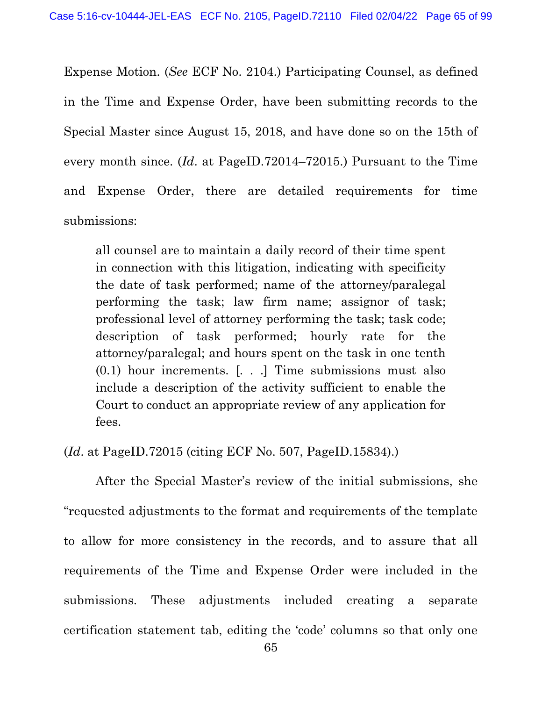Expense Motion. (See ECF No. 2104.) Participating Counsel, as defined in the Time and Expense Order, have been submitting records to the Special Master since August 15, 2018, and have done so on the 15th of every month since. (Id. at PageID.72014–72015.) Pursuant to the Time and Expense Order, there are detailed requirements for time submissions:

all counsel are to maintain a daily record of their time spent in connection with this litigation, indicating with specificity the date of task performed; name of the attorney/paralegal performing the task; law firm name; assignor of task; professional level of attorney performing the task; task code; description of task performed; hourly rate for the attorney/paralegal; and hours spent on the task in one tenth (0.1) hour increments. [. . .] Time submissions must also include a description of the activity sufficient to enable the Court to conduct an appropriate review of any application for fees.

## (Id. at PageID.72015 (citing ECF No. 507, PageID.15834).)

 After the Special Master's review of the initial submissions, she "requested adjustments to the format and requirements of the template to allow for more consistency in the records, and to assure that all requirements of the Time and Expense Order were included in the submissions. These adjustments included creating a separate certification statement tab, editing the 'code' columns so that only one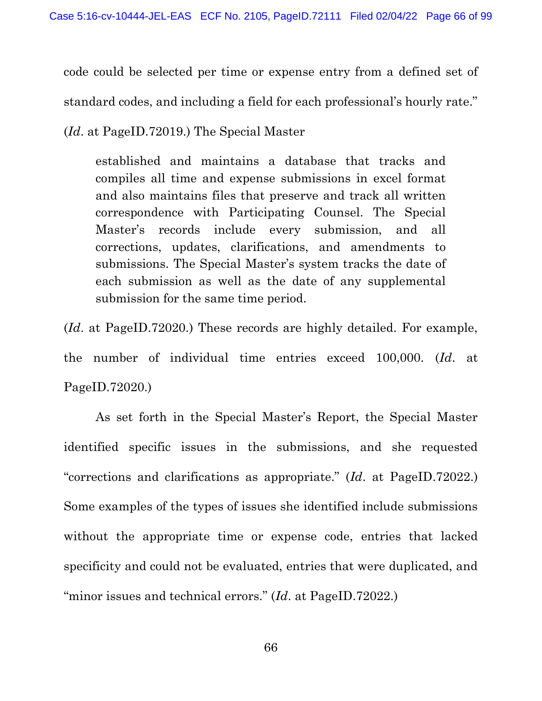code could be selected per time or expense entry from a defined set of standard codes, and including a field for each professional's hourly rate."

(Id. at PageID.72019.) The Special Master

established and maintains a database that tracks and compiles all time and expense submissions in excel format and also maintains files that preserve and track all written correspondence with Participating Counsel. The Special Master's records include every submission, and all corrections, updates, clarifications, and amendments to submissions. The Special Master's system tracks the date of each submission as well as the date of any supplemental submission for the same time period.

(Id. at PageID.72020.) These records are highly detailed. For example, the number of individual time entries exceed 100,000. (Id. at PageID.72020.)

 As set forth in the Special Master's Report, the Special Master identified specific issues in the submissions, and she requested "corrections and clarifications as appropriate." (Id. at PageID.72022.) Some examples of the types of issues she identified include submissions without the appropriate time or expense code, entries that lacked specificity and could not be evaluated, entries that were duplicated, and "minor issues and technical errors." (Id. at PageID.72022.)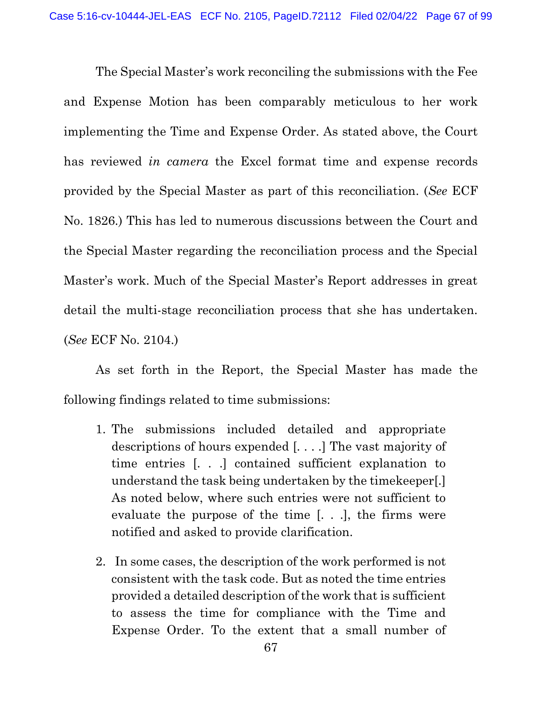The Special Master's work reconciling the submissions with the Fee and Expense Motion has been comparably meticulous to her work implementing the Time and Expense Order. As stated above, the Court has reviewed in camera the Excel format time and expense records provided by the Special Master as part of this reconciliation. (See ECF No. 1826.) This has led to numerous discussions between the Court and the Special Master regarding the reconciliation process and the Special Master's work. Much of the Special Master's Report addresses in great detail the multi-stage reconciliation process that she has undertaken. (See ECF No. 2104.)

 As set forth in the Report, the Special Master has made the following findings related to time submissions:

- 1. The submissions included detailed and appropriate descriptions of hours expended [. . . .] The vast majority of time entries [. . .] contained sufficient explanation to understand the task being undertaken by the timekeeper[.] As noted below, where such entries were not sufficient to evaluate the purpose of the time [. . .], the firms were notified and asked to provide clarification.
- 2. In some cases, the description of the work performed is not consistent with the task code. But as noted the time entries provided a detailed description of the work that is sufficient to assess the time for compliance with the Time and Expense Order. To the extent that a small number of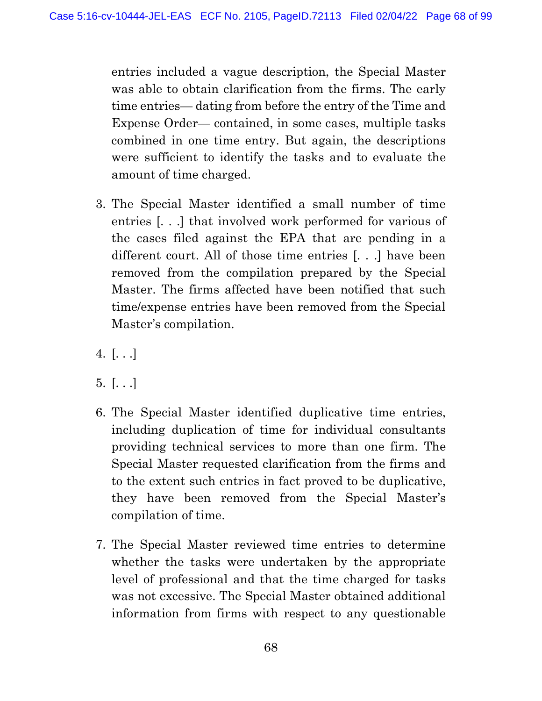entries included a vague description, the Special Master was able to obtain clarification from the firms. The early time entries— dating from before the entry of the Time and Expense Order— contained, in some cases, multiple tasks combined in one time entry. But again, the descriptions were sufficient to identify the tasks and to evaluate the amount of time charged.

- 3. The Special Master identified a small number of time entries [. . .] that involved work performed for various of the cases filed against the EPA that are pending in a different court. All of those time entries [. . .] have been removed from the compilation prepared by the Special Master. The firms affected have been notified that such time/expense entries have been removed from the Special Master's compilation.
- 4.  $[...]$
- $5.$   $[...]$
- 6. The Special Master identified duplicative time entries, including duplication of time for individual consultants providing technical services to more than one firm. The Special Master requested clarification from the firms and to the extent such entries in fact proved to be duplicative, they have been removed from the Special Master's compilation of time.
- 7. The Special Master reviewed time entries to determine whether the tasks were undertaken by the appropriate level of professional and that the time charged for tasks was not excessive. The Special Master obtained additional information from firms with respect to any questionable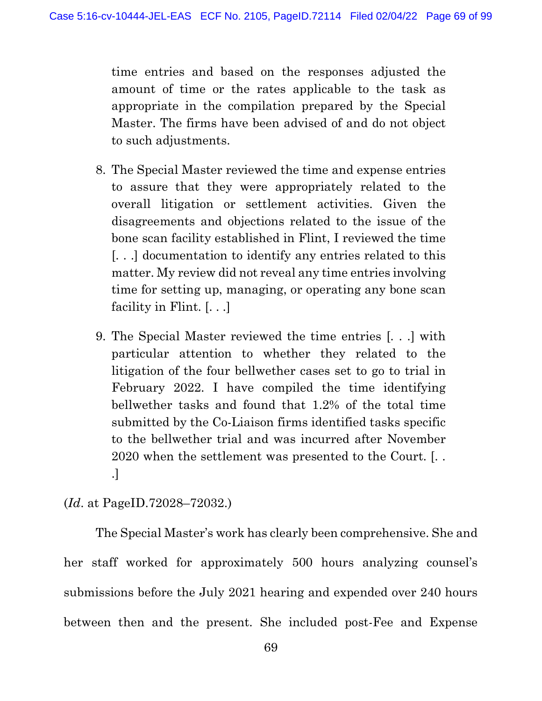time entries and based on the responses adjusted the amount of time or the rates applicable to the task as appropriate in the compilation prepared by the Special Master. The firms have been advised of and do not object to such adjustments.

- 8. The Special Master reviewed the time and expense entries to assure that they were appropriately related to the overall litigation or settlement activities. Given the disagreements and objections related to the issue of the bone scan facility established in Flint, I reviewed the time [. . .] documentation to identify any entries related to this matter. My review did not reveal any time entries involving time for setting up, managing, or operating any bone scan facility in Flint. [. . .]
- 9. The Special Master reviewed the time entries [. . .] with particular attention to whether they related to the litigation of the four bellwether cases set to go to trial in February 2022. I have compiled the time identifying bellwether tasks and found that 1.2% of the total time submitted by the Co-Liaison firms identified tasks specific to the bellwether trial and was incurred after November 2020 when the settlement was presented to the Court. [. . .]

## (Id. at PageID.72028–72032.)

 The Special Master's work has clearly been comprehensive. She and her staff worked for approximately 500 hours analyzing counsel's submissions before the July 2021 hearing and expended over 240 hours between then and the present. She included post-Fee and Expense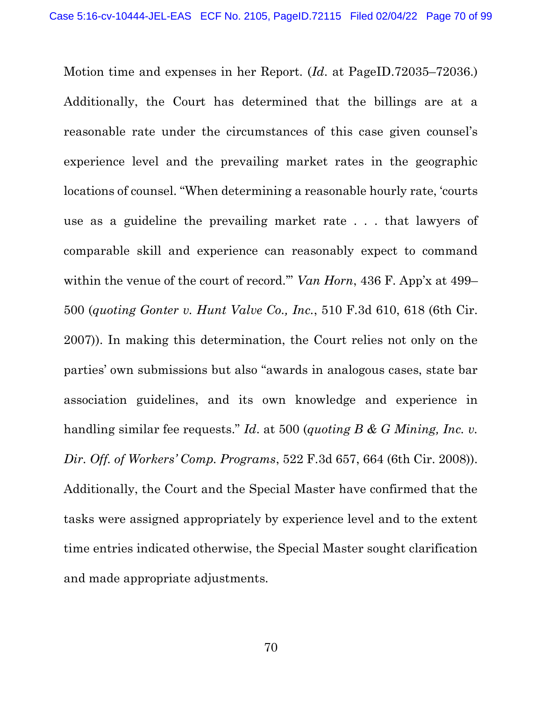Motion time and expenses in her Report. (Id. at PageID.72035–72036.) Additionally, the Court has determined that the billings are at a reasonable rate under the circumstances of this case given counsel's experience level and the prevailing market rates in the geographic locations of counsel. "When determining a reasonable hourly rate, 'courts use as a guideline the prevailing market rate . . . that lawyers of comparable skill and experience can reasonably expect to command within the venue of the court of record."" Van Horn, 436 F. App'x at 499– 500 (quoting Gonter v. Hunt Valve Co., Inc., 510 F.3d 610, 618 (6th Cir. 2007)). In making this determination, the Court relies not only on the parties' own submissions but also "awards in analogous cases, state bar association guidelines, and its own knowledge and experience in handling similar fee requests." Id. at 500 (quoting B & G Mining, Inc. v. Dir. Off. of Workers' Comp. Programs, 522 F.3d 657, 664 (6th Cir. 2008)). Additionally, the Court and the Special Master have confirmed that the tasks were assigned appropriately by experience level and to the extent time entries indicated otherwise, the Special Master sought clarification and made appropriate adjustments.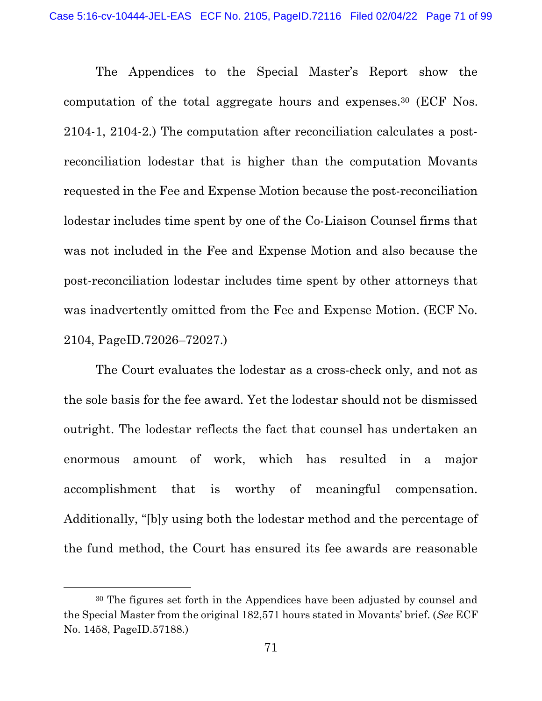The Appendices to the Special Master's Report show the computation of the total aggregate hours and expenses.30 (ECF Nos. 2104-1, 2104-2.) The computation after reconciliation calculates a postreconciliation lodestar that is higher than the computation Movants requested in the Fee and Expense Motion because the post-reconciliation lodestar includes time spent by one of the Co-Liaison Counsel firms that was not included in the Fee and Expense Motion and also because the post-reconciliation lodestar includes time spent by other attorneys that was inadvertently omitted from the Fee and Expense Motion. (ECF No. 2104, PageID.72026–72027.)

 The Court evaluates the lodestar as a cross-check only, and not as the sole basis for the fee award. Yet the lodestar should not be dismissed outright. The lodestar reflects the fact that counsel has undertaken an enormous amount of work, which has resulted in a major accomplishment that is worthy of meaningful compensation. Additionally, "[b]y using both the lodestar method and the percentage of the fund method, the Court has ensured its fee awards are reasonable

<sup>30</sup> The figures set forth in the Appendices have been adjusted by counsel and the Special Master from the original 182,571 hours stated in Movants' brief. (See ECF No. 1458, PageID.57188.)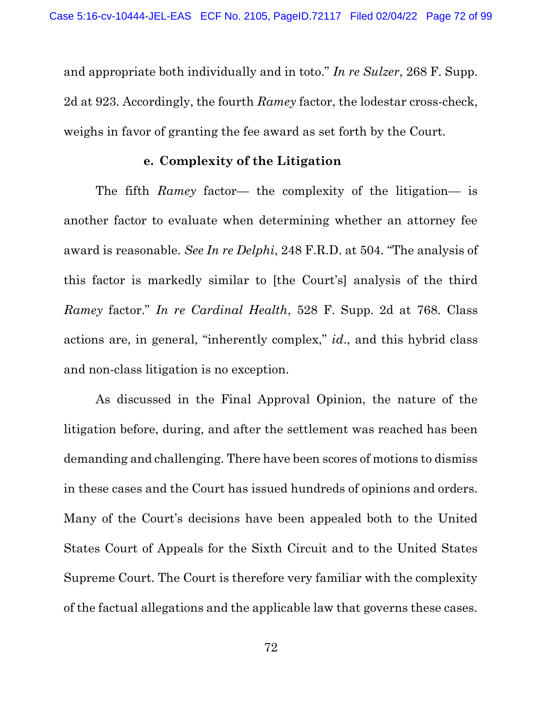and appropriate both individually and in toto." In re Sulzer, 268 F. Supp. 2d at 923. Accordingly, the fourth Ramey factor, the lodestar cross-check, weighs in favor of granting the fee award as set forth by the Court.

## e. Complexity of the Litigation

 The fifth Ramey factor— the complexity of the litigation— is another factor to evaluate when determining whether an attorney fee award is reasonable. See In re Delphi, 248 F.R.D. at 504. "The analysis of this factor is markedly similar to [the Court's] analysis of the third Ramey factor." In re Cardinal Health, 528 F. Supp. 2d at 768. Class actions are, in general, "inherently complex," id., and this hybrid class and non-class litigation is no exception.

 As discussed in the Final Approval Opinion, the nature of the litigation before, during, and after the settlement was reached has been demanding and challenging. There have been scores of motions to dismiss in these cases and the Court has issued hundreds of opinions and orders. Many of the Court's decisions have been appealed both to the United States Court of Appeals for the Sixth Circuit and to the United States Supreme Court. The Court is therefore very familiar with the complexity of the factual allegations and the applicable law that governs these cases.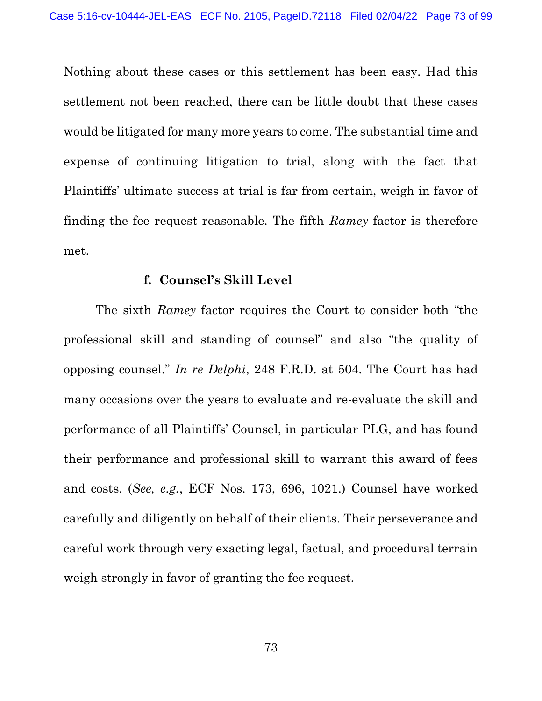Nothing about these cases or this settlement has been easy. Had this settlement not been reached, there can be little doubt that these cases would be litigated for many more years to come. The substantial time and expense of continuing litigation to trial, along with the fact that Plaintiffs' ultimate success at trial is far from certain, weigh in favor of finding the fee request reasonable. The fifth Ramey factor is therefore met.

#### f. Counsel's Skill Level

 The sixth Ramey factor requires the Court to consider both "the professional skill and standing of counsel" and also "the quality of opposing counsel." In re Delphi, 248 F.R.D. at 504. The Court has had many occasions over the years to evaluate and re-evaluate the skill and performance of all Plaintiffs' Counsel, in particular PLG, and has found their performance and professional skill to warrant this award of fees and costs. (See, e.g., ECF Nos. 173, 696, 1021.) Counsel have worked carefully and diligently on behalf of their clients. Their perseverance and careful work through very exacting legal, factual, and procedural terrain weigh strongly in favor of granting the fee request.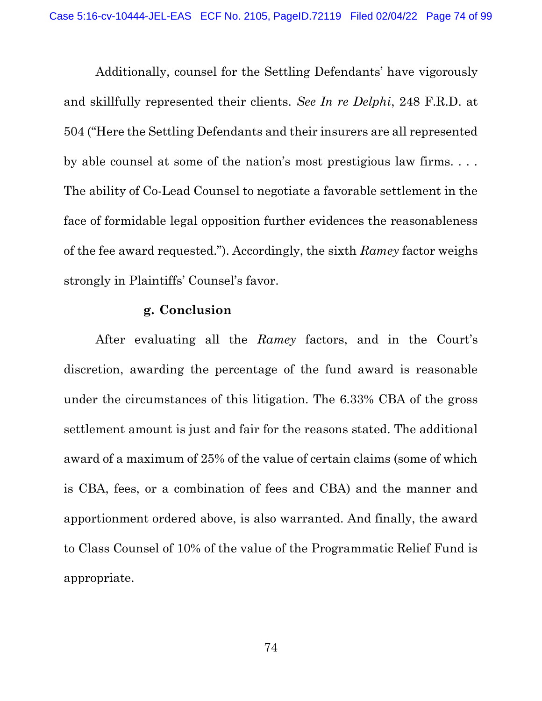Additionally, counsel for the Settling Defendants' have vigorously and skillfully represented their clients. See In re Delphi, 248 F.R.D. at 504 ("Here the Settling Defendants and their insurers are all represented by able counsel at some of the nation's most prestigious law firms. . . . The ability of Co-Lead Counsel to negotiate a favorable settlement in the face of formidable legal opposition further evidences the reasonableness of the fee award requested."). Accordingly, the sixth Ramey factor weighs strongly in Plaintiffs' Counsel's favor.

#### g. Conclusion

After evaluating all the Ramey factors, and in the Court's discretion, awarding the percentage of the fund award is reasonable under the circumstances of this litigation. The 6.33% CBA of the gross settlement amount is just and fair for the reasons stated. The additional award of a maximum of 25% of the value of certain claims (some of which is CBA, fees, or a combination of fees and CBA) and the manner and apportionment ordered above, is also warranted. And finally, the award to Class Counsel of 10% of the value of the Programmatic Relief Fund is appropriate.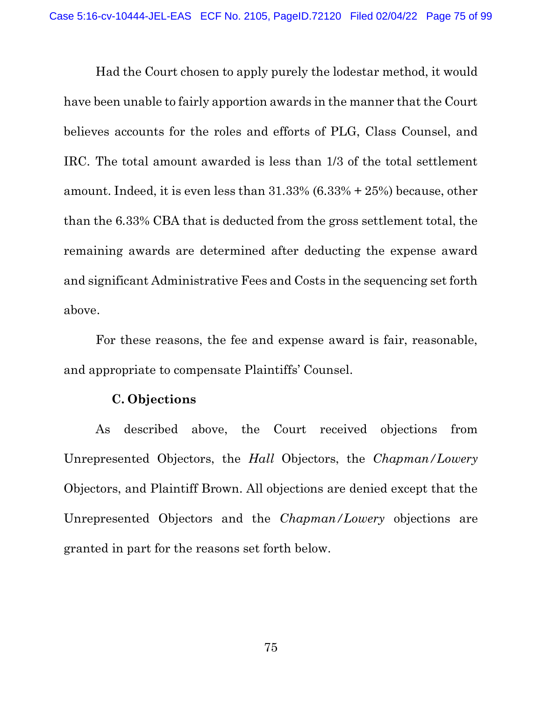Had the Court chosen to apply purely the lodestar method, it would have been unable to fairly apportion awards in the manner that the Court believes accounts for the roles and efforts of PLG, Class Counsel, and IRC. The total amount awarded is less than 1/3 of the total settlement amount. Indeed, it is even less than 31.33% (6.33% + 25%) because, other than the 6.33% CBA that is deducted from the gross settlement total, the remaining awards are determined after deducting the expense award and significant Administrative Fees and Costs in the sequencing set forth above.

 For these reasons, the fee and expense award is fair, reasonable, and appropriate to compensate Plaintiffs' Counsel.

### C. Objections

 As described above, the Court received objections from Unrepresented Objectors, the Hall Objectors, the Chapman/Lowery Objectors, and Plaintiff Brown. All objections are denied except that the Unrepresented Objectors and the Chapman/Lowery objections are granted in part for the reasons set forth below.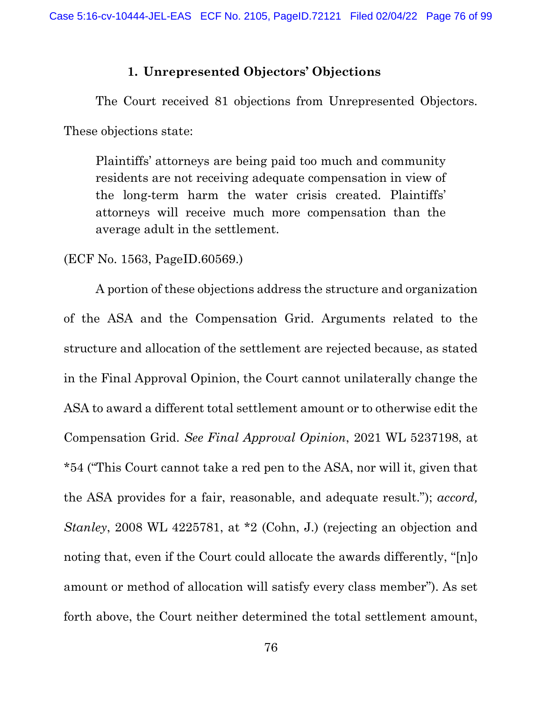### 1. Unrepresented Objectors' Objections

 The Court received 81 objections from Unrepresented Objectors. These objections state:

Plaintiffs' attorneys are being paid too much and community residents are not receiving adequate compensation in view of the long-term harm the water crisis created. Plaintiffs' attorneys will receive much more compensation than the average adult in the settlement.

(ECF No. 1563, PageID.60569.)

 A portion of these objections address the structure and organization of the ASA and the Compensation Grid. Arguments related to the structure and allocation of the settlement are rejected because, as stated in the Final Approval Opinion, the Court cannot unilaterally change the ASA to award a different total settlement amount or to otherwise edit the Compensation Grid. See Final Approval Opinion, 2021 WL 5237198, at \*54 ("This Court cannot take a red pen to the ASA, nor will it, given that the ASA provides for a fair, reasonable, and adequate result."); accord, Stanley, 2008 WL 4225781, at \*2 (Cohn, J.) (rejecting an objection and noting that, even if the Court could allocate the awards differently, "[n]o amount or method of allocation will satisfy every class member"). As set forth above, the Court neither determined the total settlement amount,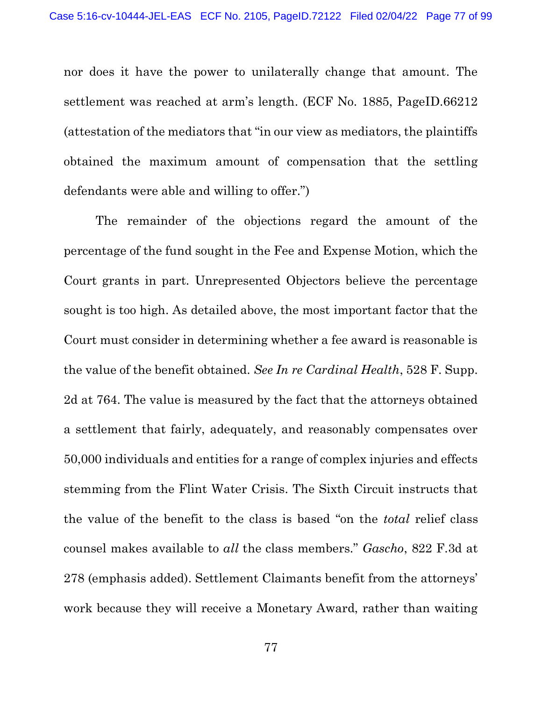nor does it have the power to unilaterally change that amount. The settlement was reached at arm's length. (ECF No. 1885, PageID.66212 (attestation of the mediators that "in our view as mediators, the plaintiffs obtained the maximum amount of compensation that the settling defendants were able and willing to offer.")

 The remainder of the objections regard the amount of the percentage of the fund sought in the Fee and Expense Motion, which the Court grants in part. Unrepresented Objectors believe the percentage sought is too high. As detailed above, the most important factor that the Court must consider in determining whether a fee award is reasonable is the value of the benefit obtained. See In re Cardinal Health, 528 F. Supp. 2d at 764. The value is measured by the fact that the attorneys obtained a settlement that fairly, adequately, and reasonably compensates over 50,000 individuals and entities for a range of complex injuries and effects stemming from the Flint Water Crisis. The Sixth Circuit instructs that the value of the benefit to the class is based "on the total relief class counsel makes available to all the class members." Gascho, 822 F.3d at 278 (emphasis added). Settlement Claimants benefit from the attorneys' work because they will receive a Monetary Award, rather than waiting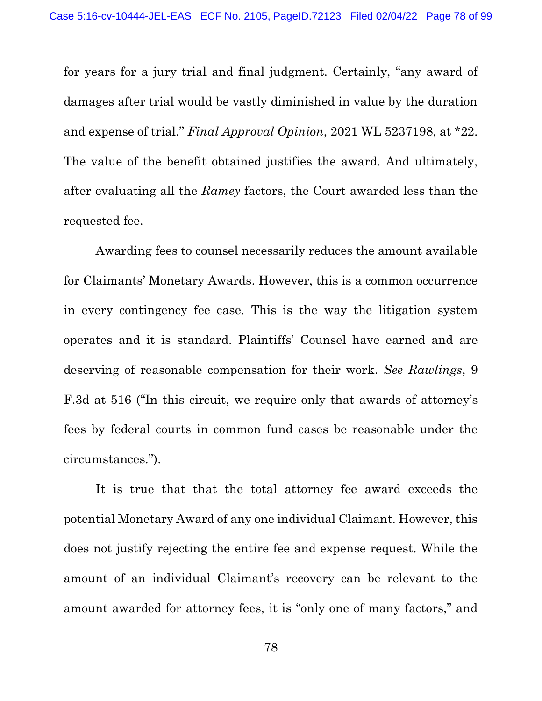for years for a jury trial and final judgment. Certainly, "any award of damages after trial would be vastly diminished in value by the duration and expense of trial." Final Approval Opinion, 2021 WL 5237198, at \*22. The value of the benefit obtained justifies the award. And ultimately, after evaluating all the Ramey factors, the Court awarded less than the requested fee.

 Awarding fees to counsel necessarily reduces the amount available for Claimants' Monetary Awards. However, this is a common occurrence in every contingency fee case. This is the way the litigation system operates and it is standard. Plaintiffs' Counsel have earned and are deserving of reasonable compensation for their work. See Rawlings, 9 F.3d at 516 ("In this circuit, we require only that awards of attorney's fees by federal courts in common fund cases be reasonable under the circumstances.").

 It is true that that the total attorney fee award exceeds the potential Monetary Award of any one individual Claimant. However, this does not justify rejecting the entire fee and expense request. While the amount of an individual Claimant's recovery can be relevant to the amount awarded for attorney fees, it is "only one of many factors," and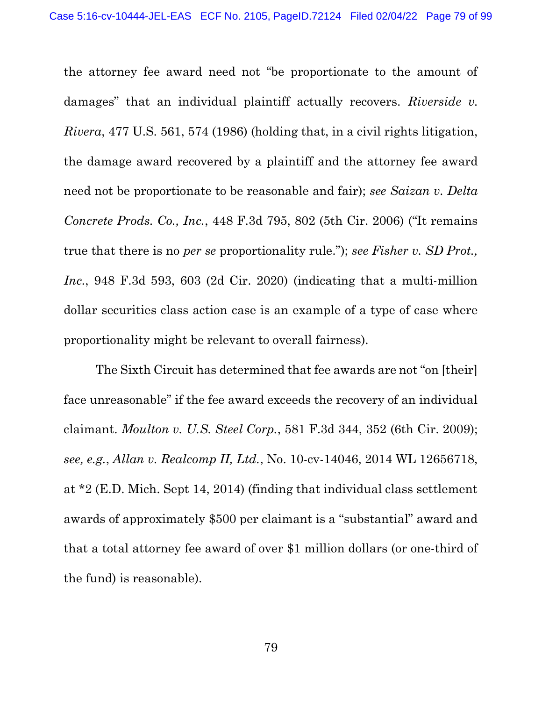the attorney fee award need not "be proportionate to the amount of damages" that an individual plaintiff actually recovers. Riverside v. Rivera, 477 U.S. 561, 574 (1986) (holding that, in a civil rights litigation, the damage award recovered by a plaintiff and the attorney fee award need not be proportionate to be reasonable and fair); see Saizan v. Delta Concrete Prods. Co., Inc., 448 F.3d 795, 802 (5th Cir. 2006) ("It remains true that there is no *per se* proportionality rule."); see Fisher v. SD Prot., Inc., 948 F.3d 593, 603 (2d Cir. 2020) (indicating that a multi-million dollar securities class action case is an example of a type of case where proportionality might be relevant to overall fairness).

 The Sixth Circuit has determined that fee awards are not "on [their] face unreasonable" if the fee award exceeds the recovery of an individual claimant. Moulton v. U.S. Steel Corp., 581 F.3d 344, 352 (6th Cir. 2009); see, e.g., Allan v. Realcomp II, Ltd., No. 10-cv-14046, 2014 WL 12656718, at \*2 (E.D. Mich. Sept 14, 2014) (finding that individual class settlement awards of approximately \$500 per claimant is a "substantial" award and that a total attorney fee award of over \$1 million dollars (or one-third of the fund) is reasonable).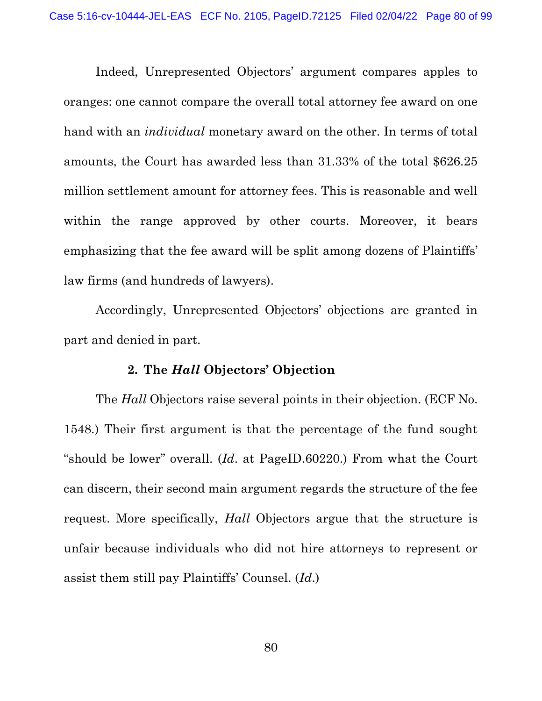Indeed, Unrepresented Objectors' argument compares apples to oranges: one cannot compare the overall total attorney fee award on one hand with an *individual* monetary award on the other. In terms of total amounts, the Court has awarded less than 31.33% of the total \$626.25 million settlement amount for attorney fees. This is reasonable and well within the range approved by other courts. Moreover, it bears emphasizing that the fee award will be split among dozens of Plaintiffs' law firms (and hundreds of lawyers).

 Accordingly, Unrepresented Objectors' objections are granted in part and denied in part.

#### 2. The Hall Objectors' Objection

The *Hall* Objectors raise several points in their objection. (ECF No. 1548.) Their first argument is that the percentage of the fund sought "should be lower" overall. (Id. at PageID.60220.) From what the Court can discern, their second main argument regards the structure of the fee request. More specifically, Hall Objectors argue that the structure is unfair because individuals who did not hire attorneys to represent or assist them still pay Plaintiffs' Counsel. (Id.)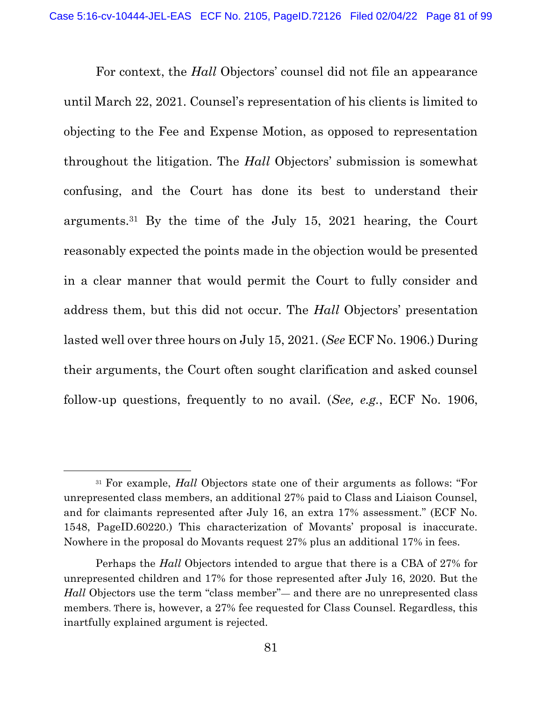For context, the Hall Objectors' counsel did not file an appearance until March 22, 2021. Counsel's representation of his clients is limited to objecting to the Fee and Expense Motion, as opposed to representation throughout the litigation. The Hall Objectors' submission is somewhat confusing, and the Court has done its best to understand their arguments.31 By the time of the July 15, 2021 hearing, the Court reasonably expected the points made in the objection would be presented in a clear manner that would permit the Court to fully consider and address them, but this did not occur. The Hall Objectors' presentation lasted well over three hours on July 15, 2021. (See ECF No. 1906.) During their arguments, the Court often sought clarification and asked counsel follow-up questions, frequently to no avail. (See, e.g., ECF No. 1906,

<sup>&</sup>lt;sup>31</sup> For example, *Hall* Objectors state one of their arguments as follows: "For unrepresented class members, an additional 27% paid to Class and Liaison Counsel, and for claimants represented after July 16, an extra 17% assessment." (ECF No. 1548, PageID.60220.) This characterization of Movants' proposal is inaccurate. Nowhere in the proposal do Movants request 27% plus an additional 17% in fees.

Perhaps the *Hall* Objectors intended to argue that there is a CBA of 27% for unrepresented children and 17% for those represented after July 16, 2020. But the Hall Objectors use the term "class member"— and there are no unrepresented class members. There is, however, a 27% fee requested for Class Counsel. Regardless, this inartfully explained argument is rejected.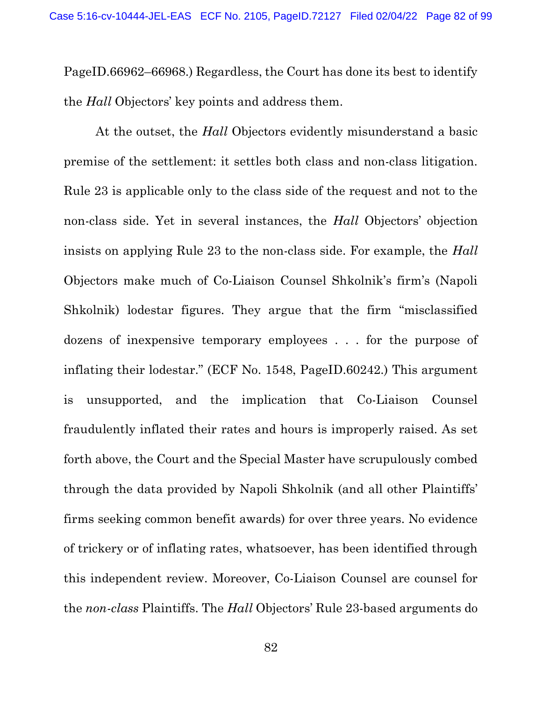PageID.66962–66968.) Regardless, the Court has done its best to identify the *Hall* Objectors' key points and address them.

 At the outset, the Hall Objectors evidently misunderstand a basic premise of the settlement: it settles both class and non-class litigation. Rule 23 is applicable only to the class side of the request and not to the non-class side. Yet in several instances, the Hall Objectors' objection insists on applying Rule 23 to the non-class side. For example, the Hall Objectors make much of Co-Liaison Counsel Shkolnik's firm's (Napoli Shkolnik) lodestar figures. They argue that the firm "misclassified dozens of inexpensive temporary employees . . . for the purpose of inflating their lodestar." (ECF No. 1548, PageID.60242.) This argument is unsupported, and the implication that Co-Liaison Counsel fraudulently inflated their rates and hours is improperly raised. As set forth above, the Court and the Special Master have scrupulously combed through the data provided by Napoli Shkolnik (and all other Plaintiffs' firms seeking common benefit awards) for over three years. No evidence of trickery or of inflating rates, whatsoever, has been identified through this independent review. Moreover, Co-Liaison Counsel are counsel for the non-class Plaintiffs. The Hall Objectors' Rule 23-based arguments do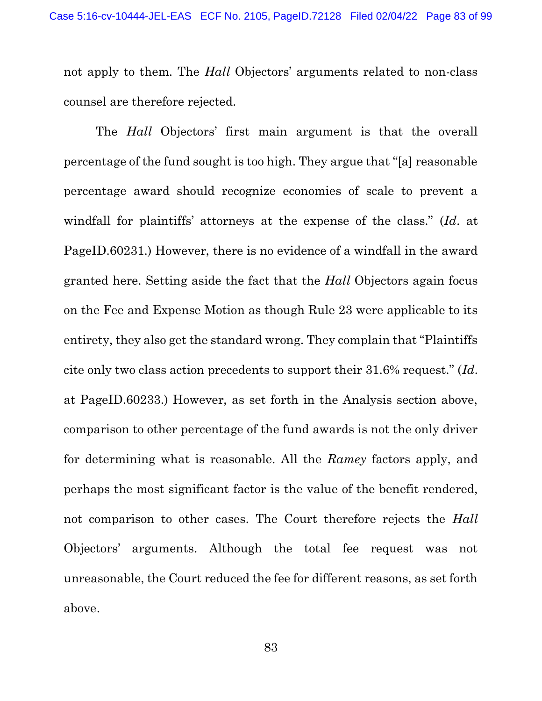not apply to them. The *Hall* Objectors' arguments related to non-class counsel are therefore rejected.

The *Hall* Objectors' first main argument is that the overall percentage of the fund sought is too high. They argue that "[a] reasonable percentage award should recognize economies of scale to prevent a windfall for plaintiffs' attorneys at the expense of the class." (Id. at PageID.60231.) However, there is no evidence of a windfall in the award granted here. Setting aside the fact that the Hall Objectors again focus on the Fee and Expense Motion as though Rule 23 were applicable to its entirety, they also get the standard wrong. They complain that "Plaintiffs cite only two class action precedents to support their 31.6% request." (Id. at PageID.60233.) However, as set forth in the Analysis section above, comparison to other percentage of the fund awards is not the only driver for determining what is reasonable. All the Ramey factors apply, and perhaps the most significant factor is the value of the benefit rendered, not comparison to other cases. The Court therefore rejects the Hall Objectors' arguments. Although the total fee request was not unreasonable, the Court reduced the fee for different reasons, as set forth above.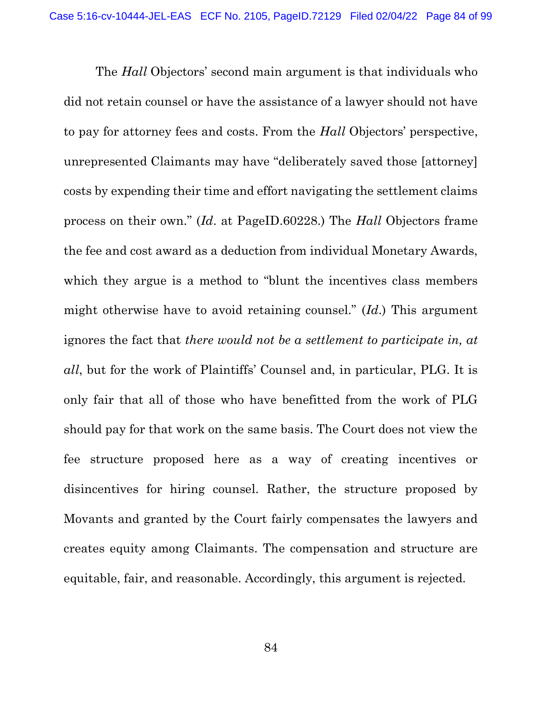The *Hall* Objectors' second main argument is that individuals who did not retain counsel or have the assistance of a lawyer should not have to pay for attorney fees and costs. From the Hall Objectors' perspective, unrepresented Claimants may have "deliberately saved those [attorney] costs by expending their time and effort navigating the settlement claims process on their own." (Id. at PageID.60228.) The Hall Objectors frame the fee and cost award as a deduction from individual Monetary Awards, which they argue is a method to "blunt the incentives class members" might otherwise have to avoid retaining counsel." (Id.) This argument ignores the fact that there would not be a settlement to participate in, at all, but for the work of Plaintiffs' Counsel and, in particular, PLG. It is only fair that all of those who have benefitted from the work of PLG should pay for that work on the same basis. The Court does not view the fee structure proposed here as a way of creating incentives or disincentives for hiring counsel. Rather, the structure proposed by Movants and granted by the Court fairly compensates the lawyers and creates equity among Claimants. The compensation and structure are equitable, fair, and reasonable. Accordingly, this argument is rejected.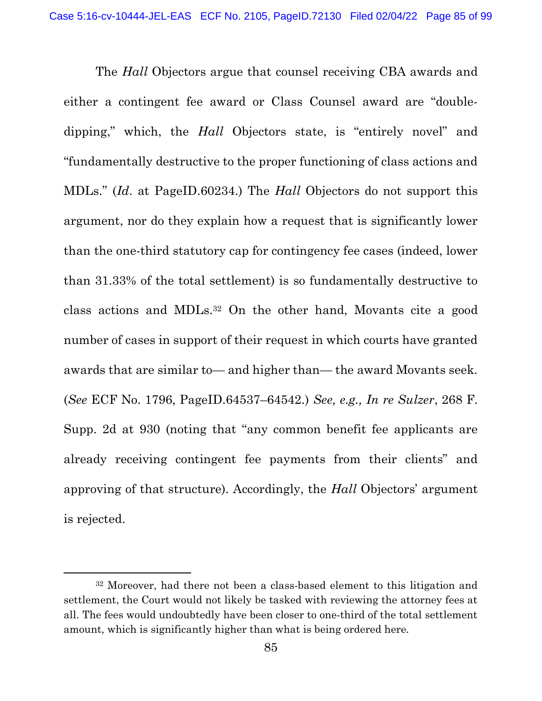The *Hall* Objectors argue that counsel receiving CBA awards and either a contingent fee award or Class Counsel award are "doubledipping," which, the Hall Objectors state, is "entirely novel" and "fundamentally destructive to the proper functioning of class actions and MDLs." (Id. at PageID.60234.) The Hall Objectors do not support this argument, nor do they explain how a request that is significantly lower than the one-third statutory cap for contingency fee cases (indeed, lower than 31.33% of the total settlement) is so fundamentally destructive to class actions and MDLs.32 On the other hand, Movants cite a good number of cases in support of their request in which courts have granted awards that are similar to— and higher than— the award Movants seek. (See ECF No. 1796, PageID.64537–64542.) See, e.g., In re Sulzer, 268 F. Supp. 2d at 930 (noting that "any common benefit fee applicants are already receiving contingent fee payments from their clients" and approving of that structure). Accordingly, the Hall Objectors' argument is rejected.

<sup>32</sup> Moreover, had there not been a class-based element to this litigation and settlement, the Court would not likely be tasked with reviewing the attorney fees at all. The fees would undoubtedly have been closer to one-third of the total settlement amount, which is significantly higher than what is being ordered here.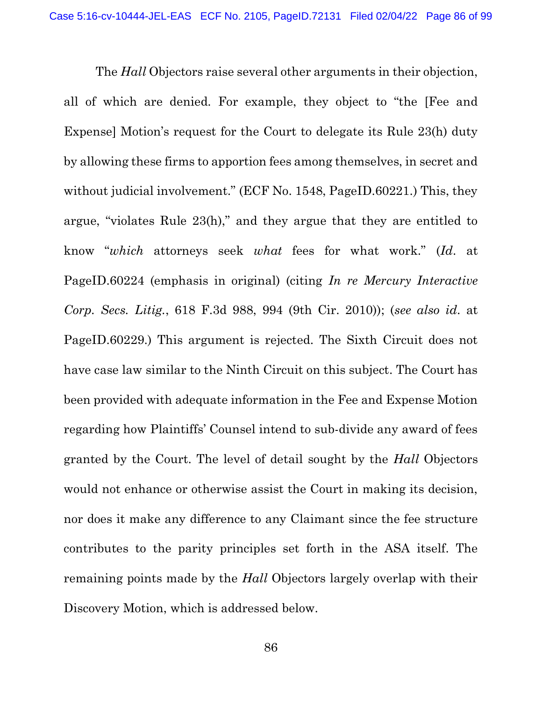The *Hall* Objectors raise several other arguments in their objection, all of which are denied. For example, they object to "the [Fee and Expense] Motion's request for the Court to delegate its Rule 23(h) duty by allowing these firms to apportion fees among themselves, in secret and without judicial involvement." (ECF No. 1548, PageID.60221.) This, they argue, "violates Rule 23(h)," and they argue that they are entitled to know "which attorneys seek what fees for what work." (Id. at PageID.60224 (emphasis in original) (citing In re Mercury Interactive Corp. Secs. Litig., 618 F.3d 988, 994 (9th Cir. 2010)); (see also id. at PageID.60229.) This argument is rejected. The Sixth Circuit does not have case law similar to the Ninth Circuit on this subject. The Court has been provided with adequate information in the Fee and Expense Motion regarding how Plaintiffs' Counsel intend to sub-divide any award of fees granted by the Court. The level of detail sought by the Hall Objectors would not enhance or otherwise assist the Court in making its decision, nor does it make any difference to any Claimant since the fee structure contributes to the parity principles set forth in the ASA itself. The remaining points made by the *Hall* Objectors largely overlap with their Discovery Motion, which is addressed below.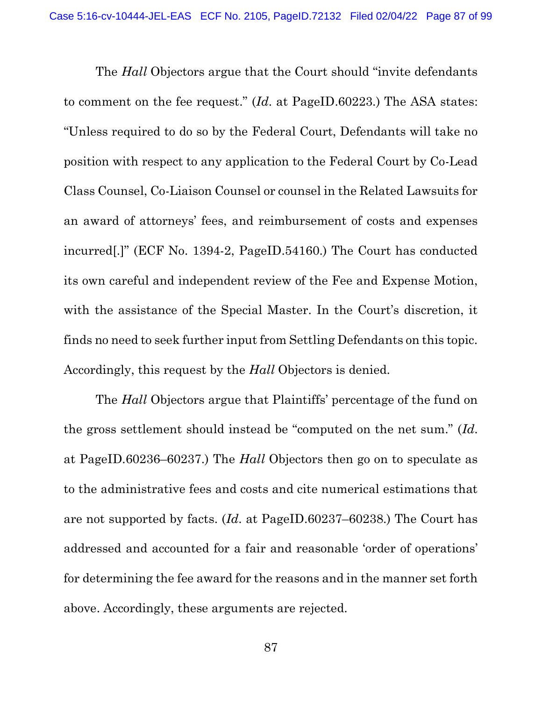The *Hall* Objectors argue that the Court should "invite defendants" to comment on the fee request." (Id. at PageID.60223.) The ASA states: "Unless required to do so by the Federal Court, Defendants will take no position with respect to any application to the Federal Court by Co-Lead Class Counsel, Co-Liaison Counsel or counsel in the Related Lawsuits for an award of attorneys' fees, and reimbursement of costs and expenses incurred[.]" (ECF No. 1394-2, PageID.54160.) The Court has conducted its own careful and independent review of the Fee and Expense Motion, with the assistance of the Special Master. In the Court's discretion, it finds no need to seek further input from Settling Defendants on this topic. Accordingly, this request by the *Hall* Objectors is denied.

 The Hall Objectors argue that Plaintiffs' percentage of the fund on the gross settlement should instead be "computed on the net sum." (Id. at PageID.60236–60237.) The Hall Objectors then go on to speculate as to the administrative fees and costs and cite numerical estimations that are not supported by facts. (Id. at PageID.60237–60238.) The Court has addressed and accounted for a fair and reasonable 'order of operations' for determining the fee award for the reasons and in the manner set forth above. Accordingly, these arguments are rejected.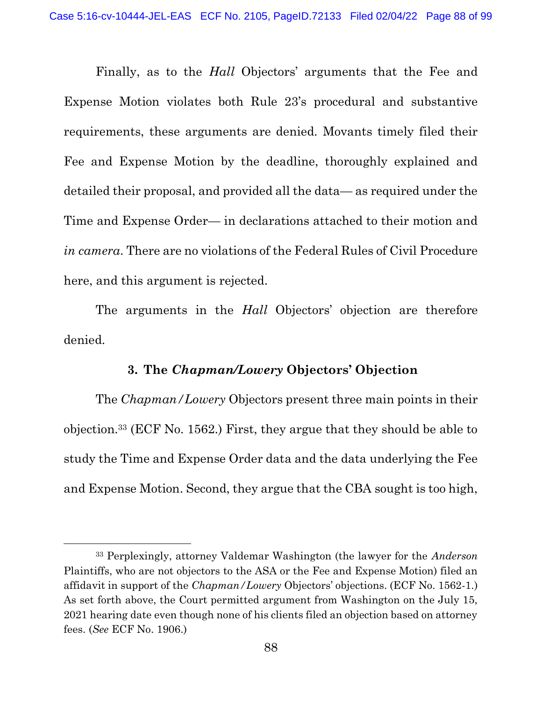Finally, as to the Hall Objectors' arguments that the Fee and Expense Motion violates both Rule 23's procedural and substantive requirements, these arguments are denied. Movants timely filed their Fee and Expense Motion by the deadline, thoroughly explained and detailed their proposal, and provided all the data— as required under the Time and Expense Order— in declarations attached to their motion and in camera. There are no violations of the Federal Rules of Civil Procedure here, and this argument is rejected.

The arguments in the *Hall* Objectors' objection are therefore denied.

#### 3. The Chapman/Lowery Objectors' Objection

 The Chapman/Lowery Objectors present three main points in their objection.33 (ECF No. 1562.) First, they argue that they should be able to study the Time and Expense Order data and the data underlying the Fee and Expense Motion. Second, they argue that the CBA sought is too high,

<sup>&</sup>lt;sup>33</sup> Perplexingly, attorney Valdemar Washington (the lawyer for the *Anderson* Plaintiffs, who are not objectors to the ASA or the Fee and Expense Motion) filed an affidavit in support of the Chapman/Lowery Objectors' objections. (ECF No. 1562-1.) As set forth above, the Court permitted argument from Washington on the July 15, 2021 hearing date even though none of his clients filed an objection based on attorney fees. (See ECF No. 1906.)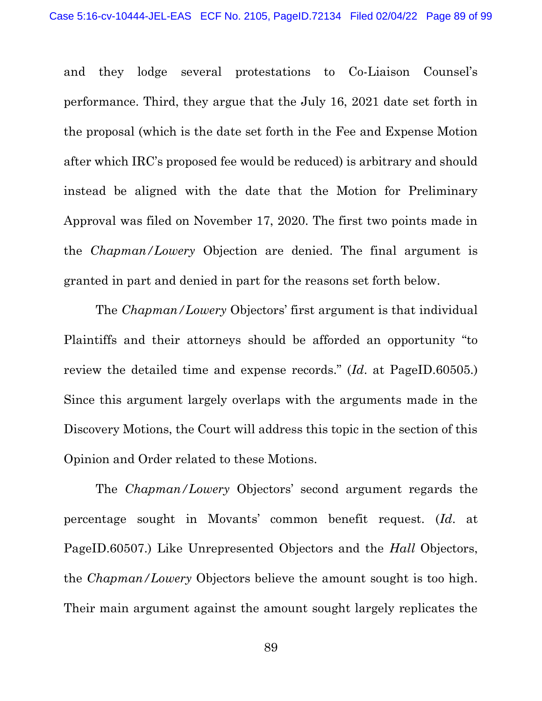and they lodge several protestations to Co-Liaison Counsel's performance. Third, they argue that the July 16, 2021 date set forth in the proposal (which is the date set forth in the Fee and Expense Motion after which IRC's proposed fee would be reduced) is arbitrary and should instead be aligned with the date that the Motion for Preliminary Approval was filed on November 17, 2020. The first two points made in the Chapman/Lowery Objection are denied. The final argument is granted in part and denied in part for the reasons set forth below.

 The Chapman/Lowery Objectors' first argument is that individual Plaintiffs and their attorneys should be afforded an opportunity "to review the detailed time and expense records." (Id. at PageID.60505.) Since this argument largely overlaps with the arguments made in the Discovery Motions, the Court will address this topic in the section of this Opinion and Order related to these Motions.

 The Chapman/Lowery Objectors' second argument regards the percentage sought in Movants' common benefit request. (Id. at PageID.60507.) Like Unrepresented Objectors and the *Hall* Objectors, the Chapman/Lowery Objectors believe the amount sought is too high. Their main argument against the amount sought largely replicates the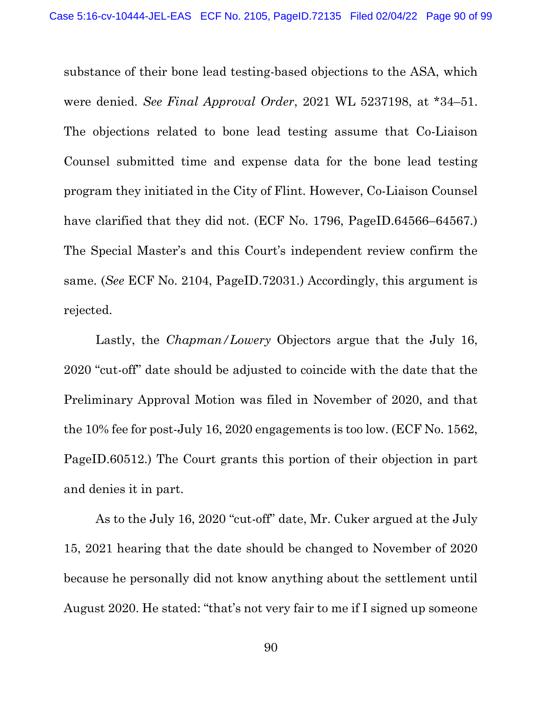substance of their bone lead testing-based objections to the ASA, which were denied. See Final Approval Order, 2021 WL 5237198, at \*34–51. The objections related to bone lead testing assume that Co-Liaison Counsel submitted time and expense data for the bone lead testing program they initiated in the City of Flint. However, Co-Liaison Counsel have clarified that they did not. (ECF No. 1796, PageID.64566–64567.) The Special Master's and this Court's independent review confirm the same. (See ECF No. 2104, PageID.72031.) Accordingly, this argument is rejected.

Lastly, the *Chapman/Lowery* Objectors argue that the July 16, 2020 "cut-off" date should be adjusted to coincide with the date that the Preliminary Approval Motion was filed in November of 2020, and that the 10% fee for post-July 16, 2020 engagements is too low. (ECF No. 1562, PageID.60512.) The Court grants this portion of their objection in part and denies it in part.

 As to the July 16, 2020 "cut-off" date, Mr. Cuker argued at the July 15, 2021 hearing that the date should be changed to November of 2020 because he personally did not know anything about the settlement until August 2020. He stated: "that's not very fair to me if I signed up someone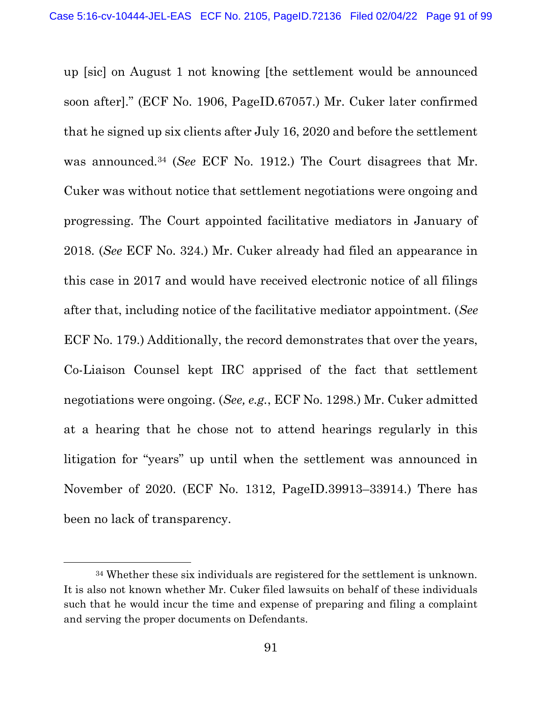up [sic] on August 1 not knowing [the settlement would be announced soon after]." (ECF No. 1906, PageID.67057.) Mr. Cuker later confirmed that he signed up six clients after July 16, 2020 and before the settlement was announced.34 (See ECF No. 1912.) The Court disagrees that Mr. Cuker was without notice that settlement negotiations were ongoing and progressing. The Court appointed facilitative mediators in January of 2018. (See ECF No. 324.) Mr. Cuker already had filed an appearance in this case in 2017 and would have received electronic notice of all filings after that, including notice of the facilitative mediator appointment. (See ECF No. 179.) Additionally, the record demonstrates that over the years, Co-Liaison Counsel kept IRC apprised of the fact that settlement negotiations were ongoing. (See, e.g., ECF No. 1298.) Mr. Cuker admitted at a hearing that he chose not to attend hearings regularly in this litigation for "years" up until when the settlement was announced in November of 2020. (ECF No. 1312, PageID.39913–33914.) There has been no lack of transparency.

<sup>34</sup> Whether these six individuals are registered for the settlement is unknown. It is also not known whether Mr. Cuker filed lawsuits on behalf of these individuals such that he would incur the time and expense of preparing and filing a complaint and serving the proper documents on Defendants.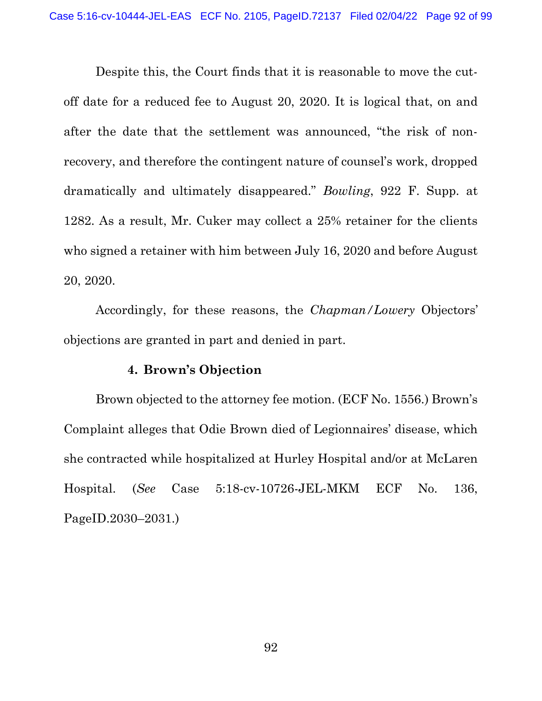Despite this, the Court finds that it is reasonable to move the cutoff date for a reduced fee to August 20, 2020. It is logical that, on and after the date that the settlement was announced, "the risk of nonrecovery, and therefore the contingent nature of counsel's work, dropped dramatically and ultimately disappeared." Bowling, 922 F. Supp. at 1282. As a result, Mr. Cuker may collect a 25% retainer for the clients who signed a retainer with him between July 16, 2020 and before August 20, 2020.

 Accordingly, for these reasons, the Chapman/Lowery Objectors' objections are granted in part and denied in part.

#### 4. Brown's Objection

 Brown objected to the attorney fee motion. (ECF No. 1556.) Brown's Complaint alleges that Odie Brown died of Legionnaires' disease, which she contracted while hospitalized at Hurley Hospital and/or at McLaren Hospital. (See Case 5:18-cv-10726-JEL-MKM ECF No. 136, PageID.2030–2031.)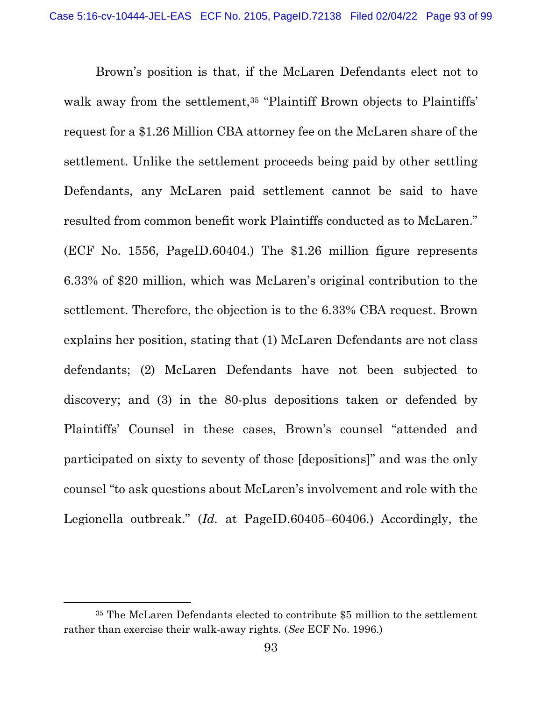Brown's position is that, if the McLaren Defendants elect not to walk away from the settlement,<sup>35</sup> "Plaintiff Brown objects to Plaintiffs' request for a \$1.26 Million CBA attorney fee on the McLaren share of the settlement. Unlike the settlement proceeds being paid by other settling Defendants, any McLaren paid settlement cannot be said to have resulted from common benefit work Plaintiffs conducted as to McLaren." (ECF No. 1556, PageID.60404.) The \$1.26 million figure represents 6.33% of \$20 million, which was McLaren's original contribution to the settlement. Therefore, the objection is to the 6.33% CBA request. Brown explains her position, stating that (1) McLaren Defendants are not class defendants; (2) McLaren Defendants have not been subjected to discovery; and (3) in the 80-plus depositions taken or defended by Plaintiffs' Counsel in these cases, Brown's counsel "attended and participated on sixty to seventy of those [depositions]" and was the only counsel "to ask questions about McLaren's involvement and role with the Legionella outbreak." (Id. at PageID.60405–60406.) Accordingly, the

<sup>35</sup> The McLaren Defendants elected to contribute \$5 million to the settlement rather than exercise their walk-away rights. (See ECF No. 1996.)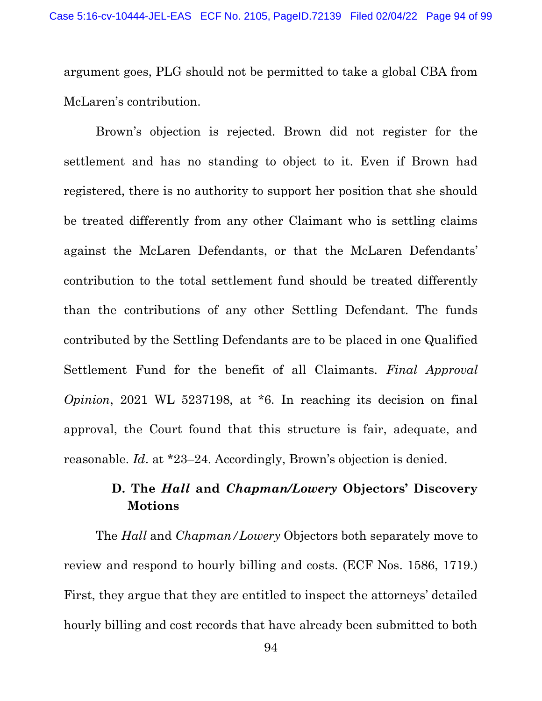argument goes, PLG should not be permitted to take a global CBA from McLaren's contribution.

 Brown's objection is rejected. Brown did not register for the settlement and has no standing to object to it. Even if Brown had registered, there is no authority to support her position that she should be treated differently from any other Claimant who is settling claims against the McLaren Defendants, or that the McLaren Defendants' contribution to the total settlement fund should be treated differently than the contributions of any other Settling Defendant. The funds contributed by the Settling Defendants are to be placed in one Qualified Settlement Fund for the benefit of all Claimants. Final Approval Opinion, 2021 WL 5237198, at \*6. In reaching its decision on final approval, the Court found that this structure is fair, adequate, and reasonable. Id. at \*23–24. Accordingly, Brown's objection is denied.

# D. The *Hall* and *Chapman/Lowery* Objectors' Discovery Motions

The Hall and Chapman/Lowery Objectors both separately move to review and respond to hourly billing and costs. (ECF Nos. 1586, 1719.) First, they argue that they are entitled to inspect the attorneys' detailed hourly billing and cost records that have already been submitted to both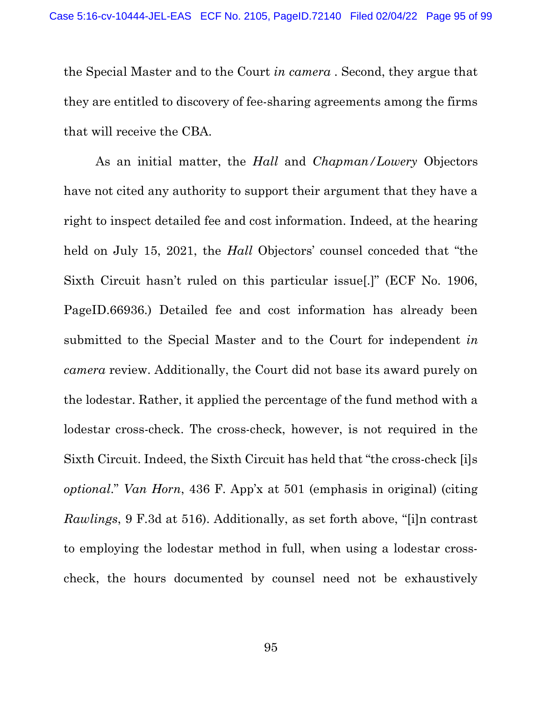the Special Master and to the Court in camera . Second, they argue that they are entitled to discovery of fee-sharing agreements among the firms that will receive the CBA.

As an initial matter, the *Hall* and *Chapman/Lowery* Objectors have not cited any authority to support their argument that they have a right to inspect detailed fee and cost information. Indeed, at the hearing held on July 15, 2021, the *Hall* Objectors' counsel conceded that "the Sixth Circuit hasn't ruled on this particular issue[.]" (ECF No. 1906, PageID.66936.) Detailed fee and cost information has already been submitted to the Special Master and to the Court for independent in camera review. Additionally, the Court did not base its award purely on the lodestar. Rather, it applied the percentage of the fund method with a lodestar cross-check. The cross-check, however, is not required in the Sixth Circuit. Indeed, the Sixth Circuit has held that "the cross-check [i]s optional." Van Horn, 436 F. App'x at 501 (emphasis in original) (citing Rawlings, 9 F.3d at 516). Additionally, as set forth above, "[i]n contrast to employing the lodestar method in full, when using a lodestar crosscheck, the hours documented by counsel need not be exhaustively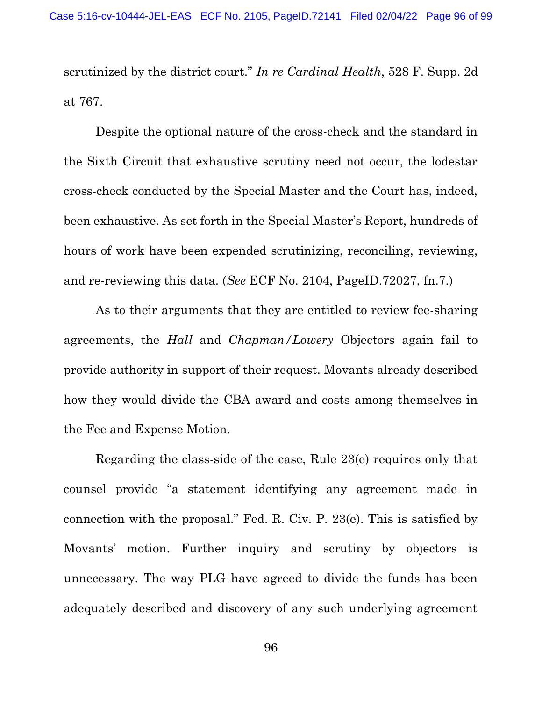scrutinized by the district court." In re Cardinal Health, 528 F. Supp. 2d at 767.

 Despite the optional nature of the cross-check and the standard in the Sixth Circuit that exhaustive scrutiny need not occur, the lodestar cross-check conducted by the Special Master and the Court has, indeed, been exhaustive. As set forth in the Special Master's Report, hundreds of hours of work have been expended scrutinizing, reconciling, reviewing, and re-reviewing this data. (See ECF No. 2104, PageID.72027, fn.7.)

 As to their arguments that they are entitled to review fee-sharing agreements, the *Hall* and *Chapman/Lowery* Objectors again fail to provide authority in support of their request. Movants already described how they would divide the CBA award and costs among themselves in the Fee and Expense Motion.

 Regarding the class-side of the case, Rule 23(e) requires only that counsel provide "a statement identifying any agreement made in connection with the proposal." Fed. R. Civ. P. 23(e). This is satisfied by Movants' motion. Further inquiry and scrutiny by objectors is unnecessary. The way PLG have agreed to divide the funds has been adequately described and discovery of any such underlying agreement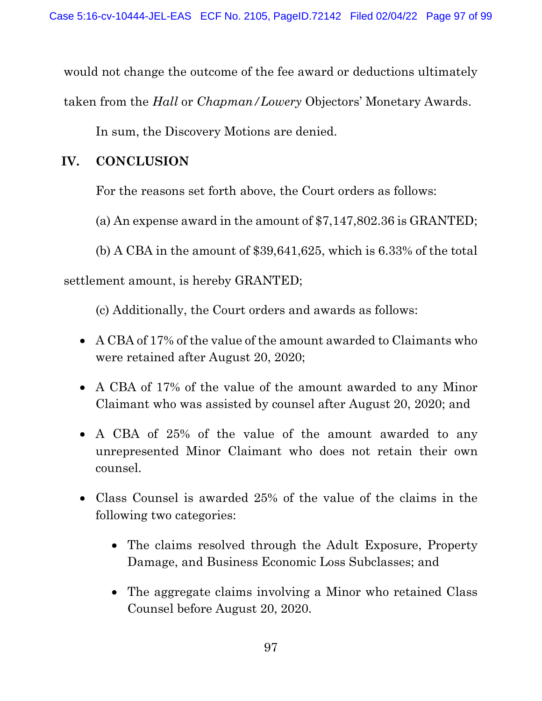would not change the outcome of the fee award or deductions ultimately

taken from the Hall or Chapman/Lowery Objectors' Monetary Awards.

In sum, the Discovery Motions are denied.

# IV. CONCLUSION

For the reasons set forth above, the Court orders as follows:

(a) An expense award in the amount of \$7,147,802.36 is GRANTED;

(b) A CBA in the amount of \$39,641,625, which is 6.33% of the total

settlement amount, is hereby GRANTED;

(c) Additionally, the Court orders and awards as follows:

- A CBA of 17% of the value of the amount awarded to Claimants who were retained after August 20, 2020;
- A CBA of 17% of the value of the amount awarded to any Minor Claimant who was assisted by counsel after August 20, 2020; and
- A CBA of 25% of the value of the amount awarded to any unrepresented Minor Claimant who does not retain their own counsel.
- Class Counsel is awarded 25% of the value of the claims in the following two categories:
	- The claims resolved through the Adult Exposure, Property Damage, and Business Economic Loss Subclasses; and
	- The aggregate claims involving a Minor who retained Class Counsel before August 20, 2020.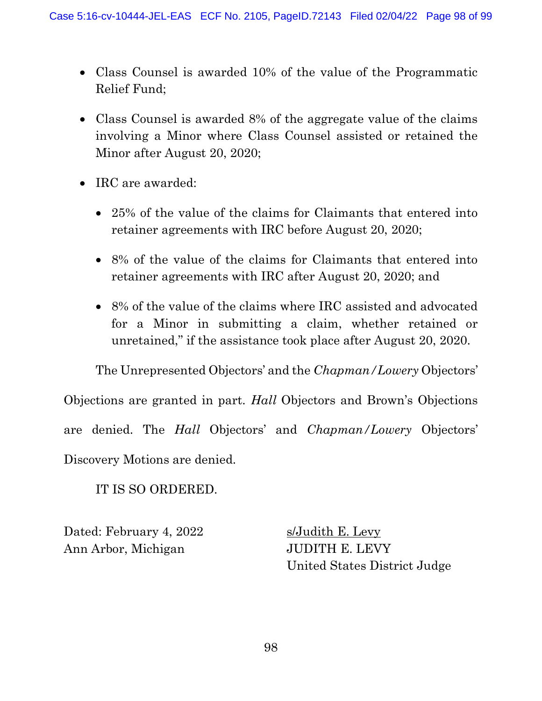- Class Counsel is awarded 10% of the value of the Programmatic Relief Fund;
- Class Counsel is awarded 8% of the aggregate value of the claims involving a Minor where Class Counsel assisted or retained the Minor after August 20, 2020;
- IRC are awarded:
	- 25% of the value of the claims for Claimants that entered into retainer agreements with IRC before August 20, 2020;
	- 8% of the value of the claims for Claimants that entered into retainer agreements with IRC after August 20, 2020; and
	- 8% of the value of the claims where IRC assisted and advocated for a Minor in submitting a claim, whether retained or unretained," if the assistance took place after August 20, 2020.

The Unrepresented Objectors' and the Chapman/Lowery Objectors'

Objections are granted in part. Hall Objectors and Brown's Objections are denied. The Hall Objectors' and Chapman/Lowery Objectors' Discovery Motions are denied.

IT IS SO ORDERED.

Dated: February 4, 2022 s/Judith E. Levy Ann Arbor, Michigan JUDITH E. LEVY

United States District Judge